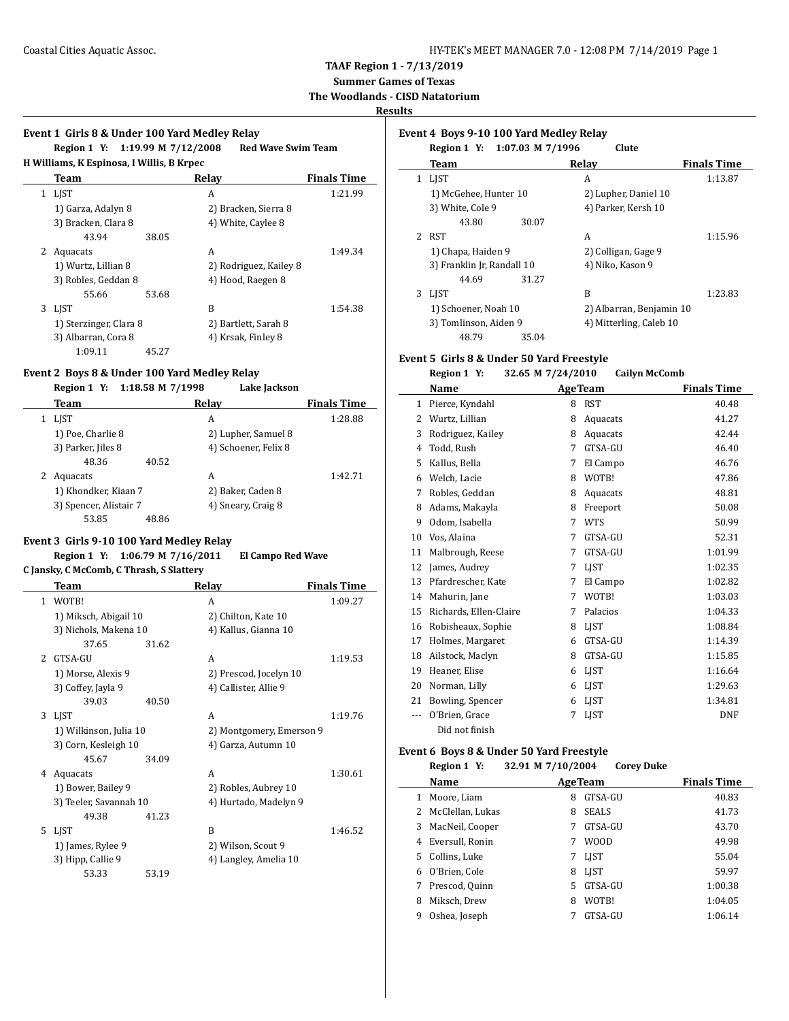**Summer Games of Texas**

**The Woodlands - CISD Natatorium**

## **Results**

## **Event 1 Girls 8 & Under 100 Yard Medley Relay Region 1 Y: 1:19.99 M 7/12/2008 Red Wave Swim Team H Williams, K Espinosa, I Willis, B Krpec Team Relay Finals Time** 1 LJST A 1:21.99 1) Garza, Adalyn 8 2) Bracken, Sierra 8 3) Bracken, Clara 8 4) White, Caylee 8 43.94 38.05 2 Aquacats A 1:49.34 1) Wurtz, Lillian 8 2) Rodriguez, Kailey 8 3) Robles, Geddan 8 4) Hood, Raegen 8 55.66 53.68 3 LJST B 1:54.38 1) Sterzinger, Clara 8 2) Bartlett, Sarah 8

### **Event 2 Boys 8 & Under 100 Yard Medley Relay**

1:09.11 45.27

#### **Region 1 Y: 1:18.58 M 7/1998 Lake Jackson**

3) Albarran, Cora 8 4) Krsak, Finley 8

| Team                   | Relay                | <b>Finals Time</b> |
|------------------------|----------------------|--------------------|
| LIST                   | A                    | 1:28.88            |
| 1) Poe, Charlie 8      | 2) Lupher, Samuel 8  |                    |
| 3) Parker, Jiles 8     | 4) Schoener, Felix 8 |                    |
| 48.36                  | 40.52                |                    |
| Aquacats               | A                    | 1:42.71            |
| 1) Khondker, Kiaan 7   | 2) Baker, Caden 8    |                    |
| 3) Spencer, Alistair 7 | 4) Sneary, Craig 8   |                    |
| 53.85                  | 48.86                |                    |

#### **Event 3 Girls 9-10 100 Yard Medley Relay**

### **Region 1 Y: 1:06.79 M 7/16/2011 El Campo Red Wave**

**C Jansky, C McComb, C Thrash, S Slattery**

|                          | Team                   |       | Relay                    | <b>Finals Time</b> |
|--------------------------|------------------------|-------|--------------------------|--------------------|
| 1                        | WOTB!                  |       | A                        | 1:09.27            |
|                          | 1) Miksch, Abigail 10  |       | 2) Chilton, Kate 10      |                    |
|                          | 3) Nichols, Makena 10  |       | 4) Kallus, Gianna 10     |                    |
|                          | 37.65                  | 31.62 |                          |                    |
| $\overline{\mathcal{L}}$ | GTSA-GU                |       | A                        | 1:19.53            |
|                          | 1) Morse, Alexis 9     |       | 2) Prescod, Jocelyn 10   |                    |
|                          | 3) Coffey, Jayla 9     |       | 4) Callister, Allie 9    |                    |
|                          | 39.03                  | 40.50 |                          |                    |
| 3                        | LIST                   |       | A                        | 1:19.76            |
|                          | 1) Wilkinson, Julia 10 |       | 2) Montgomery, Emerson 9 |                    |
|                          | 3) Corn, Kesleigh 10   |       | 4) Garza, Autumn 10      |                    |
|                          | 45.67                  | 34.09 |                          |                    |
| 4                        | Aquacats               |       | A                        | 1:30.61            |
|                          | 1) Bower, Bailey 9     |       | 2) Robles, Aubrey 10     |                    |
|                          | 3) Teeler, Savannah 10 |       | 4) Hurtado, Madelyn 9    |                    |
|                          | 49.38                  | 41.23 |                          |                    |
| 5.                       | <b>LIST</b>            |       | R                        | 1:46.52            |
|                          | 1) James, Rylee 9      |       | 2) Wilson, Scout 9       |                    |
|                          | 3) Hipp, Callie 9      |       | 4) Langley, Amelia 10    |                    |
|                          | 53.33                  | 53.19 |                          |                    |

## **Event 4 Boys 9-10 100 Yard Medley Relay Region 1 Y: 1:07.03 M 7/1996 Clute Team Relay Finals Time** 1 LJST A 1:13.87 1) McGehee, Hunter 10 2) Lupher, Daniel 10 3) White, Cole 9 4) Parker, Kersh 10 43.80 30.07 2 RST A 1:15.96 1) Chapa, Haiden 9 2) Colligan, Gage 9 3) Franklin Jr, Randall 10 4) Niko, Kason 9 44.69 31.27 3 LJST B 1:23.83 1) Schoener, Noah 10 2) Albarran, Benjamin 10 3) Tomlinson, Aiden 9 4) Mitterling, Caleb 10 48.79 35.04

#### **Event 5 Girls 8 & Under 50 Yard Freestyle Region 1 Y: 32.65 M 7/24/2010 Cailyn McComb**

| Region 1 F | $34.03$ M $1/47/2010$ | <b>CALLYTE MECOLLID</b> |
|------------|-----------------------|-------------------------|
| Name       | <b>AgeTeam</b>        | <b>Finals Time</b>      |

|              | Name                   |   | две геаш    | rinais Thne |
|--------------|------------------------|---|-------------|-------------|
| $\mathbf{1}$ | Pierce, Kyndahl        | 8 | <b>RST</b>  | 40.48       |
| 2            | Wurtz, Lillian         | 8 | Aquacats    | 41.27       |
| 3            | Rodriguez, Kailey      | 8 | Aquacats    | 42.44       |
| 4            | Todd, Rush             | 7 | GTSA-GU     | 46.40       |
| 5            | Kallus, Bella          | 7 | El Campo    | 46.76       |
| 6            | Welch, Lacie           | 8 | WOTB!       | 47.86       |
| 7            | Robles, Geddan         | 8 | Aquacats    | 48.81       |
| 8            | Adams, Makayla         | 8 | Freeport    | 50.08       |
| 9            | Odom, Isabella         | 7 | <b>WTS</b>  | 50.99       |
| 10           | Vos, Alaina            | 7 | GTSA-GU     | 52.31       |
| 11           | Malbrough, Reese       | 7 | GTSA-GU     | 1:01.99     |
| 12           | James, Audrey          | 7 | LIST        | 1:02.35     |
| 13           | Pfardrescher, Kate     | 7 | El Campo    | 1:02.82     |
| 14           | Mahurin, Jane          | 7 | WOTB!       | 1:03.03     |
| 15           | Richards, Ellen-Claire | 7 | Palacios    | 1:04.33     |
| 16           | Robisheaux, Sophie     | 8 | <b>LIST</b> | 1:08.84     |
| 17           | Holmes, Margaret       | 6 | GTSA-GU     | 1:14.39     |
| 18           | Ailstock, Maclyn       | 8 | GTSA-GU     | 1:15.85     |
| 19           | Heaner, Elise          | 6 | <b>LIST</b> | 1:16.64     |
| 20           | Norman, Lilly          | 6 | LIST        | 1:29.63     |
| 21           | Bowling, Spencer       | 6 | LJST        | 1:34.81     |
| ---          | O'Brien, Grace         | 7 | LJST        | <b>DNF</b>  |
|              | Did not finish         |   |             |             |

#### **Event 6 Boys 8 & Under 50 Yard Freestyle**

**Region 1 Y: 32.91 M 7/10/2004 Corey Duke**

| Name |                  |   | <b>AgeTeam</b> | <b>Finals Time</b> |
|------|------------------|---|----------------|--------------------|
|      | Moore, Liam      | 8 | GTSA-GU        | 40.83              |
| 2    | McClellan, Lukas | 8 | <b>SEALS</b>   | 41.73              |
| 3    | MacNeil, Cooper  | 7 | GTSA-GU        | 43.70              |
| 4    | Eversull, Ronin  | 7 | <b>WOOD</b>    | 49.98              |
| 5.   | Collins. Luke    | 7 | <b>LIST</b>    | 55.04              |
| 6    | O'Brien, Cole    | 8 | <b>LIST</b>    | 59.97              |
|      | Prescod, Quinn   | 5 | GTSA-GU        | 1:00.38            |
| 8    | Miksch. Drew     | 8 | WOTB!          | 1:04.05            |
| 9    | Oshea, Joseph    |   | GTSA-GU        | 1:06.14            |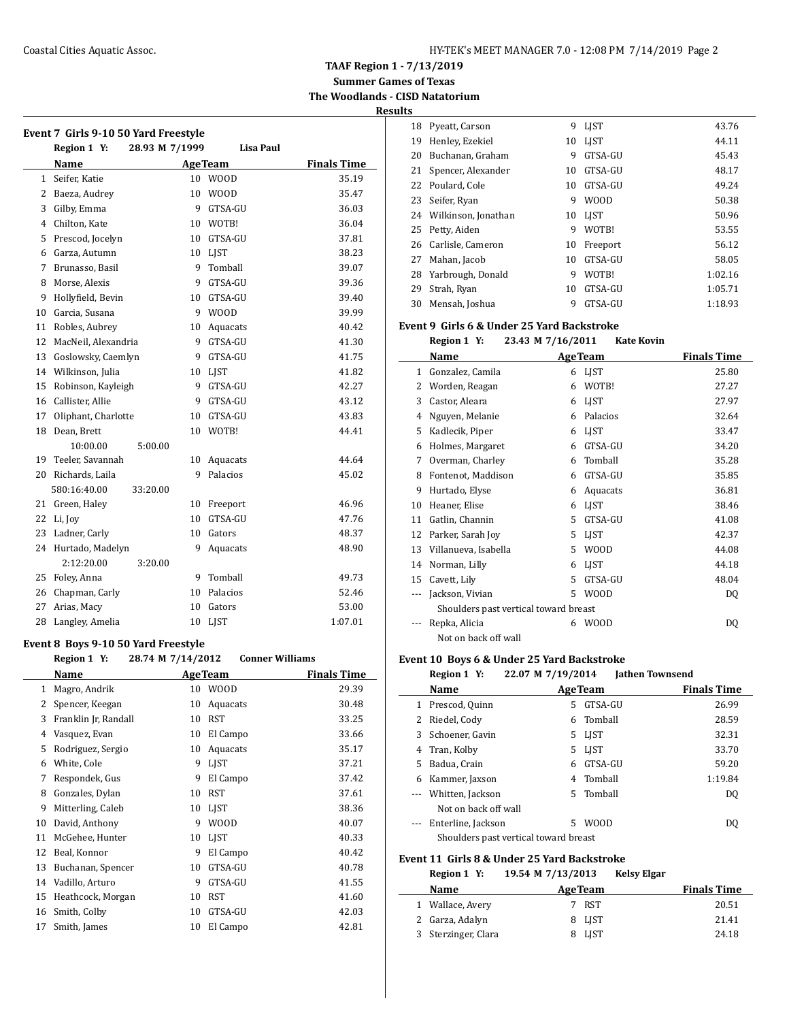**TAAF Region 1 - 7/13/2019**

**Summer Games of Texas The Woodlands - CISD Natatorium**

**Results**

|                | Event 7 Girls 9-10 50 Yard Freestyle<br>28.93 M 7/1999<br>Region 1 Y: |    | <b>Lisa Paul</b> |                    |
|----------------|-----------------------------------------------------------------------|----|------------------|--------------------|
|                | Name                                                                  |    | <b>AgeTeam</b>   | <b>Finals Time</b> |
| $\mathbf{1}$   | Seifer, Katie                                                         | 10 | <b>WOOD</b>      | 35.19              |
| $\overline{2}$ | Baeza, Audrey                                                         | 10 | <b>WOOD</b>      | 35.47              |
| 3              | Gilby, Emma                                                           | 9  | GTSA-GU          | 36.03              |
| 4              | Chilton, Kate                                                         | 10 | WOTB!            | 36.04              |
| 5              | Prescod, Jocelyn                                                      | 10 | GTSA-GU          | 37.81              |
| 6              | Garza, Autumn                                                         | 10 | LJST             | 38.23              |
| 7              | Brunasso, Basil                                                       | 9  | Tomball          | 39.07              |
| 8              | Morse, Alexis                                                         | 9  | GTSA-GU          | 39.36              |
| 9              | Hollyfield, Bevin                                                     | 10 | GTSA-GU          | 39.40              |
| 10             | Garcia, Susana                                                        | 9  | <b>WOOD</b>      | 39.99              |
| 11             | Robles, Aubrey                                                        | 10 | Aquacats         | 40.42              |
| 12             | MacNeil, Alexandria                                                   | 9  | GTSA-GU          | 41.30              |
| 13             | Goslowsky, Caemlyn                                                    | 9  | GTSA-GU          | 41.75              |
| 14             | Wilkinson, Julia                                                      | 10 | <b>LIST</b>      | 41.82              |
| 15             | Robinson, Kayleigh                                                    | 9  | GTSA-GU          | 42.27              |
| 16             | Callister, Allie                                                      | 9  | GTSA-GU          | 43.12              |
| 17             | Oliphant, Charlotte                                                   | 10 | GTSA-GU          | 43.83              |
| 18             | Dean, Brett                                                           | 10 | WOTB!            | 44.41              |
|                | 5:00.00<br>10:00.00                                                   |    |                  |                    |
| 19             | Teeler, Savannah                                                      | 10 | Aquacats         | 44.64              |
| 20             | Richards, Laila                                                       | 9  | Palacios         | 45.02              |
|                | 580:16:40.00<br>33:20.00                                              |    |                  |                    |
| 21             | Green, Haley                                                          | 10 | Freeport         | 46.96              |
| 22             | Li, Joy                                                               | 10 | GTSA-GU          | 47.76              |
| 23             | Ladner, Carly                                                         | 10 | Gators           | 48.37              |
| 24             | Hurtado, Madelyn                                                      | 9  | Aquacats         | 48.90              |
|                | 2:12:20.00<br>3:20.00                                                 |    |                  |                    |
| 25             | Foley, Anna                                                           | 9  | Tomball          | 49.73              |
| 26             | Chapman, Carly                                                        | 10 | Palacios         | 52.46              |
| 27             | Arias, Macy                                                           | 10 | Gators           | 53.00              |
| 28             | Langley, Amelia                                                       | 10 | LJST             | 1:07.01            |

## **Event 8 Boys 9-10 50 Yard Freestyle**

|    | Region 1 Y:          | 28.74 M 7/14/2012 | <b>Conner Williams</b> |                    |
|----|----------------------|-------------------|------------------------|--------------------|
|    | Name                 |                   | <b>Age Team</b>        | <b>Finals Time</b> |
| 1  | Magro, Andrik        | 10                | <b>WOOD</b>            | 29.39              |
| 2  | Spencer, Keegan      | 10                | Aquacats               | 30.48              |
| 3  | Franklin Jr, Randall | 10                | <b>RST</b>             | 33.25              |
| 4  | Vasquez, Evan        | 10                | El Campo               | 33.66              |
| 5  | Rodriguez, Sergio    | 10                | Aquacats               | 35.17              |
| 6  | White, Cole          | 9                 | LIST                   | 37.21              |
| 7  | Respondek, Gus       | 9                 | El Campo               | 37.42              |
| 8  | Gonzales, Dylan      | 10                | <b>RST</b>             | 37.61              |
| 9  | Mitterling, Caleb    | 10                | <b>LIST</b>            | 38.36              |
| 10 | David, Anthony       | 9                 | <b>WOOD</b>            | 40.07              |
| 11 | McGehee, Hunter      | 10                | <b>LIST</b>            | 40.33              |
| 12 | Beal, Konnor         | 9                 | El Campo               | 40.42              |
| 13 | Buchanan, Spencer    | 10                | GTSA-GU                | 40.78              |
| 14 | Vadillo, Arturo      | 9                 | GTSA-GU                | 41.55              |
| 15 | Heathcock, Morgan    | 10                | <b>RST</b>             | 41.60              |
| 16 | Smith, Colby         | 10                | GTSA-GU                | 42.03              |
| 17 | Smith, James         | 10                | El Campo               | 42.81              |
|    |                      |                   |                        |                    |

| w  |                     |    |             |         |
|----|---------------------|----|-------------|---------|
| 18 | Pyeatt, Carson      | 9  | <b>LIST</b> | 43.76   |
| 19 | Henley, Ezekiel     | 10 | <b>LIST</b> | 44.11   |
| 20 | Buchanan, Graham    | 9  | GTSA-GU     | 45.43   |
| 21 | Spencer, Alexander  | 10 | GTSA-GU     | 48.17   |
| 22 | Poulard, Cole       | 10 | GTSA-GU     | 49.24   |
| 23 | Seifer, Ryan        | 9  | <b>WOOD</b> | 50.38   |
| 24 | Wilkinson, Jonathan | 10 | <b>LIST</b> | 50.96   |
| 25 | Petty, Aiden        | 9  | WOTB!       | 53.55   |
| 26 | Carlisle, Cameron   | 10 | Freeport    | 56.12   |
| 27 | Mahan, Jacob        | 10 | GTSA-GU     | 58.05   |
| 28 | Yarbrough, Donald   | 9  | WOTB!       | 1:02.16 |
| 29 | Strah, Ryan         | 10 | GTSA-GU     | 1:05.71 |
| 30 | Mensah, Joshua      | 9  | GTSA-GU     | 1:18.93 |

## **Event 9 Girls 6 & Under 25 Yard Backstroke**

**Region 1 Y: 23.43 M 7/16/2011 Kate Kovin**

|    | Name                                  |   | <b>AgeTeam</b> | <b>Finals Time</b> |
|----|---------------------------------------|---|----------------|--------------------|
| 1  | Gonzalez, Camila                      | 6 | LJST           | 25.80              |
| 2  | Worden, Reagan                        | 6 | WOTB!          | 27.27              |
| 3  | Castor, Aleara                        | 6 | <b>LIST</b>    | 27.97              |
| 4  | Nguyen, Melanie                       | 6 | Palacios       | 32.64              |
| 5  | Kadlecik, Piper                       | 6 | <b>LIST</b>    | 33.47              |
| 6  | Holmes, Margaret                      | 6 | GTSA-GU        | 34.20              |
| 7  | Overman, Charley                      | 6 | Tomball        | 35.28              |
| 8  | Fontenot, Maddison                    | 6 | GTSA-GU        | 35.85              |
| 9  | Hurtado, Elyse                        | 6 | Aquacats       | 36.81              |
| 10 | Heaner, Elise                         | 6 | LIST           | 38.46              |
| 11 | Gatlin, Channin                       | 5 | GTSA-GU        | 41.08              |
| 12 | Parker, Sarah Joy                     | 5 | <b>LIST</b>    | 42.37              |
| 13 | Villanueva, Isabella                  | 5 | <b>WOOD</b>    | 44.08              |
| 14 | Norman, Lilly                         | 6 | <b>LIST</b>    | 44.18              |
| 15 | Cavett, Lily                          | 5 | GTSA-GU        | 48.04              |
|    | Jackson, Vivian                       | 5 | W00D           | DQ                 |
|    | Shoulders past vertical toward breast |   |                |                    |
|    | Repka, Alicia                         | 6 | <b>WOOD</b>    | DQ                 |
|    | Not on back off wall                  |   |                |                    |

## **Event 10 Boys 6 & Under 25 Yard Backstroke**

|              | Region 1 Y:          | 22.07 M 7/19/2014                     |                | <b>Jathen Townsend</b> |                    |
|--------------|----------------------|---------------------------------------|----------------|------------------------|--------------------|
|              | Name                 |                                       | <b>AgeTeam</b> |                        | <b>Finals Time</b> |
| $\mathbf{1}$ | Prescod, Quinn       | 5.                                    | GTSA-GU        |                        | 26.99              |
| 2            | Riedel, Cody         |                                       | 6 Tomball      |                        | 28.59              |
|              | 3 Schoener, Gavin    | 5.                                    | LJST           |                        | 32.31              |
|              | 4 Tran, Kolby        | 5.                                    | LJST           |                        | 33.70              |
| 5.           | Badua, Crain         | 6                                     | GTSA-GU        |                        | 59.20              |
| 6            | Kammer, Jaxson       |                                       | 4 Tomball      |                        | 1:19.84            |
|              | --- Whitten, Jackson |                                       | 5 Tomball      |                        | D <sub>0</sub>     |
|              | Not on back off wall |                                       |                |                        |                    |
|              | Enterline, Jackson   | 5.                                    | <b>WOOD</b>    |                        | DO                 |
|              |                      | Shoulders past vertical toward breast |                |                        |                    |

## **Event 11 Girls 8 & Under 25 Yard Backstroke**

| Region 1 Y:         | 19.54 M 7/13/2013 | <b>Kelsy Elgar</b> |                    |
|---------------------|-------------------|--------------------|--------------------|
| <b>Name</b>         | <b>AgeTeam</b>    |                    | <b>Finals Time</b> |
| 1 Wallace, Avery    | 7 RST             |                    | 20.51              |
| 2 Garza, Adalyn     | 8 LJST            |                    | 21.41              |
| 3 Sterzinger, Clara | 8 LJST            |                    | 24.18              |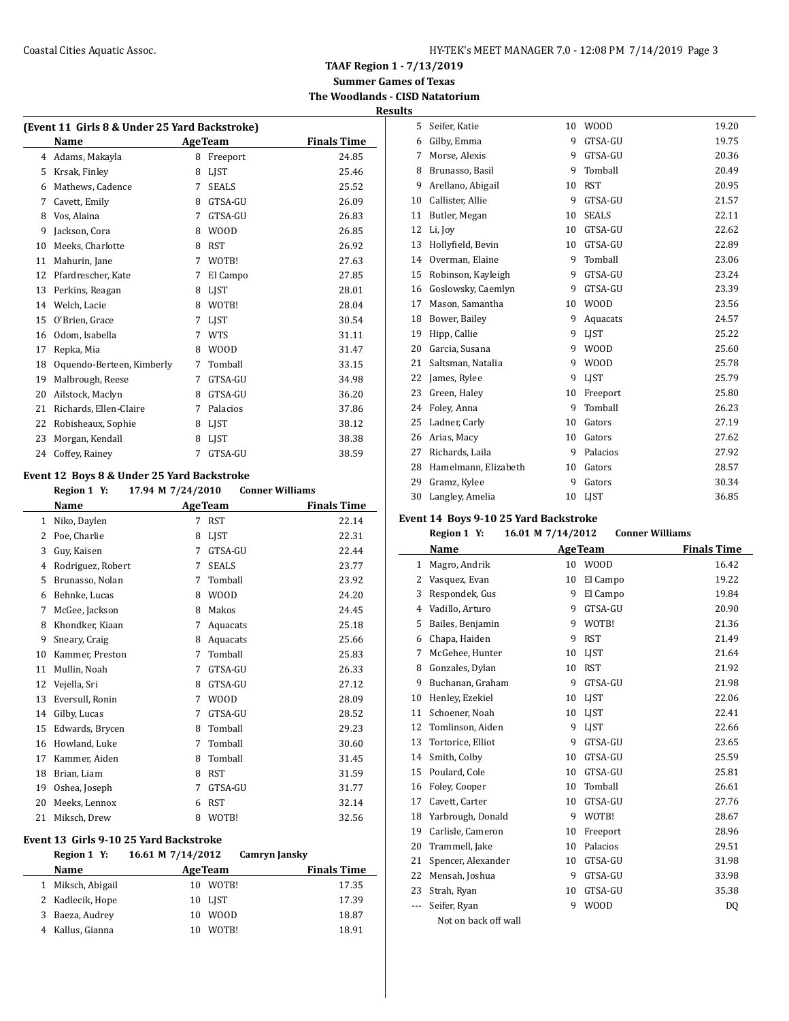## **TAAF Region 1 - 7/13/2019 Summer Games of Texas The Woodlands - CISD Natatorium**

| Results |
|---------|
|---------|

| (Event 11 Girls 8 & Under 25 Yard Backstroke) |                           |   |                |                    |  |
|-----------------------------------------------|---------------------------|---|----------------|--------------------|--|
|                                               | Name                      |   | <b>AgeTeam</b> | <b>Finals Time</b> |  |
| 4                                             | Adams, Makayla            | 8 | Freeport       | 24.85              |  |
| 5                                             | Krsak, Finley             | 8 | <b>LIST</b>    | 25.46              |  |
| 6                                             | Mathews, Cadence          | 7 | <b>SEALS</b>   | 25.52              |  |
| 7                                             | Cavett, Emily             | 8 | GTSA-GU        | 26.09              |  |
| 8                                             | Vos, Alaina               | 7 | GTSA-GU        | 26.83              |  |
| 9                                             | Jackson, Cora             | 8 | <b>WOOD</b>    | 26.85              |  |
| 10                                            | Meeks, Charlotte          | 8 | <b>RST</b>     | 26.92              |  |
| 11                                            | Mahurin, Jane             | 7 | WOTB!          | 27.63              |  |
| 12                                            | Pfardrescher, Kate        | 7 | El Campo       | 27.85              |  |
| 13                                            | Perkins, Reagan           | 8 | <b>LIST</b>    | 28.01              |  |
| 14                                            | Welch, Lacie              | 8 | WOTB!          | 28.04              |  |
| 15                                            | O'Brien, Grace            | 7 | <b>LIST</b>    | 30.54              |  |
| 16                                            | Odom, Isabella            | 7 | <b>WTS</b>     | 31.11              |  |
| 17                                            | Repka, Mia                | 8 | <b>WOOD</b>    | 31.47              |  |
| 18                                            | Oquendo-Berteen, Kimberly | 7 | Tomball        | 33.15              |  |
| 19                                            | Malbrough, Reese          | 7 | GTSA-GU        | 34.98              |  |
| 20                                            | Ailstock, Maclyn          | 8 | GTSA-GU        | 36.20              |  |
| 21                                            | Richards, Ellen-Claire    | 7 | Palacios       | 37.86              |  |
| 22                                            | Robisheaux, Sophie        | 8 | LIST           | 38.12              |  |
| 23                                            | Morgan, Kendall           | 8 | <b>LIST</b>    | 38.38              |  |
| 24                                            | Coffey, Rainey            | 7 | GTSA-GU        | 38.59              |  |

## **Event 12 Boys 8 & Under 25 Yard Backstroke**

|    | Region 1 Y:       | 17.94 M 7/24/2010 |                | <b>Conner Williams</b> |
|----|-------------------|-------------------|----------------|------------------------|
|    | Name              |                   | <b>AgeTeam</b> | <b>Finals Time</b>     |
| 1  | Niko, Daylen      | 7                 | <b>RST</b>     | 22.14                  |
| 2  | Poe, Charlie      | 8                 | LIST           | 22.31                  |
| 3  | Guy, Kaisen       | 7                 | GTSA-GU        | 22.44                  |
| 4  | Rodriguez, Robert | 7                 | <b>SEALS</b>   | 23.77                  |
| 5  | Brunasso, Nolan   | 7                 | Tomball        | 23.92                  |
| 6  | Behnke, Lucas     | 8                 | <b>WOOD</b>    | 24.20                  |
| 7  | McGee, Jackson    | 8                 | Makos          | 24.45                  |
| 8  | Khondker, Kiaan   | 7                 | Aquacats       | 25.18                  |
| 9  | Sneary, Craig     | 8                 | Aquacats       | 25.66                  |
| 10 | Kammer, Preston   | 7                 | Tomball        | 25.83                  |
| 11 | Mullin, Noah      | 7                 | GTSA-GU        | 26.33                  |
| 12 | Vejella, Sri      | 8                 | GTSA-GU        | 27.12                  |
| 13 | Eversull, Ronin   | 7                 | <b>WOOD</b>    | 28.09                  |
| 14 | Gilby, Lucas      | 7                 | GTSA-GU        | 28.52                  |
| 15 | Edwards, Brycen   | 8                 | Tomball        | 29.23                  |
| 16 | Howland, Luke     | 7                 | Tomball        | 30.60                  |
| 17 | Kammer, Aiden     | 8                 | Tomball        | 31.45                  |
| 18 | Brian, Liam       | 8                 | <b>RST</b>     | 31.59                  |
| 19 | Oshea, Joseph     | 7                 | GTSA-GU        | 31.77                  |
| 20 | Meeks, Lennox     | 6                 | <b>RST</b>     | 32.14                  |
| 21 | Miksch, Drew      | 8                 | WOTB!          | 32.56                  |

#### **Event 13 Girls 9-10 25 Yard Backstroke**

| Region 1 Y:       | 16.61 M 7/14/2012 |                | <b>Camryn Jansky</b> |                    |
|-------------------|-------------------|----------------|----------------------|--------------------|
| <b>Name</b>       |                   | <b>AgeTeam</b> |                      | <b>Finals Time</b> |
| 1 Miksch, Abigail | 10                | WOTB!          |                      | 17.35              |
| 2 Kadlecik, Hope  |                   | 10 LIST        |                      | 17.39              |
| 3 Baeza, Audrey   | 10                | <b>WOOD</b>    |                      | 18.87              |
| Kallus, Gianna    | 10                | WOTB!          |                      | 18.91              |

| 5  | Seifer, Katie        | 10 | <b>WOOD</b>  | 19.20 |
|----|----------------------|----|--------------|-------|
| 6  | Gilby, Emma          | 9  | GTSA-GU      | 19.75 |
| 7  | Morse, Alexis        | 9  | GTSA-GU      | 20.36 |
| 8  | Brunasso, Basil      | 9  | Tomball      | 20.49 |
| 9  | Arellano, Abigail    | 10 | <b>RST</b>   | 20.95 |
| 10 | Callister, Allie     | 9  | GTSA-GU      | 21.57 |
| 11 | Butler, Megan        | 10 | <b>SEALS</b> | 22.11 |
| 12 | Li, Joy              | 10 | GTSA-GU      | 22.62 |
| 13 | Hollyfield, Bevin    | 10 | GTSA-GU      | 22.89 |
| 14 | Overman, Elaine      | 9  | Tomball      | 23.06 |
| 15 | Robinson, Kayleigh   | 9  | GTSA-GU      | 23.24 |
| 16 | Goslowsky, Caemlyn   | 9  | GTSA-GU      | 23.39 |
| 17 | Mason, Samantha      | 10 | <b>WOOD</b>  | 23.56 |
| 18 | Bower, Bailey        | 9  | Aquacats     | 24.57 |
| 19 | Hipp, Callie         | 9  | LIST         | 25.22 |
| 20 | Garcia, Susana       | 9  | <b>WOOD</b>  | 25.60 |
| 21 | Saltsman, Natalia    | 9  | <b>WOOD</b>  | 25.78 |
| 22 | James, Rylee         | 9  | LIST         | 25.79 |
| 23 | Green, Haley         | 10 | Freeport     | 25.80 |
| 24 | Foley, Anna          | 9  | Tomball      | 26.23 |
| 25 | Ladner, Carly        | 10 | Gators       | 27.19 |
| 26 | Arias, Macy          | 10 | Gators       | 27.62 |
| 27 | Richards, Laila      | 9  | Palacios     | 27.92 |
| 28 | Hamelmann, Elizabeth | 10 | Gators       | 28.57 |
| 29 | Gramz, Kylee         | 9  | Gators       | 30.34 |
| 30 | Langley, Amelia      | 10 | <b>LIST</b>  | 36.85 |

## **Event 14 Boys 9-10 25 Yard Backstroke**

|       | Region 1 Y:          | 16.01 M 7/14/2012 | <b>Conner Williams</b> |                    |
|-------|----------------------|-------------------|------------------------|--------------------|
|       | Name                 |                   | <b>AgeTeam</b>         | <b>Finals Time</b> |
| 1     | Magro, Andrik        | 10                | <b>WOOD</b>            | 16.42              |
| 2     | Vasquez, Evan        | 10                | El Campo               | 19.22              |
| 3     | Respondek, Gus       | 9                 | El Campo               | 19.84              |
| 4     | Vadillo, Arturo      | 9                 | GTSA-GU                | 20.90              |
| 5     | Bailes, Benjamin     | 9                 | WOTB!                  | 21.36              |
| 6     | Chapa, Haiden        | 9                 | <b>RST</b>             | 21.49              |
| 7     | McGehee, Hunter      | 10                | <b>LIST</b>            | 21.64              |
| 8     | Gonzales, Dylan      | 10                | <b>RST</b>             | 21.92              |
| 9     | Buchanan, Graham     | 9                 | GTSA-GU                | 21.98              |
| 10    | Henley, Ezekiel      | 10                | <b>LIST</b>            | 22.06              |
| 11    | Schoener, Noah       | 10                | LIST                   | 22.41              |
| 12    | Tomlinson, Aiden     | 9                 | <b>LIST</b>            | 22.66              |
| 13    | Tortorice, Elliot    | 9                 | GTSA-GU                | 23.65              |
| 14    | Smith, Colby         | 10                | GTSA-GU                | 25.59              |
| 15    | Poulard, Cole        | 10                | GTSA-GU                | 25.81              |
| 16    | Foley, Cooper        | 10                | Tomball                | 26.61              |
| 17    | Cavett, Carter       | 10                | GTSA-GU                | 27.76              |
| 18    | Yarbrough, Donald    | 9                 | WOTB!                  | 28.67              |
| 19    | Carlisle, Cameron    | 10                | Freeport               | 28.96              |
| 20    | Trammell, Jake       | 10                | Palacios               | 29.51              |
| 21    | Spencer, Alexander   | 10                | GTSA-GU                | 31.98              |
| 22    | Mensah, Joshua       | 9                 | GTSA-GU                | 33.98              |
| 23    | Strah, Ryan          | 10                | GTSA-GU                | 35.38              |
| $---$ | Seifer, Ryan         | 9                 | <b>WOOD</b>            | D <sub>0</sub>     |
|       | Not on back off wall |                   |                        |                    |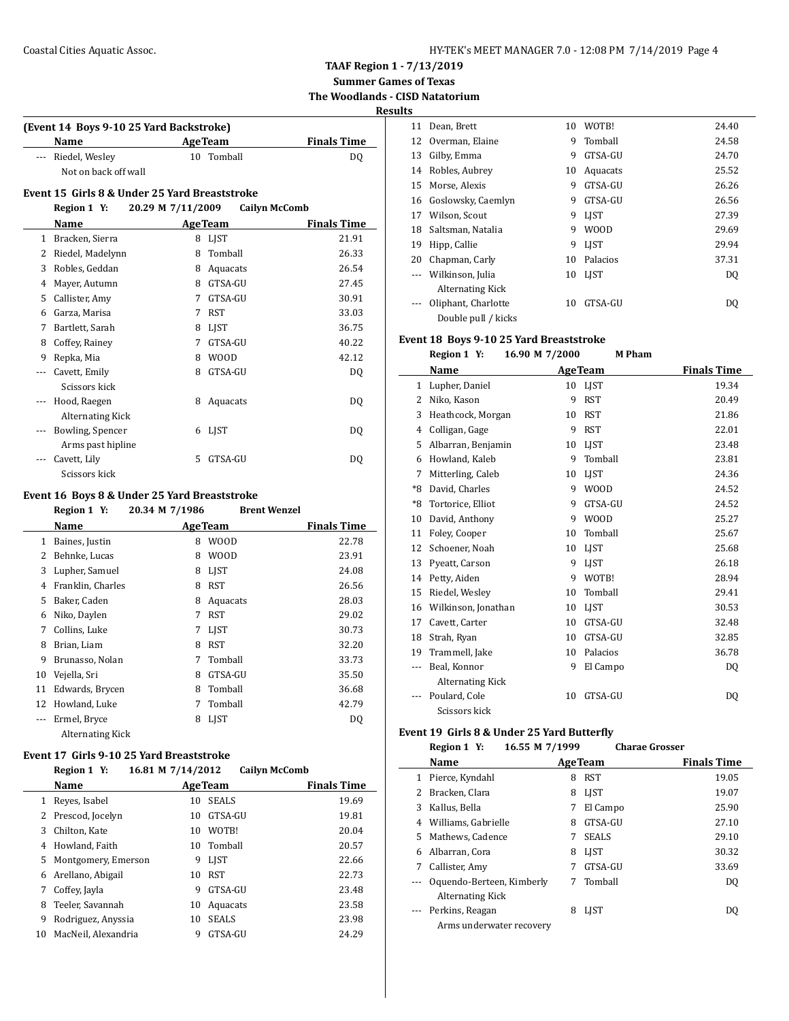| HY-TEK's MEET MANAGER 7.0 - 12:08 PM 7/14/2019 Page 4 |  |  |  |
|-------------------------------------------------------|--|--|--|
|-------------------------------------------------------|--|--|--|

**TAAF Region 1 - 7/13/2019 Summer Games of Texas**

**The Woodlands - CISD Natatorium**

**Results**

|              | Name                                          | <b>AgeTeam</b>    | <b>Finals Time</b>   |
|--------------|-----------------------------------------------|-------------------|----------------------|
|              | Riedel, Wesley                                | 10 Tomball        | DO.                  |
|              | Not on back off wall                          |                   |                      |
|              | Event 15 Girls 8 & Under 25 Yard Breaststroke |                   |                      |
|              | Region 1 Y:                                   | 20.29 M 7/11/2009 | <b>Cailyn McComb</b> |
|              | Name                                          | <b>AgeTeam</b>    | <b>Finals Time</b>   |
| $\mathbf{1}$ | Bracken, Sierra                               | <b>LIST</b><br>8  | 21.91                |
| 2            | Riedel, Madelynn                              | Tomball<br>8      | 26.33                |
| 3            | Robles, Geddan                                | 8<br>Aquacats     | 26.54                |
| 4            | Mayer, Autumn                                 | GTSA-GU<br>8      | 27.45                |
| 5            | Callister, Amy                                | GTSA-GU<br>7      | 30.91                |
| 6            | Garza, Marisa                                 | <b>RST</b><br>7   | 33.03                |
| 7            | Bartlett, Sarah                               | 8<br><b>LIST</b>  | 36.75                |
| 8            | Coffey, Rainey                                | GTSA-GU<br>7      | 40.22                |
| 9            | Repka, Mia                                    | <b>WOOD</b><br>8  | 42.12                |
| ---          | Cavett, Emily                                 | GTSA-GU<br>8      | D <sub>0</sub>       |
|              | Scissors kick                                 |                   |                      |
|              | Hood, Raegen                                  | 8<br>Aquacats     | DQ                   |
|              | <b>Alternating Kick</b>                       |                   |                      |
| ---          | Bowling, Spencer                              | LIST<br>6         | D <sub>0</sub>       |
|              | Arms past hipline                             |                   |                      |
|              | Cavett, Lily                                  | 5<br>GTSA-GU      | DO.                  |
|              | Scissors kick                                 |                   |                      |

## **Name Age Team Finals Time** 1 Baines, Justin 8 WOOD 22.78 2 Behnke, Lucas 8 WOOD 23.91 3 Lupher, Samuel 8 LJST 24.08 4 Franklin, Charles 8 RST 26.56 5 Baker, Caden 8 Aquacats 28.03 6 Niko, Daylen 7 RST 29.02 7 Collins, Luke 7 LJST 30.73 8 Brian, Liam 8 RST 32.20 9 Brunasso, Nolan 7 Tomball 33.73 10 Vejella, Sri 8 GTSA-GU 35.50 11 Edwards, Brycen 8 Tomball 36.68 12 Howland, Luke 7 Tomball 42.79 --- Ermel, Bryce 8 LJST DQ Alternating Kick

## **Event 17 Girls 9-10 25 Yard Breaststroke**

 $\overline{\phantom{0}}$ 

|    | Region 1 Y:         | 16.81 M 7/14/2012 | <b>Cailyn McComb</b> |                    |
|----|---------------------|-------------------|----------------------|--------------------|
|    | <b>Name</b>         | <b>Age Team</b>   |                      | <b>Finals Time</b> |
|    | Reves, Isabel       | 10                | <b>SEALS</b>         | 19.69              |
|    | Prescod, Jocelyn    | 10                | GTSA-GU              | 19.81              |
| 3  | Chilton, Kate       | 10                | WOTB!                | 20.04              |
| 4  | Howland, Faith      | 10                | Tomball              | 20.57              |
| 5. | Montgomery, Emerson | 9                 | <b>LIST</b>          | 22.66              |
| 6  | Arellano, Abigail   | 10                | <b>RST</b>           | 22.73              |
| 7  | Coffey, Jayla       | 9                 | GTSA-GU              | 23.48              |
| 8  | Teeler, Savannah    | 10                | Aquacats             | 23.58              |
| 9  | Rodriguez, Anyssia  | 10                | <b>SEALS</b>         | 23.98              |
| 10 | MacNeil, Alexandria | 9                 | GTSA-GU              | 24.29              |

| 11 | Dean, Brett                                 | 10 | WOTB!       | 24.40 |
|----|---------------------------------------------|----|-------------|-------|
|    | Overman, Elaine<br>12                       | 9  | Tomball     | 24.58 |
| 13 | Gilby, Emma                                 | 9  | GTSA-GU     | 24.70 |
| 14 | Robles, Aubrey                              | 10 | Aquacats    | 25.52 |
| 15 | Morse, Alexis                               | 9  | GTSA-GU     | 26.26 |
| 16 | Goslowsky, Caemlyn                          | 9  | GTSA-GU     | 26.56 |
| 17 | Wilson, Scout                               | 9  | <b>LIST</b> | 27.39 |
| 18 | Saltsman, Natalia                           | 9  | <b>WOOD</b> | 29.69 |
| 19 | Hipp, Callie                                | 9  | <b>LIST</b> | 29.94 |
| 20 | Chapman, Carly                              | 10 | Palacios    | 37.31 |
|    | Wilkinson, Julia<br><b>Alternating Kick</b> | 10 | <b>LIST</b> | DQ    |
|    | Oliphant, Charlotte<br>Double pull / kicks  | 10 | GTSA-GU     | DO    |
|    |                                             |    |             |       |

#### **Event 18 Boys 9-10 25 Yard Breaststroke**

|       | Region 1 Y:             | 16.90 M 7/2000 | <b>M</b> Pham  |                    |
|-------|-------------------------|----------------|----------------|--------------------|
|       | Name                    |                | <b>AgeTeam</b> | <b>Finals Time</b> |
| 1     | Lupher, Daniel          | 10             | <b>LIST</b>    | 19.34              |
| 2     | Niko, Kason             | 9              | <b>RST</b>     | 20.49              |
| 3     | Heathcock, Morgan       | 10             | <b>RST</b>     | 21.86              |
| 4     | Colligan, Gage          | 9              | <b>RST</b>     | 22.01              |
| 5     | Albarran, Benjamin      | 10             | <b>LIST</b>    | 23.48              |
| 6     | Howland, Kaleb          | 9              | Tomball        | 23.81              |
| 7     | Mitterling, Caleb       | 10             | <b>LIST</b>    | 24.36              |
| $*8$  | David, Charles          | 9              | <b>WOOD</b>    | 24.52              |
| $*8$  | Tortorice, Elliot       | 9              | GTSA-GU        | 24.52              |
| 10    | David, Anthony          | 9              | <b>WOOD</b>    | 25.27              |
| 11    | Foley, Cooper           | 10             | Tomball        | 25.67              |
| 12    | Schoener, Noah          | 10             | <b>LIST</b>    | 25.68              |
| 13    | Pyeatt, Carson          | 9              | <b>LIST</b>    | 26.18              |
| 14    | Petty, Aiden            | 9              | WOTB!          | 28.94              |
| 15    | Riedel, Wesley          | 10             | Tomball        | 29.41              |
| 16    | Wilkinson, Jonathan     | 10             | <b>LIST</b>    | 30.53              |
| 17    | Cavett, Carter          | 10             | GTSA-GU        | 32.48              |
| 18    | Strah, Ryan             | 10             | GTSA-GU        | 32.85              |
| 19    | Trammell, Jake          | 10             | Palacios       | 36.78              |
| $---$ | Beal, Konnor            | 9              | El Campo       | DQ                 |
|       | <b>Alternating Kick</b> |                |                |                    |
|       | Poulard, Cole           | 10             | GTSA-GU        | DQ                 |
|       | Scissors kick           |                |                |                    |

#### **Event 19 Girls 8 & Under 25 Yard Butterfly**

 $\overline{\phantom{a}}$ 

|    | 16.55 M 7/1999<br>Region 1 Y:                 |                | <b>Charae Grosser</b> |                    |
|----|-----------------------------------------------|----------------|-----------------------|--------------------|
|    | Name                                          | <b>AgeTeam</b> |                       | <b>Finals Time</b> |
| 1  | Pierce, Kyndahl                               | 8              | <b>RST</b>            | 19.05              |
|    | Bracken, Clara                                | 8              | <b>LIST</b>           | 19.07              |
| 3  | Kallus, Bella                                 | 7              | El Campo              | 25.90              |
| 4  | Williams, Gabrielle                           | 8              | GTSA-GU               | 27.10              |
| 5. | Mathews, Cadence                              | 7              | <b>SEALS</b>          | 29.10              |
| 6  | Albarran, Cora                                | 8              | <b>LIST</b>           | 30.32              |
| 7  | Callister, Amy                                | 7              | GTSA-GU               | 33.69              |
|    | Oquendo-Berteen, Kimberly<br>Alternating Kick | 7              | Tomball               | DQ                 |
|    | Perkins, Reagan<br>Arms underwater recovery   | 8              | <b>LIST</b>           | DO                 |
|    |                                               |                |                       |                    |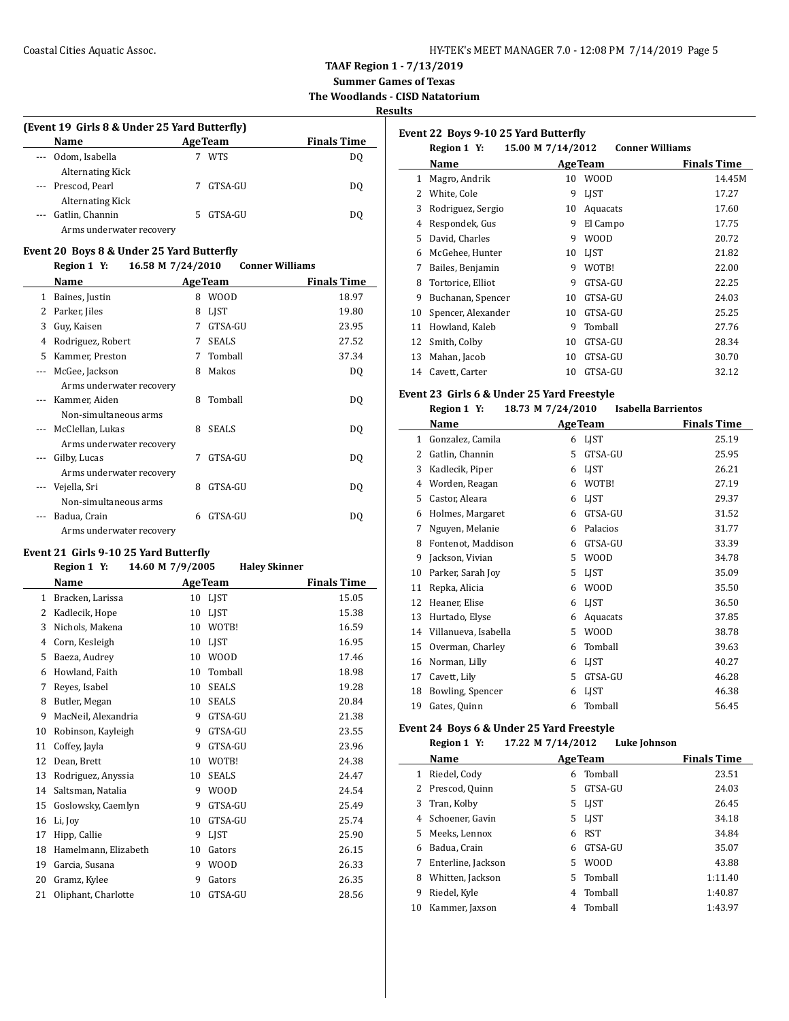**Summer Games of Texas The Woodlands - CISD Natatorium**

**Results**

| (Event 19 Girls 8 & Under 25 Yard Butterfly) |                |                    |  |  |
|----------------------------------------------|----------------|--------------------|--|--|
| <b>Name</b>                                  | <b>AgeTeam</b> | <b>Finals Time</b> |  |  |
| --- Odom, Isabella                           | <b>WTS</b>     | DO                 |  |  |
| <b>Alternating Kick</b>                      |                |                    |  |  |
| --- Prescod, Pearl                           | GTSA-GU        | DO                 |  |  |
| <b>Alternating Kick</b>                      |                |                    |  |  |
| Gatlin, Channin                              | GTSA-GU        | D0                 |  |  |
| Arms underwater recovery                     |                |                    |  |  |

#### **Event 20 Boys 8 & Under 25 Yard Butterfly**

#### **Region 1 Y: 16.58 M 7/24/2010 Conner Williams**

|    | Name                     |   | <b>AgeTeam</b> | <b>Finals Time</b> |
|----|--------------------------|---|----------------|--------------------|
| 1  | Baines, Justin           | 8 | <b>WOOD</b>    | 18.97              |
| 2  | Parker, Jiles            | 8 | LIST           | 19.80              |
| 3  | Guy, Kaisen              | 7 | GTSA-GU        | 23.95              |
| 4  | Rodriguez, Robert        | 7 | <b>SEALS</b>   | 27.52              |
| 5. | Kammer, Preston          | 7 | Tomball        | 37.34              |
|    | McGee, Jackson           | 8 | Makos          | DQ                 |
|    | Arms underwater recovery |   |                |                    |
|    | Kammer, Aiden            | 8 | Tomball        | DQ                 |
|    | Non-simultaneous arms    |   |                |                    |
|    | McClellan, Lukas         | 8 | <b>SEALS</b>   | DQ                 |
|    | Arms underwater recovery |   |                |                    |
|    | Gilby, Lucas             | 7 | GTSA-GU        | DQ                 |
|    | Arms underwater recovery |   |                |                    |
|    | Vejella, Sri             | 8 | GTSA-GU        | DQ                 |
|    | Non-simultaneous arms    |   |                |                    |
|    | Badua, Crain             | 6 | GTSA-GU        | DQ                 |
|    | Arms underwater recovery |   |                |                    |

## **Event 21 Girls 9-10 25 Yard Butterfly**

## **Region 1 Y: 14.60 M 7/9/2005 Haley Skinner**

| Name                 |    |              | <b>Finals Time</b> |
|----------------------|----|--------------|--------------------|
| Bracken, Larissa     | 10 | LIST         | 15.05              |
| Kadlecik, Hope       | 10 | <b>LIST</b>  | 15.38              |
| Nichols, Makena      | 10 | WOTB!        | 16.59              |
| Corn, Kesleigh       | 10 | LIST         | 16.95              |
| Baeza, Audrey        | 10 | <b>WOOD</b>  | 17.46              |
| Howland, Faith       | 10 | Tomball      | 18.98              |
| Reyes, Isabel        | 10 | <b>SEALS</b> | 19.28              |
| Butler, Megan        | 10 | <b>SEALS</b> | 20.84              |
| MacNeil, Alexandria  | 9  | GTSA-GU      | 21.38              |
| Robinson, Kayleigh   | 9  | GTSA-GU      | 23.55              |
| Coffey, Jayla        | 9  | GTSA-GU      | 23.96              |
| Dean, Brett          | 10 | WOTB!        | 24.38              |
| Rodriguez, Anyssia   | 10 | <b>SEALS</b> | 24.47              |
| Saltsman, Natalia    | 9  | <b>WOOD</b>  | 24.54              |
| Goslowsky, Caemlyn   | 9  | GTSA-GU      | 25.49              |
| Li, Joy              | 10 | GTSA-GU      | 25.74              |
| Hipp, Callie         | 9  | <b>LIST</b>  | 25.90              |
| Hamelmann, Elizabeth | 10 | Gators       | 26.15              |
| Garcia, Susana       | 9  | <b>WOOD</b>  | 26.33              |
| Gramz, Kylee         | 9  | Gators       | 26.35              |
| Oliphant, Charlotte  | 10 | GTSA-GU      | 28.56              |
|                      |    |              | <b>AgeTeam</b>     |

| Event 22 Boys 9-10 25 Yard Butterfly |                    |                   |                |                        |
|--------------------------------------|--------------------|-------------------|----------------|------------------------|
|                                      | Region 1 Y:        | 15.00 M 7/14/2012 |                | <b>Conner Williams</b> |
|                                      | Name               |                   | <b>AgeTeam</b> | <b>Finals Time</b>     |
| 1                                    | Magro, Andrik      | 10                | W00D           | 14.45M                 |
| 2                                    | White, Cole        | 9                 | <b>LIST</b>    | 17.27                  |
| 3                                    | Rodriguez, Sergio  | 10                | Aquacats       | 17.60                  |
| 4                                    | Respondek, Gus     | 9                 | El Campo       | 17.75                  |
| 5                                    | David, Charles     | 9                 | W00D           | 20.72                  |
| 6                                    | McGehee, Hunter    | 10                | <b>LIST</b>    | 21.82                  |
| 7                                    | Bailes, Benjamin   | 9                 | WOTB!          | 22.00                  |
| 8                                    | Tortorice, Elliot  | 9                 | GTSA-GU        | 22.25                  |
| 9                                    | Buchanan, Spencer  | 10                | GTSA-GU        | 24.03                  |
| 10                                   | Spencer, Alexander | 10                | GTSA-GU        | 25.25                  |
| 11                                   | Howland, Kaleb     | 9                 | Tomball        | 27.76                  |
| 12                                   | Smith, Colby       | 10                | GTSA-GU        | 28.34                  |
| 13                                   | Mahan, Jacob       | 10                | GTSA-GU        | 30.70                  |
| 14                                   | Cavett, Carter     | 10                | GTSA-GU        | 32.12                  |

#### **Event 23 Girls 6 & Under 25 Yard Freestyle**

|    | Region 1 Y:          | 18.73 M 7/24/2010 | <b>Isabella Barrientos</b> |                    |
|----|----------------------|-------------------|----------------------------|--------------------|
|    | Name                 | <b>AgeTeam</b>    |                            | <b>Finals Time</b> |
| 1  | Gonzalez, Camila     | <b>LIST</b><br>6  |                            | 25.19              |
| 2  | Gatlin, Channin      | 5                 | GTSA-GU                    | 25.95              |
| 3  | Kadlecik, Piper      | <b>LIST</b><br>6  |                            | 26.21              |
| 4  | Worden, Reagan       | 6                 | WOTB!                      | 27.19              |
| 5  | Castor, Aleara       | <b>LIST</b><br>6  |                            | 29.37              |
| 6  | Holmes, Margaret     | 6                 | GTSA-GU                    | 31.52              |
| 7  | Nguyen, Melanie      | 6                 | Palacios                   | 31.77              |
| 8  | Fontenot, Maddison   | 6                 | GTSA-GU                    | 33.39              |
| 9  | Jackson, Vivian      | 5                 | <b>WOOD</b>                | 34.78              |
| 10 | Parker, Sarah Joy    | <b>LIST</b><br>5  |                            | 35.09              |
| 11 | Repka, Alicia        | 6                 | <b>WOOD</b>                | 35.50              |
| 12 | Heaner, Elise        | <b>LIST</b><br>6  |                            | 36.50              |
| 13 | Hurtado, Elyse       | 6                 | Aquacats                   | 37.85              |
| 14 | Villanueva, Isabella | 5                 | <b>WOOD</b>                | 38.78              |
| 15 | Overman, Charley     | 6                 | Tomball                    | 39.63              |
| 16 | Norman, Lilly        | <b>LIST</b><br>6  |                            | 40.27              |
| 17 | Cavett, Lily         | 5                 | GTSA-GU                    | 46.28              |
| 18 | Bowling, Spencer     | <b>LIST</b><br>6  |                            | 46.38              |
| 19 | Gates, Quinn         | 6                 | Tomball                    | 56.45              |

#### **Event 24 Boys 6 & Under 25 Yard Freestyle**

 $\overline{\phantom{a}}$ 

#### **Region 1 Y: 17.22 M 7/14/2012 Luke Johnson**

|    | Name               |    | <b>AgeTeam</b> | <b>Finals Time</b> |
|----|--------------------|----|----------------|--------------------|
| 1  | Riedel, Cody       | 6  | Tomball        | 23.51              |
|    | Prescod, Quinn     | 5. | GTSA-GU        | 24.03              |
| 3  | Tran, Kolby        | 5. | <b>LIST</b>    | 26.45              |
| 4  | Schoener, Gavin    | 5. | <b>LIST</b>    | 34.18              |
| 5. | Meeks, Lennox      | 6  | <b>RST</b>     | 34.84              |
| 6  | Badua, Crain       | 6  | GTSA-GU        | 35.07              |
|    | Enterline, Jackson | 5. | <b>WOOD</b>    | 43.88              |
| 8  | Whitten, Jackson   | 5. | Tomball        | 1:11.40            |
| 9  | Riedel, Kyle       | 4  | Tomball        | 1:40.87            |
| 10 | Kammer, Jaxson     | 4  | Tomball        | 1:43.97            |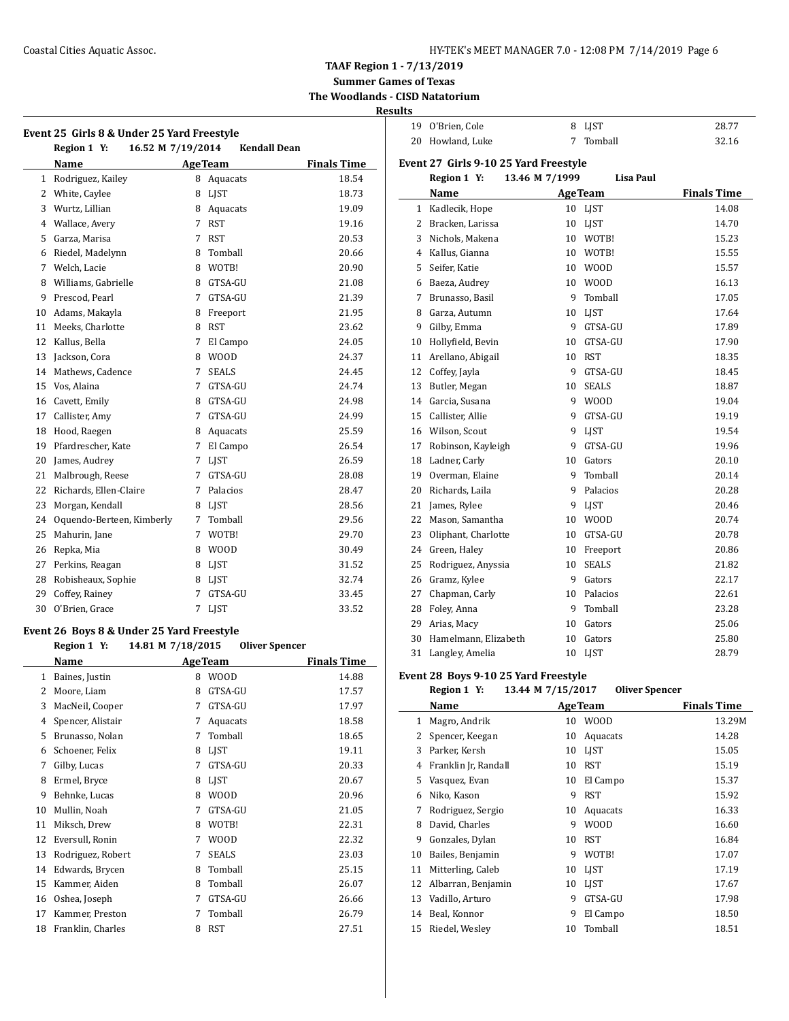$\overline{a}$ 

**Event 25 Girls 8 & Under 25 Yard Freestyle**

**TAAF Region 1 - 7/13/2019**

**Summer Games of Texas The Woodlands - CISD Natatorium**

## **Results**

| 19 O'Brien, Cole | 8 LJST    | 28.77 |
|------------------|-----------|-------|
| 20 Howland, Luke | 7 Tomball | 32.16 |

#### **Event 27 Girls 9-10 25 Yard Freestyle Region 1 Y: 13.46 M 7/1999 Lisa Paul**

|    | 16.52 M 7/19/2014<br>Region 1 Y: |                | <b>Kendall Dean</b> |                    |
|----|----------------------------------|----------------|---------------------|--------------------|
|    | <b>Name</b>                      | <b>AgeTeam</b> |                     | <b>Finals Time</b> |
| 1  | Rodriguez, Kailey                | 8              | Aquacats            | 18.54              |
| 2  | White, Caylee                    | 8              | LIST                | 18.73              |
| 3  | Wurtz, Lillian                   | 8              | Aquacats            | 19.09              |
| 4  | Wallace, Avery                   | 7              | <b>RST</b>          | 19.16              |
| 5  | Garza, Marisa                    | 7              | <b>RST</b>          | 20.53              |
| 6  | Riedel, Madelynn                 | 8              | Tomball             | 20.66              |
| 7  | Welch, Lacie                     | 8              | WOTB!               | 20.90              |
| 8  | Williams, Gabrielle              | 8              | GTSA-GU             | 21.08              |
| 9  | Prescod, Pearl                   | 7              | GTSA-GU             | 21.39              |
| 10 | Adams, Makayla                   | 8              | Freeport            | 21.95              |
| 11 | Meeks, Charlotte                 | 8              | <b>RST</b>          | 23.62              |
| 12 | Kallus, Bella                    | 7              | El Campo            | 24.05              |
| 13 | Jackson, Cora                    | 8              | <b>WOOD</b>         | 24.37              |
| 14 | Mathews, Cadence                 | 7              | <b>SEALS</b>        | 24.45              |
| 15 | Vos, Alaina                      | 7              | GTSA-GU             | 24.74              |
| 16 | Cavett, Emily                    | 8              | GTSA-GU             | 24.98              |
| 17 | Callister, Amy                   | 7              | GTSA-GU             | 24.99              |
| 18 | Hood, Raegen                     | 8              | Aquacats            | 25.59              |
| 19 | Pfardrescher, Kate               | 7              | El Campo            | 26.54              |
| 20 | James, Audrey                    | 7              | <b>LIST</b>         | 26.59              |
| 21 | Malbrough, Reese                 | 7              | GTSA-GU             | 28.08              |
| 22 | Richards, Ellen-Claire           | 7              | Palacios            | 28.47              |
| 23 | Morgan, Kendall                  | 8              | <b>LIST</b>         | 28.56              |
| 24 | Oquendo-Berteen, Kimberly        | 7              | Tomball             | 29.56              |
| 25 | Mahurin, Jane                    | 7              | WOTB!               | 29.70              |
| 26 | Repka, Mia                       | 8              | <b>WOOD</b>         | 30.49              |
| 27 | Perkins, Reagan                  | 8              | <b>LIST</b>         | 31.52              |
| 28 | Robisheaux, Sophie               | 8              | <b>LIST</b>         | 32.74              |
| 29 | Coffey, Rainey                   | 7              | GTSA-GU             | 33.45              |
| 30 | O'Brien, Grace                   | 7              | <b>LJST</b>         | 33.52              |

## **Event 26 Boys 8 & Under 25 Yard Freestyle**

**Region 1 Y: 14.81 M 7/18/2015 Oliver Spencer**

|    | Name              |   | <b>AgeTeam</b> | <b>Finals Time</b> |
|----|-------------------|---|----------------|--------------------|
| 1  | Baines, Justin    | 8 | <b>WOOD</b>    | 14.88              |
| 2  | Moore, Liam       | 8 | GTSA-GU        | 17.57              |
| 3  | MacNeil, Cooper   | 7 | GTSA-GU        | 17.97              |
| 4  | Spencer, Alistair | 7 | Aquacats       | 18.58              |
| 5  | Brunasso, Nolan   | 7 | Tomball        | 18.65              |
| 6  | Schoener, Felix   | 8 | <b>LIST</b>    | 19.11              |
| 7  | Gilby, Lucas      | 7 | GTSA-GU        | 20.33              |
| 8  | Ermel, Bryce      | 8 | LIST           | 20.67              |
| 9  | Behnke, Lucas     | 8 | WOOD           | 20.96              |
| 10 | Mullin, Noah      | 7 | GTSA-GU        | 21.05              |
| 11 | Miksch, Drew      | 8 | WOTB!          | 22.31              |
| 12 | Eversull, Ronin   | 7 | WOOD           | 22.32              |
| 13 | Rodriguez, Robert | 7 | <b>SEALS</b>   | 23.03              |
| 14 | Edwards, Brycen   | 8 | Tomball        | 25.15              |
| 15 | Kammer, Aiden     | 8 | Tomball        | 26.07              |
| 16 | Oshea, Joseph     | 7 | GTSA-GU        | 26.66              |
| 17 | Kammer, Preston   | 7 | Tomball        | 26.79              |
| 18 | Franklin, Charles | 8 | <b>RST</b>     | 27.51              |

|    | Name                 |    | <b>AgeTeam</b> | <b>Finals Time</b> |
|----|----------------------|----|----------------|--------------------|
| 1  | Kadlecik, Hope       | 10 | <b>LIST</b>    | 14.08              |
| 2  | Bracken, Larissa     | 10 | <b>LIST</b>    | 14.70              |
| 3  | Nichols, Makena      | 10 | WOTB!          | 15.23              |
| 4  | Kallus, Gianna       | 10 | WOTB!          | 15.55              |
| 5  | Seifer, Katie        | 10 | <b>WOOD</b>    | 15.57              |
| 6  | Baeza, Audrey        | 10 | <b>WOOD</b>    | 16.13              |
| 7  | Brunasso, Basil      | 9  | Tomball        | 17.05              |
| 8  | Garza, Autumn        | 10 | <b>LIST</b>    | 17.64              |
| 9  | Gilby, Emma          | 9  | GTSA-GU        | 17.89              |
| 10 | Hollyfield, Bevin    | 10 | GTSA-GU        | 17.90              |
| 11 | Arellano, Abigail    | 10 | <b>RST</b>     | 18.35              |
| 12 | Coffey, Jayla        | 9  | GTSA-GU        | 18.45              |
| 13 | Butler, Megan        | 10 | <b>SEALS</b>   | 18.87              |
| 14 | Garcia, Susana       | 9  | <b>WOOD</b>    | 19.04              |
| 15 | Callister, Allie     | 9  | GTSA-GU        | 19.19              |
| 16 | Wilson, Scout        | 9  | <b>LIST</b>    | 19.54              |
| 17 | Robinson, Kayleigh   | 9  | GTSA-GU        | 19.96              |
| 18 | Ladner, Carly        | 10 | Gators         | 20.10              |
| 19 | Overman, Elaine      | 9  | Tomball        | 20.14              |
| 20 | Richards, Laila      | 9  | Palacios       | 20.28              |
| 21 | James, Rylee         | 9  | LIST           | 20.46              |
| 22 | Mason, Samantha      | 10 | <b>WOOD</b>    | 20.74              |
| 23 | Oliphant, Charlotte  | 10 | GTSA-GU        | 20.78              |
| 24 | Green, Haley         | 10 | Freeport       | 20.86              |
| 25 | Rodriguez, Anyssia   | 10 | <b>SEALS</b>   | 21.82              |
| 26 | Gramz, Kylee         | 9  | Gators         | 22.17              |
| 27 | Chapman, Carly       | 10 | Palacios       | 22.61              |
| 28 | Foley, Anna          | 9  | Tomball        | 23.28              |
| 29 | Arias, Macy          | 10 | Gators         | 25.06              |
| 30 | Hamelmann, Elizabeth | 10 | Gators         | 25.80              |
| 31 | Langley, Amelia      | 10 | <b>LIST</b>    | 28.79              |

#### **Event 28 Boys 9-10 25 Yard Freestyle**

 $\overline{a}$ 

**Region 1 Y: 13.44 M 7/15/2017 Oliver Spencer**

|    | Name                 |    | <b>AgeTeam</b> | <b>Finals Time</b> |
|----|----------------------|----|----------------|--------------------|
| 1  | Magro, Andrik        | 10 | <b>WOOD</b>    | 13.29M             |
| 2  | Spencer, Keegan      | 10 | Aquacats       | 14.28              |
| 3  | Parker, Kersh        | 10 | <b>LIST</b>    | 15.05              |
| 4  | Franklin Jr, Randall | 10 | <b>RST</b>     | 15.19              |
| 5  | Vasquez, Evan        | 10 | El Campo       | 15.37              |
| 6  | Niko, Kason          | 9  | <b>RST</b>     | 15.92              |
| 7  | Rodriguez, Sergio    | 10 | Aquacats       | 16.33              |
| 8  | David, Charles       | 9  | W00D           | 16.60              |
| 9  | Gonzales, Dylan      | 10 | <b>RST</b>     | 16.84              |
| 10 | Bailes, Benjamin     | 9  | WOTB!          | 17.07              |
| 11 | Mitterling, Caleb    | 10 | LIST           | 17.19              |
| 12 | Albarran, Benjamin   | 10 | <b>LIST</b>    | 17.67              |
| 13 | Vadillo, Arturo      | 9  | GTSA-GU        | 17.98              |
| 14 | Beal, Konnor         | 9  | El Campo       | 18.50              |
| 15 | Riedel, Wesley       | 10 | Tomball        | 18.51              |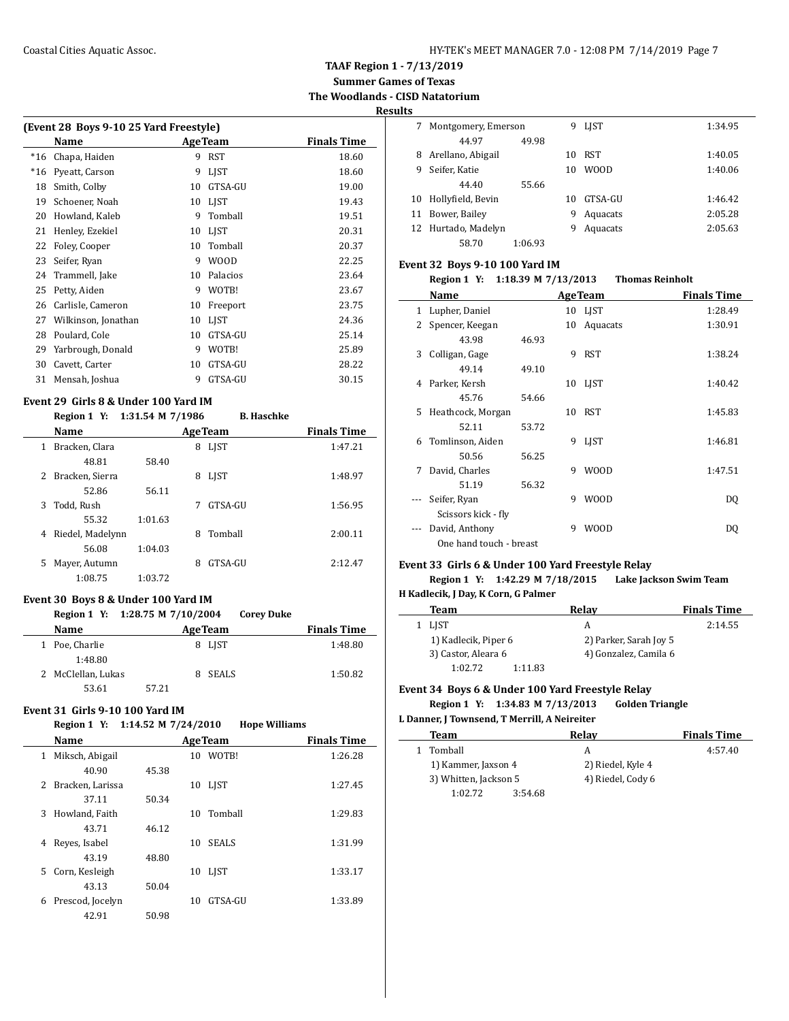**TAAF Region 1 - 7/13/2019**

**Summer Games of Texas The Woodlands - CISD Natatorium**

**Results**

 $\overline{\phantom{0}}$ 

 $\overline{\phantom{a}}$ 

| (Event 28 Boys 9-10 25 Yard Freestyle) |                     |    |                 |                    |
|----------------------------------------|---------------------|----|-----------------|--------------------|
|                                        | Name                |    | <b>Age Team</b> | <b>Finals Time</b> |
| $*16$                                  | Chapa, Haiden       | 9  | <b>RST</b>      | 18.60              |
| $*16$                                  | Pyeatt, Carson      | 9  | <b>LIST</b>     | 18.60              |
| 18                                     | Smith, Colby        | 10 | GTSA-GU         | 19.00              |
| 19                                     | Schoener, Noah      | 10 | <b>LIST</b>     | 19.43              |
| 20                                     | Howland, Kaleb      | 9  | Tomball         | 19.51              |
| 21                                     | Henley, Ezekiel     | 10 | <b>LIST</b>     | 20.31              |
| 22                                     | Foley, Cooper       | 10 | Tomball         | 20.37              |
| 23                                     | Seifer, Ryan        | 9  | <b>WOOD</b>     | 22.25              |
| 24                                     | Trammell, Jake      | 10 | Palacios        | 23.64              |
| 25                                     | Petty, Aiden        | 9  | WOTB!           | 23.67              |
| 26                                     | Carlisle, Cameron   | 10 | Freeport        | 23.75              |
| 27                                     | Wilkinson, Jonathan | 10 | <b>LIST</b>     | 24.36              |
| 28                                     | Poulard, Cole       | 10 | GTSA-GU         | 25.14              |
| 29                                     | Yarbrough, Donald   | 9  | WOTB!           | 25.89              |
| 30                                     | Cavett, Carter      | 10 | GTSA-GU         | 28.22              |
| 31                                     | Mensah, Joshua      | 9  | GTSA-GU         | 30.15              |
|                                        |                     |    |                 |                    |

### **Event 29 Girls 8 & Under 100 Yard IM**

**Region 1 Y: 1:31.54 M 7/1986 B. Haschke**

|      | $\frac{1}{2}$ | D. Hastiint |             |
|------|---------------|-------------|-------------|
| Namo | AgaTaam       |             | Finale Time |

|   | маше             |         |   | де геаш     | гицанэ гипе |
|---|------------------|---------|---|-------------|-------------|
|   | Bracken, Clara   |         | 8 | <b>LIST</b> | 1:47.21     |
|   | 48.81            | 58.40   |   |             |             |
| 2 | Bracken, Sierra  |         | 8 | LJST        | 1:48.97     |
|   | 52.86            | 56.11   |   |             |             |
| 3 | Todd, Rush       |         |   | GTSA-GU     | 1:56.95     |
|   | 55.32            | 1:01.63 |   |             |             |
| 4 | Riedel, Madelynn |         | 8 | Tomball     | 2:00.11     |
|   | 56.08            | 1:04.03 |   |             |             |
| 5 | Mayer, Autumn    |         | 8 | GTSA-GU     | 2:12.47     |
|   | 1:08.75          | 1:03.72 |   |             |             |

#### **Event 30 Boys 8 & Under 100 Yard IM**

**Region 1 Y: 1:28.75 M 7/10/2004 Corey Duke**

|   | <b>Name</b>        | <b>AgeTeam</b> |    | <b>Finals Time</b> |         |
|---|--------------------|----------------|----|--------------------|---------|
| 1 | Poe, Charlie       |                |    | 8 LJST             | 1:48.80 |
|   | 1:48.80            |                |    |                    |         |
|   | 2 McClellan, Lukas |                | 8. | SEALS              | 1:50.82 |
|   | 53.61              | 57.21          |    |                    |         |

#### **Event 31 Girls 9-10 100 Yard IM**

#### **Region 1 Y: 1:14.52 M 7/24/2010 Hope Williams**

|    | Name             |       |    | <b>AgeTeam</b> | <b>Finals Time</b> |
|----|------------------|-------|----|----------------|--------------------|
| 1  | Miksch, Abigail  |       | 10 | WOTB!          | 1:26.28            |
|    | 40.90            | 45.38 |    |                |                    |
| 2  | Bracken, Larissa |       |    | 10 LIST        | 1:27.45            |
|    | 37.11            | 50.34 |    |                |                    |
| 3  | Howland, Faith   |       | 10 | Tomball        | 1:29.83            |
|    | 43.71            | 46.12 |    |                |                    |
| 4  | Reves, Isabel    |       | 10 | <b>SEALS</b>   | 1:31.99            |
|    | 43.19            | 48.80 |    |                |                    |
| 5. | Corn, Kesleigh   |       |    | 10 LJST        | 1:33.17            |
|    | 43.13            | 50.04 |    |                |                    |
| 6  | Prescod, Jocelyn |       | 10 | GTSA-GU        | 1:33.89            |
|    | 42.91            | 50.98 |    |                |                    |

|    | Montgomery, Emerson |         | 9  | LIST        | 1:34.95 |
|----|---------------------|---------|----|-------------|---------|
|    | 44.97               | 49.98   |    |             |         |
| 8  | Arellano, Abigail   |         | 10 | RST         | 1:40.05 |
| 9  | Seifer, Katie       |         | 10 | <b>WOOD</b> | 1:40.06 |
|    | 44.40               | 55.66   |    |             |         |
| 10 | Hollyfield, Bevin   |         | 10 | GTSA-GU     | 1:46.42 |
| 11 | Bower, Bailey       |         | 9  | Aquacats    | 2:05.28 |
| 12 | Hurtado, Madelyn    |         | 9  | Aquacats    | 2:05.63 |
|    | 58.70               | 1:06.93 |    |             |         |

#### **Event 32 Boys 9-10 100 Yard IM**

| Name                |       |                         |             | <b>Finals Time</b>                                                                                          |
|---------------------|-------|-------------------------|-------------|-------------------------------------------------------------------------------------------------------------|
| Lupher, Daniel      |       |                         |             | 1:28.49                                                                                                     |
| Spencer, Keegan     |       | 10                      | Aquacats    | 1:30.91                                                                                                     |
| 43.98               | 46.93 |                         |             |                                                                                                             |
| Colligan, Gage      |       | 9                       | <b>RST</b>  | 1:38.24                                                                                                     |
| 49.14               | 49.10 |                         |             |                                                                                                             |
| Parker, Kersh       |       |                         |             | 1:40.42                                                                                                     |
| 45.76               | 54.66 |                         |             |                                                                                                             |
| Heathcock, Morgan   |       |                         |             | 1:45.83                                                                                                     |
| 52.11               | 53.72 |                         |             |                                                                                                             |
| Tomlinson, Aiden    |       | 9                       | <b>LIST</b> | 1:46.81                                                                                                     |
| 50.56               | 56.25 |                         |             |                                                                                                             |
| David, Charles      |       | 9                       | <b>WOOD</b> | 1:47.51                                                                                                     |
| 51.19               | 56.32 |                         |             |                                                                                                             |
| Seifer, Ryan        |       | 9                       | <b>WOOD</b> | DQ                                                                                                          |
| Scissors kick - fly |       |                         |             |                                                                                                             |
| David, Anthony      |       | 9                       | <b>WOOD</b> | DQ                                                                                                          |
|                     |       |                         |             |                                                                                                             |
|                     |       | One hand touch - breast |             | Region 1 Y: 1:18.39 M 7/13/2013<br><b>Thomas Reinholt</b><br><b>AgeTeam</b><br>10 LJST<br>10 LJST<br>10 RST |

#### **Event 33 Girls 6 & Under 100 Yard Freestyle Relay**

**Region 1 Y: 1:42.29 M 7/18/2015 Lake Jackson Swim Team H Kadlecik, J Day, K Corn, G Palmer**

| Team                 |         | Relav                  | <b>Finals Time</b> |
|----------------------|---------|------------------------|--------------------|
| LIST                 |         | А                      | 2:14.55            |
| 1) Kadlecik, Piper 6 |         | 2) Parker, Sarah Joy 5 |                    |
| 3) Castor, Aleara 6  |         | 4) Gonzalez, Camila 6  |                    |
| 1:02.72              | 1:11.83 |                        |                    |

#### **Event 34 Boys 6 & Under 100 Yard Freestyle Relay**

**Region 1 Y: 1:34.83 M 7/13/2013 Golden Triangle**

| L Danner, J Townsend, T Merrill, A Neireiter |                   |                    |  |  |  |  |
|----------------------------------------------|-------------------|--------------------|--|--|--|--|
| Team                                         | Relay             | <b>Finals Time</b> |  |  |  |  |
| Tomball<br>1.                                | А                 | 4:57.40            |  |  |  |  |
| 1) Kammer, Jaxson 4                          | 2) Riedel, Kyle 4 |                    |  |  |  |  |
| 3) Whitten, Jackson 5                        | 4) Riedel, Cody 6 |                    |  |  |  |  |
| 1:02.72                                      | 3:54.68           |                    |  |  |  |  |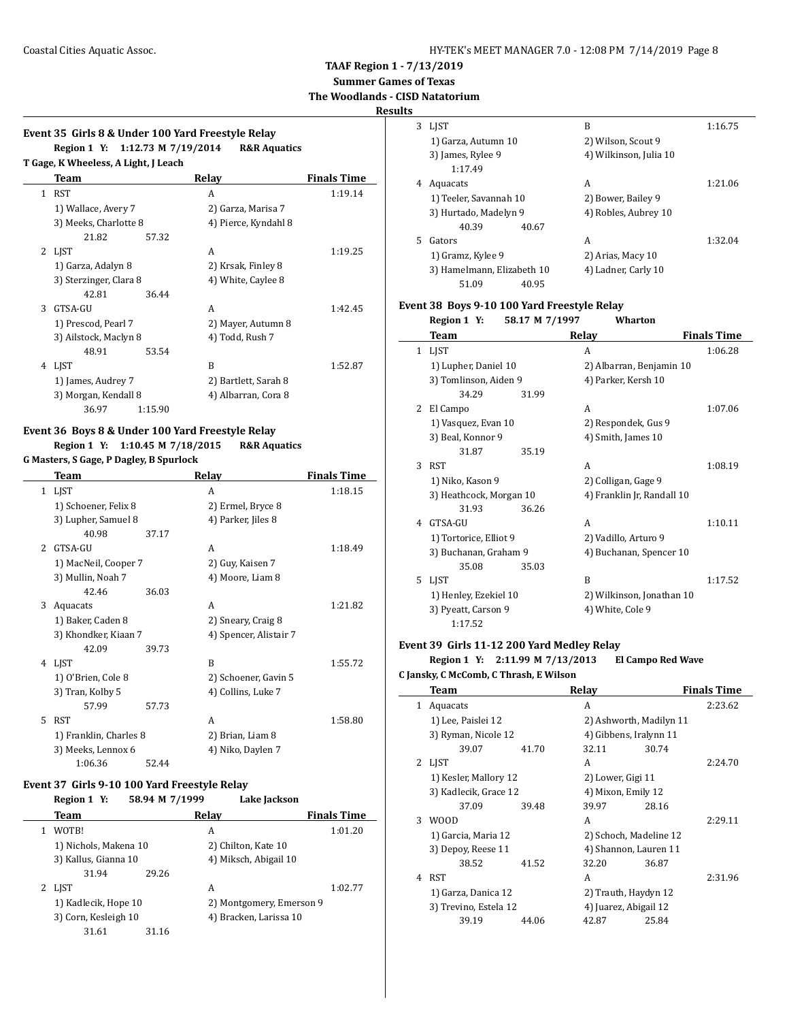**Summer Games of Texas**

### **The Woodlands - CISD Natatorium Results**

# **Event 35 Girls 8 & Under 100 Yard Freestyle Relay**

|              | Team                   |         | Relay                | <b>Finals Time</b> |
|--------------|------------------------|---------|----------------------|--------------------|
| $\mathbf{1}$ | <b>RST</b>             |         | A                    | 1:19.14            |
|              | 1) Wallace, Avery 7    |         | 2) Garza, Marisa 7   |                    |
|              | 3) Meeks, Charlotte 8  |         | 4) Pierce, Kyndahl 8 |                    |
|              | 21.82                  | 57.32   |                      |                    |
| 2            | LJST                   |         | A                    | 1:19.25            |
|              | 1) Garza, Adalyn 8     |         | 2) Krsak, Finley 8   |                    |
|              | 3) Sterzinger, Clara 8 |         | 4) White, Caylee 8   |                    |
|              | 42.81                  | 36.44   |                      |                    |
| 3            | GTSA-GU                |         | A                    | 1:42.45            |
|              | 1) Prescod, Pearl 7    |         | 2) Mayer, Autumn 8   |                    |
|              | 3) Ailstock, Maclyn 8  |         | 4) Todd, Rush 7      |                    |
|              | 48.91                  | 53.54   |                      |                    |
| 4            | LJST                   |         | R                    | 1:52.87            |
|              | 1) James, Audrey 7     |         | 2) Bartlett, Sarah 8 |                    |
|              | 3) Morgan, Kendall 8   |         | 4) Albarran, Cora 8  |                    |
|              | 36.97                  | 1:15.90 |                      |                    |

## **Event 36 Boys 8 & Under 100 Yard Freestyle Relay Region 1 Y: 1:10.45 M 7/18/2015 R&R Aquatics**

**G Masters, S Gage, P Dagley, B Spurlock**

|               | Team                   |       | Relay                  | <b>Finals Time</b> |
|---------------|------------------------|-------|------------------------|--------------------|
|               | 1 LJST                 |       | A                      | 1:18.15            |
|               | 1) Schoener, Felix 8   |       | 2) Ermel, Bryce 8      |                    |
|               | 3) Lupher, Samuel 8    |       | 4) Parker, Jiles 8     |                    |
|               | 40.98                  | 37.17 |                        |                    |
| $\mathcal{L}$ | GTSA-GU                |       | A                      | 1:18.49            |
|               | 1) MacNeil, Cooper 7   |       | 2) Guy, Kaisen 7       |                    |
|               | 3) Mullin, Noah 7      |       | 4) Moore, Liam 8       |                    |
|               | 42.46                  | 36.03 |                        |                    |
| 3             | Aquacats               |       | A                      | 1:21.82            |
|               | 1) Baker, Caden 8      |       | 2) Sneary, Craig 8     |                    |
|               | 3) Khondker, Kiaan 7   |       | 4) Spencer, Alistair 7 |                    |
|               | 42.09                  | 39.73 |                        |                    |
| 4             | LIST                   |       | R                      | 1:55.72            |
|               | 1) O'Brien, Cole 8     |       | 2) Schoener, Gavin 5   |                    |
|               | 3) Tran, Kolby 5       |       | 4) Collins, Luke 7     |                    |
|               | 57.99                  | 57.73 |                        |                    |
| 5             | <b>RST</b>             |       | A                      | 1:58.80            |
|               | 1) Franklin, Charles 8 |       | 2) Brian, Liam 8       |                    |
|               | 3) Meeks, Lennox 6     |       | 4) Niko, Daylen 7      |                    |
|               | 1:06.36                | 52.44 |                        |                    |

#### **Event 37 Girls 9-10 100 Yard Freestyle Relay**

| Region 1 Y:           | 58.94 M 7/1999 | Lake Jackson             |                    |
|-----------------------|----------------|--------------------------|--------------------|
| Team                  |                | Relay                    | <b>Finals Time</b> |
| WOTB!                 |                | A                        | 1:01.20            |
| 1) Nichols, Makena 10 |                | 2) Chilton, Kate 10      |                    |
| 3) Kallus, Gianna 10  |                | 4) Miksch, Abigail 10    |                    |
| 31.94                 | 29.26          |                          |                    |
| LIST                  |                | A                        | 1:02.77            |
| 1) Kadlecik, Hope 10  |                | 2) Montgomery, Emerson 9 |                    |
| 3) Corn, Kesleigh 10  |                | 4) Bracken, Larissa 10   |                    |
| 31.61                 | 31.16          |                          |                    |

| 3  | <b>LIST</b>                |       | B                      | 1:16.75 |
|----|----------------------------|-------|------------------------|---------|
|    | 1) Garza, Autumn 10        |       | 2) Wilson, Scout 9     |         |
|    | 3) James, Rylee 9          |       | 4) Wilkinson, Julia 10 |         |
|    | 1:17.49                    |       |                        |         |
| 4  | Aquacats                   |       | A                      | 1:21.06 |
|    | 1) Teeler, Savannah 10     |       | 2) Bower, Bailey 9     |         |
|    | 3) Hurtado, Madelyn 9      |       | 4) Robles, Aubrey 10   |         |
|    | 40.39                      | 40.67 |                        |         |
| 5. | Gators                     |       | A                      | 1:32.04 |
|    | 1) Gramz, Kylee 9          |       | 2) Arias, Macy 10      |         |
|    | 3) Hamelmann, Elizabeth 10 |       | 4) Ladner, Carly 10    |         |
|    | 51.09                      | 40.95 |                        |         |

#### **Event 38 Boys 9-10 100 Yard Freestyle Relay**

|              | Region 1 Y:             | 58.17 M 7/1997 | Wharton                    |                    |
|--------------|-------------------------|----------------|----------------------------|--------------------|
|              | Team                    |                | Relay                      | <b>Finals Time</b> |
| $\mathbf{1}$ | <b>LIST</b>             |                | A                          | 1:06.28            |
|              | 1) Lupher, Daniel 10    |                | 2) Albarran, Benjamin 10   |                    |
|              | 3) Tomlinson, Aiden 9   |                | 4) Parker, Kersh 10        |                    |
|              | 34.29                   | 31.99          |                            |                    |
| 2            | El Campo                |                | A                          | 1:07.06            |
|              | 1) Vasquez, Evan 10     |                | 2) Respondek, Gus 9        |                    |
|              | 3) Beal, Konnor 9       |                | 4) Smith, James 10         |                    |
|              | 31.87                   | 35.19          |                            |                    |
| 3            | <b>RST</b>              |                | A                          | 1:08.19            |
|              | 1) Niko, Kason 9        |                | 2) Colligan, Gage 9        |                    |
|              | 3) Heathcock, Morgan 10 |                | 4) Franklin Jr, Randall 10 |                    |
|              | 31.93                   | 36.26          |                            |                    |
| 4            | GTSA-GU                 |                | A                          | 1:10.11            |
|              | 1) Tortorice, Elliot 9  |                | 2) Vadillo, Arturo 9       |                    |
|              | 3) Buchanan, Graham 9   |                | 4) Buchanan, Spencer 10    |                    |
|              | 35.08                   | 35.03          |                            |                    |
| 5            | LIST                    |                | B                          | 1:17.52            |
|              | 1) Henley, Ezekiel 10   |                | 2) Wilkinson, Jonathan 10  |                    |
|              | 3) Pyeatt, Carson 9     |                | 4) White, Cole 9           |                    |
|              | 1:17.52                 |                |                            |                    |

## **Event 39 Girls 11-12 200 Yard Medley Relay**

#### **Region 1 Y: 2:11.99 M 7/13/2013 El Campo Red Wave C Jansky, C McComb, C Thrash, E Wilson**

|   | Team                  |       | Relay                   |       | <b>Finals Time</b> |
|---|-----------------------|-------|-------------------------|-------|--------------------|
| 1 | Aquacats              |       | A                       |       | 2:23.62            |
|   | 1) Lee, Paislei 12    |       | 2) Ashworth, Madilyn 11 |       |                    |
|   | 3) Ryman, Nicole 12   |       | 4) Gibbens, Iralynn 11  |       |                    |
|   | 39.07                 | 41.70 | 32.11                   | 30.74 |                    |
| 2 | <b>LIST</b>           |       | A                       |       | 2:24.70            |
|   | 1) Kesler, Mallory 12 |       | 2) Lower, Gigi 11       |       |                    |
|   | 3) Kadlecik, Grace 12 |       | 4) Mixon, Emily 12      |       |                    |
|   | 37.09                 | 39.48 | 39.97                   | 28.16 |                    |
| 3 | <b>WOOD</b>           |       | A                       |       | 2:29.11            |
|   | 1) Garcia, Maria 12   |       | 2) Schoch, Madeline 12  |       |                    |
|   | 3) Depoy, Reese 11    |       | 4) Shannon, Lauren 11   |       |                    |
|   | 38.52                 | 41.52 | 32.20                   | 36.87 |                    |
| 4 | <b>RST</b>            |       | A                       |       | 2:31.96            |
|   | 1) Garza, Danica 12   |       | 2) Trauth, Haydyn 12    |       |                    |
|   | 3) Trevino, Estela 12 |       | 4) Juarez, Abigail 12   |       |                    |
|   | 39.19                 | 44.06 | 42.87                   | 25.84 |                    |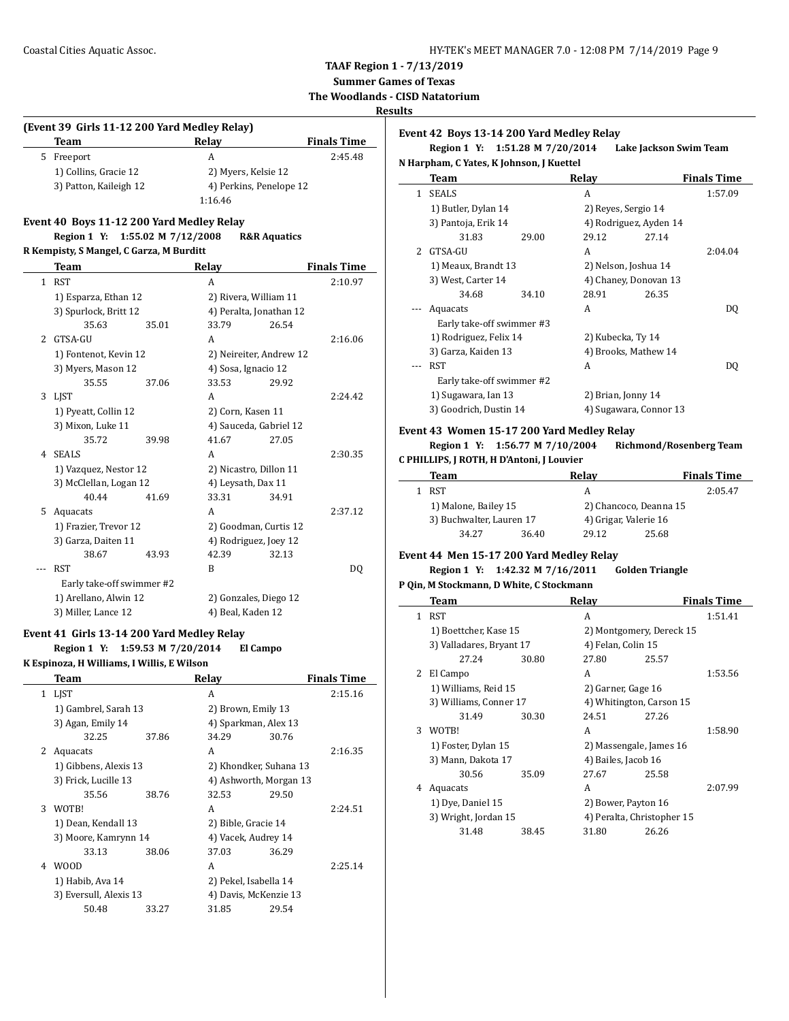**Summer Games of Texas**

**The Woodlands - CISD Natatorium**

### **Results**

 $\overline{a}$ 

 $\sim$ 

#### **Event 42 Boys 13-14 200 Yard Medley Relay**

**Team Relay Finals Time** 5 Freeport A 2:45.48 1) Collins, Gracie 12 2) Myers, Kelsie 12 3) Patton, Kaileigh 12 4) Perkins, Penelope 12 1:16.46

## **Event 40 Boys 11-12 200 Yard Medley Relay**

**(Event 39 Girls 11-12 200 Yard Medley Relay)**

## **Region 1 Y: 1:55.02 M 7/12/2008 R&R Aquatics**

#### **R Kempisty, S Mangel, C Garza, M Burditt**

|               | Team                      |       | <b>Relay</b>            |       | <b>Finals Time</b> |
|---------------|---------------------------|-------|-------------------------|-------|--------------------|
| $\mathbf{1}$  | <b>RST</b>                |       | A                       |       | 2:10.97            |
|               | 1) Esparza, Ethan 12      |       | 2) Rivera, William 11   |       |                    |
|               | 3) Spurlock, Britt 12     |       | 4) Peralta, Jonathan 12 |       |                    |
|               | 35.63                     | 35.01 | 33.79                   | 26.54 |                    |
| $\mathcal{L}$ | GTSA-GU                   |       | A                       |       | 2:16.06            |
|               | 1) Fontenot, Kevin 12     |       | 2) Neireiter, Andrew 12 |       |                    |
|               | 3) Myers, Mason 12        |       | 4) Sosa, Ignacio 12     |       |                    |
|               | 35.55                     | 37.06 | 33.53                   | 29.92 |                    |
| 3             | <b>LIST</b>               |       | A                       |       | 2:24.42            |
|               | 1) Pyeatt, Collin 12      |       | 2) Corn, Kasen 11       |       |                    |
|               | 3) Mixon, Luke 11         |       | 4) Sauceda, Gabriel 12  |       |                    |
|               | 35.72                     | 39.98 | 41.67                   | 27.05 |                    |
| 4             | <b>SEALS</b>              |       | A                       |       | 2:30.35            |
|               | 1) Vazquez, Nestor 12     |       | 2) Nicastro, Dillon 11  |       |                    |
|               | 3) McClellan, Logan 12    |       | 4) Leysath, Dax 11      |       |                    |
|               | 40.44                     | 41.69 | 33.31                   | 34.91 |                    |
| 5.            | Aquacats                  |       | A                       |       | 2:37.12            |
|               | 1) Frazier, Trevor 12     |       | 2) Goodman, Curtis 12   |       |                    |
|               | 3) Garza, Daiten 11       |       | 4) Rodriguez, Joey 12   |       |                    |
|               | 38.67                     | 43.93 | 42.39                   | 32.13 |                    |
|               | <b>RST</b>                |       | B                       |       | DQ                 |
|               | Early take-off swimmer #2 |       |                         |       |                    |
|               | 1) Arellano, Alwin 12     |       | 2) Gonzales, Diego 12   |       |                    |
|               | 3) Miller, Lance 12       |       | 4) Beal, Kaden 12       |       |                    |

#### **Event 41 Girls 13-14 200 Yard Medley Relay**

**Region 1 Y: 1:59.53 M 7/20/2014 El Campo**

**K Espinoza, H Williams, I Willis, E Wilson**

|    | Team                   |       | Relay                  |       | <b>Finals Time</b> |
|----|------------------------|-------|------------------------|-------|--------------------|
| 1. | <b>LIST</b>            |       | A                      |       | 2:15.16            |
|    | 1) Gambrel, Sarah 13   |       | 2) Brown, Emily 13     |       |                    |
|    | 3) Agan, Emily 14      |       | 4) Sparkman, Alex 13   |       |                    |
|    | 32.25                  | 37.86 | 34.29                  | 30.76 |                    |
| 2  | Aquacats               |       | A                      |       | 2:16.35            |
|    | 1) Gibbens, Alexis 13  |       | 2) Khondker, Suhana 13 |       |                    |
|    | 3) Frick, Lucille 13   |       | 4) Ashworth, Morgan 13 |       |                    |
|    | 35.56                  | 38.76 | 32.53                  | 29.50 |                    |
| 3  | WOTB!                  |       | A                      |       | 2:24.51            |
|    | 1) Dean, Kendall 13    |       | 2) Bible, Gracie 14    |       |                    |
|    | 3) Moore, Kamrynn 14   |       | 4) Vacek, Audrey 14    |       |                    |
|    | 33.13                  | 38.06 | 37.03                  | 36.29 |                    |
| 4  | W00D                   |       | A                      |       | 2:25.14            |
|    | 1) Habib, Ava 14       |       | 2) Pekel, Isabella 14  |       |                    |
|    | 3) Eversull, Alexis 13 |       | 4) Davis, McKenzie 13  |       |                    |
|    | 50.48                  | 33.27 | 31.85                  | 29.54 |                    |
|    |                        |       |                        |       |                    |

## **Region 1 Y: 1:51.28 M 7/20/2014 Lake Jackson Swim Team**

| N Harpham, C Yates, K Johnson, J Kuettel |  |  |
|------------------------------------------|--|--|
|                                          |  |  |

|                     |       |                                                                                                                                   |       | <b>Finals Time</b>                                                                                                                                                                          |
|---------------------|-------|-----------------------------------------------------------------------------------------------------------------------------------|-------|---------------------------------------------------------------------------------------------------------------------------------------------------------------------------------------------|
| <b>SEALS</b>        |       | A                                                                                                                                 |       | 1:57.09                                                                                                                                                                                     |
| 1) Butler, Dylan 14 |       |                                                                                                                                   |       |                                                                                                                                                                                             |
| 3) Pantoja, Erik 14 |       |                                                                                                                                   |       |                                                                                                                                                                                             |
| 31.83               | 29.00 | 29.12                                                                                                                             | 27.14 |                                                                                                                                                                                             |
| GTSA-GU             |       | A                                                                                                                                 |       | 2:04.04                                                                                                                                                                                     |
|                     |       |                                                                                                                                   |       |                                                                                                                                                                                             |
| 3) West, Carter 14  |       |                                                                                                                                   |       |                                                                                                                                                                                             |
| 34.68               | 34.10 | 28.91                                                                                                                             | 26.35 |                                                                                                                                                                                             |
| Aquacats            |       | A                                                                                                                                 |       | DO.                                                                                                                                                                                         |
|                     |       |                                                                                                                                   |       |                                                                                                                                                                                             |
|                     |       |                                                                                                                                   |       |                                                                                                                                                                                             |
| 3) Garza, Kaiden 13 |       |                                                                                                                                   |       |                                                                                                                                                                                             |
| RST                 |       | A                                                                                                                                 |       | DO.                                                                                                                                                                                         |
|                     |       |                                                                                                                                   |       |                                                                                                                                                                                             |
| 1) Sugawara, Ian 13 |       |                                                                                                                                   |       |                                                                                                                                                                                             |
|                     |       |                                                                                                                                   |       |                                                                                                                                                                                             |
|                     |       | 1) Meaux, Brandt 13<br>Early take-off swimmer #3<br>1) Rodriguez, Felix 14<br>Early take-off swimmer #2<br>3) Goodrich, Dustin 14 |       | 2) Reves, Sergio 14<br>4) Rodriguez, Ayden 14<br>2) Nelson, Joshua 14<br>4) Chaney, Donovan 13<br>2) Kubecka, Ty 14<br>4) Brooks, Mathew 14<br>2) Brian, Jonny 14<br>4) Sugawara, Connor 13 |

#### **Event 43 Women 15-17 200 Yard Medley Relay**

#### **Region 1 Y: 1:56.77 M 7/10/2004 Richmond/Rosenberg Team C PHILLIPS, J ROTH, H D'Antoni, J Louvier**

| Team                     |       | Relav                  |       | <b>Finals Time</b> |
|--------------------------|-------|------------------------|-------|--------------------|
| RST                      |       | А                      |       | 2:05.47            |
| 1) Malone, Bailey 15     |       | 2) Chancoco, Deanna 15 |       |                    |
| 3) Buchwalter, Lauren 17 |       | 4) Grigar, Valerie 16  |       |                    |
| 34.27                    | 36.40 | 2912                   | 25.68 |                    |

#### **Event 44 Men 15-17 200 Yard Medley Relay**

#### **Region 1 Y: 1:42.32 M 7/16/2011 Golden Triangle**

#### **P Qin, M Stockmann, D White, C Stockmann**

|    | Team                     |       | Relay                      |       | <b>Finals Time</b> |
|----|--------------------------|-------|----------------------------|-------|--------------------|
| 1. | <b>RST</b>               |       | A                          |       | 1:51.41            |
|    | 1) Boettcher, Kase 15    |       | 2) Montgomery, Dereck 15   |       |                    |
|    | 3) Valladares, Bryant 17 |       | 4) Felan, Colin 15         |       |                    |
|    | 27.24                    | 30.80 | 27.80                      | 25.57 |                    |
| 2  | El Campo                 |       | A                          |       | 1:53.56            |
|    | 1) Williams, Reid 15     |       | 2) Garner, Gage 16         |       |                    |
|    | 3) Williams, Conner 17   |       | 4) Whitington, Carson 15   |       |                    |
|    | 31.49                    | 30.30 | 24.51                      | 27.26 |                    |
| 3  | WOTB!                    |       | A                          |       | 1:58.90            |
|    | 1) Foster, Dylan 15      |       | 2) Massengale, James 16    |       |                    |
|    | 3) Mann, Dakota 17       |       | 4) Bailes, Jacob 16        |       |                    |
|    | 30.56                    | 35.09 | 27.67                      | 25.58 |                    |
| 4  | Aquacats                 |       | A                          |       | 2:07.99            |
|    | 1) Dye, Daniel 15        |       | 2) Bower, Payton 16        |       |                    |
|    | 3) Wright, Jordan 15     |       | 4) Peralta, Christopher 15 |       |                    |
|    | 31.48                    | 38.45 | 31.80                      | 26.26 |                    |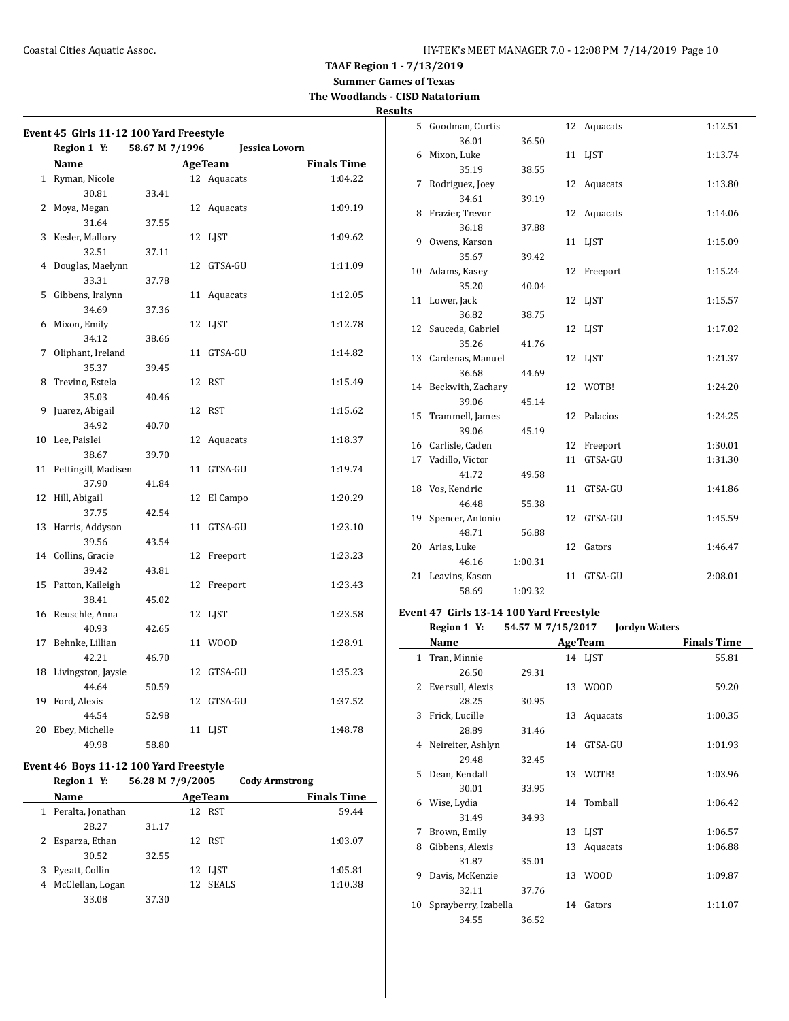**Summer Games of Texas The Woodlands - CISD Natatorium**

## **Results**

| Event 45 Girls 11-12 100 Yard Freestyle |                |                 |                    | 5 Goodman, Curtis                       |                   | 12 Aquacats                                      | 1:12.51              |
|-----------------------------------------|----------------|-----------------|--------------------|-----------------------------------------|-------------------|--------------------------------------------------|----------------------|
| Region 1 Y:                             | 58.67 M 7/1996 |                 | Jessica Lovorn     | 36.01                                   | 36.50             |                                                  |                      |
|                                         |                |                 |                    | 6 Mixon, Luke                           |                   | 11 LJST                                          | 1:13.74              |
| Name                                    |                | <b>Age Team</b> | <b>Finals Time</b> | 35.19                                   | 38.55             |                                                  |                      |
| 1 Ryman, Nicole                         |                | 12 Aquacats     | 1:04.22            | 7 Rodriguez, Joey                       |                   | 12 Aquacats                                      | 1:13.80              |
| 30.81                                   | 33.41          |                 |                    | 34.61                                   | 39.19             |                                                  |                      |
| 2 Moya, Megan                           |                | 12 Aquacats     | 1:09.19            | 8 Frazier, Trevor                       |                   | 12 Aquacats                                      | 1:14.06              |
| 31.64                                   | 37.55          |                 |                    | 36.18                                   | 37.88             |                                                  |                      |
| 3 Kesler, Mallory                       |                | 12 LJST         | 1:09.62            | 9 Owens, Karson                         |                   | 11 LJST                                          | 1:15.09              |
| 32.51                                   | 37.11          |                 |                    | 35.67                                   | 39.42             |                                                  |                      |
| 4 Douglas, Maelynn                      |                | 12 GTSA-GU      | 1:11.09            | 10 Adams, Kasey                         |                   | 12 Freeport                                      | 1:15.24              |
| 33.31                                   | 37.78          |                 |                    | 35.20                                   | 40.04             |                                                  |                      |
| 5 Gibbens, Iralynn                      |                | 11 Aquacats     | 1:12.05            | 11 Lower, Jack                          |                   | 12 LJST                                          | 1:15.57              |
| 34.69                                   | 37.36          |                 |                    | 36.82                                   | 38.75             |                                                  |                      |
| 6 Mixon, Emily                          |                | 12 LJST         | 1:12.78            | 12 Sauceda, Gabriel                     |                   | 12 LJST                                          | 1:17.02              |
| 34.12                                   | 38.66          |                 |                    | 35.26                                   | 41.76             |                                                  |                      |
| 7 Oliphant, Ireland                     |                | 11 GTSA-GU      | 1:14.82            | 13 Cardenas, Manuel                     |                   | 12 LJST                                          | 1:21.37              |
| 35.37                                   | 39.45          |                 |                    | 36.68                                   | 44.69             |                                                  |                      |
| 8 Trevino, Estela                       |                | 12 RST          | 1:15.49            | 14 Beckwith, Zachary                    |                   | 12 WOTB!                                         | 1:24.20              |
| 35.03                                   | 40.46          |                 |                    | 39.06                                   | 45.14             |                                                  |                      |
| 9 Juarez, Abigail                       |                | 12 RST          | 1:15.62            | 15 Trammell, James                      |                   | 12 Palacios                                      | 1:24.25              |
| 34.92                                   | 40.70          |                 |                    | 39.06                                   | 45.19             |                                                  |                      |
| 10 Lee, Paislei                         |                | 12 Aquacats     | 1:18.37            | 16 Carlisle, Caden                      |                   | 12 Freeport                                      | 1:30.01              |
| 38.67                                   | 39.70          |                 |                    | 17 Vadillo, Victor                      |                   | 11 GTSA-GU                                       |                      |
| 11 Pettingill, Madisen                  |                | 11 GTSA-GU      | 1:19.74            | 41.72                                   | 49.58             |                                                  | 1:31.30              |
| 37.90                                   | 41.84          |                 |                    |                                         |                   |                                                  |                      |
| 12 Hill, Abigail                        |                | 12 El Campo     | 1:20.29            | 18 Vos, Kendric                         |                   | 11 GTSA-GU                                       | 1:41.86              |
| 37.75                                   | 42.54          |                 |                    | 46.48                                   | 55.38             |                                                  |                      |
| 13 Harris, Addyson                      |                | 11 GTSA-GU      | 1:23.10            | 19 Spencer, Antonio                     |                   | 12 GTSA-GU                                       | 1:45.59              |
| 39.56                                   | 43.54          |                 |                    | 48.71                                   | 56.88             |                                                  |                      |
| 14 Collins, Gracie                      |                | 12 Freeport     | 1:23.23            | 20 Arias, Luke                          |                   | 12 Gators                                        | 1:46.47              |
| 39.42                                   | 43.81          |                 |                    | 46.16                                   | 1:00.31           |                                                  |                      |
| 15 Patton, Kaileigh                     |                | 12 Freeport     | 1:23.43            | 21 Leavins, Kason                       |                   | 11 GTSA-GU                                       | 2:08.01              |
| 38.41                                   | 45.02          |                 |                    | 58.69                                   | 1:09.32           |                                                  |                      |
| 16 Reuschle, Anna                       |                | 12 LJST         | 1:23.58            | Event 47 Girls 13-14 100 Yard Freestyle |                   |                                                  |                      |
| 40.93                                   | 42.65          |                 |                    | Region 1 Y:                             | 54.57 M 7/15/2017 |                                                  | <b>Jordyn Waters</b> |
| 17 Behnke, Lillian                      |                | 11 WOOD         | 1:28.91            | Name                                    |                   | <b>AgeTeam</b>                                   | <b>Finals Time</b>   |
| 42.21                                   |                |                 |                    |                                         |                   |                                                  |                      |
|                                         | 46.70          |                 | 1:35.23            | 1 Tran, Minnie                          |                   | 14 LJST                                          | 55.81                |
| 18 Livingston, Jaysie                   |                | 12 GTSA-GU      |                    | 26.50                                   | 29.31             |                                                  |                      |
| 44.64                                   | 50.59          |                 |                    | 2 Eversull, Alexis                      |                   | 13 WOOD                                          | 59.20                |
| 19 Ford, Alexis                         |                | 12 GTSA-GU      | 1:37.52            | 28.25                                   | 30.95             |                                                  |                      |
| 44.54                                   | 52.98          |                 |                    | 3 Frick, Lucille                        |                   | 13 Aquacats                                      | 1:00.35              |
| 20 Ebey, Michelle                       |                | 11 LJST         | 1:48.78            | 28.89                                   | 31.46             |                                                  |                      |
| 49.98                                   | 58.80          |                 |                    | 4 Neireiter, Ashlyn                     |                   | 14 GTSA-GU                                       | 1:01.93              |
| Event 46 Boys 11-12 100 Yard Freestyle  |                |                 |                    | 29.48                                   | 32.45             | $\sim$ $\sim$ $\sim$ $\sim$ $\sim$ $\sim$ $\sim$ | 10000                |
|                                         |                |                 |                    |                                         |                   |                                                  |                      |

## **Region 1 Y: 56.28 M 7/9/2005 Cody Armstrong**

|   | Name              |       | <b>AgeTeam</b> |              | <b>Finals Time</b> |
|---|-------------------|-------|----------------|--------------|--------------------|
|   | Peralta, Jonathan |       |                | 12 RST       | 59.44              |
|   | 28.27             | 31.17 |                |              |                    |
|   | Esparza, Ethan    |       |                | 12 RST       | 1:03.07            |
|   | 30.52             | 32.55 |                |              |                    |
|   | Pyeatt, Collin    |       |                | 12 LIST      | 1:05.81            |
| 4 | McClellan, Logan  |       | 12             | <b>SEALS</b> | 1:10.38            |
|   | 33.08             | 37.30 |                |              |                    |
|   |                   |       |                |              |                    |

|    | 17 vadillo, victor                    |                   |    | II GIJA-GU           | 1:21.20            |
|----|---------------------------------------|-------------------|----|----------------------|--------------------|
|    | 41.72                                 | 49.58             |    |                      |                    |
| 18 | Vos, Kendric                          |                   | 11 | GTSA-GU              | 1:41.86            |
|    | 46.48                                 | 55.38             |    |                      |                    |
| 19 | Spencer, Antonio                      |                   | 12 | GTSA-GU              | 1:45.59            |
|    | 48.71                                 | 56.88             |    |                      |                    |
| 20 | Arias, Luke                           |                   | 12 | Gators               | 1:46.47            |
|    | 46.16                                 | 1:00.31           |    |                      |                    |
| 21 | Leavins, Kason                        |                   | 11 | GTSA-GU              | 2:08.01            |
|    | 58.69                                 | 1:09.32           |    |                      |                    |
|    | ent 47 Girls 13-14 100 Yard Freestyle |                   |    |                      |                    |
|    | Region 1 Y:                           | 54.57 M 7/15/2017 |    | <b>Jordyn Waters</b> |                    |
|    | Name                                  |                   |    | <b>AgeTeam</b>       | <b>Finals Time</b> |
|    | 1 Tran, Minnie                        |                   |    | 14 LJST              | 55.81              |
|    | 26.50                                 | 29.31             |    |                      |                    |
| 2  | Eversull, Alexis                      |                   |    | 13 WOOD              | 59.20              |
|    | 28.25                                 | 30.95             |    |                      |                    |
| 3  | Frick, Lucille                        |                   |    | 13 Aquacats          | 1:00.35            |
|    | 28.89                                 | 31.46             |    |                      |                    |
| 4  | Neireiter, Ashlyn                     |                   |    | 14 GTSA-GU           | 1:01.93            |
|    | 29.48                                 | 32.45             |    |                      |                    |
| 5. | Dean, Kendall                         |                   |    | 13 WOTB!             | 1:03.96            |
|    | 30.01                                 | 33.95             |    |                      |                    |
| 6  | Wise, Lydia                           |                   |    | 14 Tomball           | 1:06.42            |
|    | 31.49                                 | 34.93             |    |                      |                    |
| 7  | Brown, Emily                          |                   |    | 13 LJST              | 1:06.57            |
| 8  | Gibbens, Alexis                       |                   | 13 | Aquacats             | 1:06.88            |
|    | 31.87                                 | 35.01             |    |                      |                    |
| 9  | Davis, McKenzie                       |                   |    | 13 WOOD              | 1:09.87            |
|    | 32.11                                 | 37.76             |    |                      |                    |
| 10 | Sprayberry, Izabella                  |                   |    | 14 Gators            | 1:11.07            |

34.55 36.52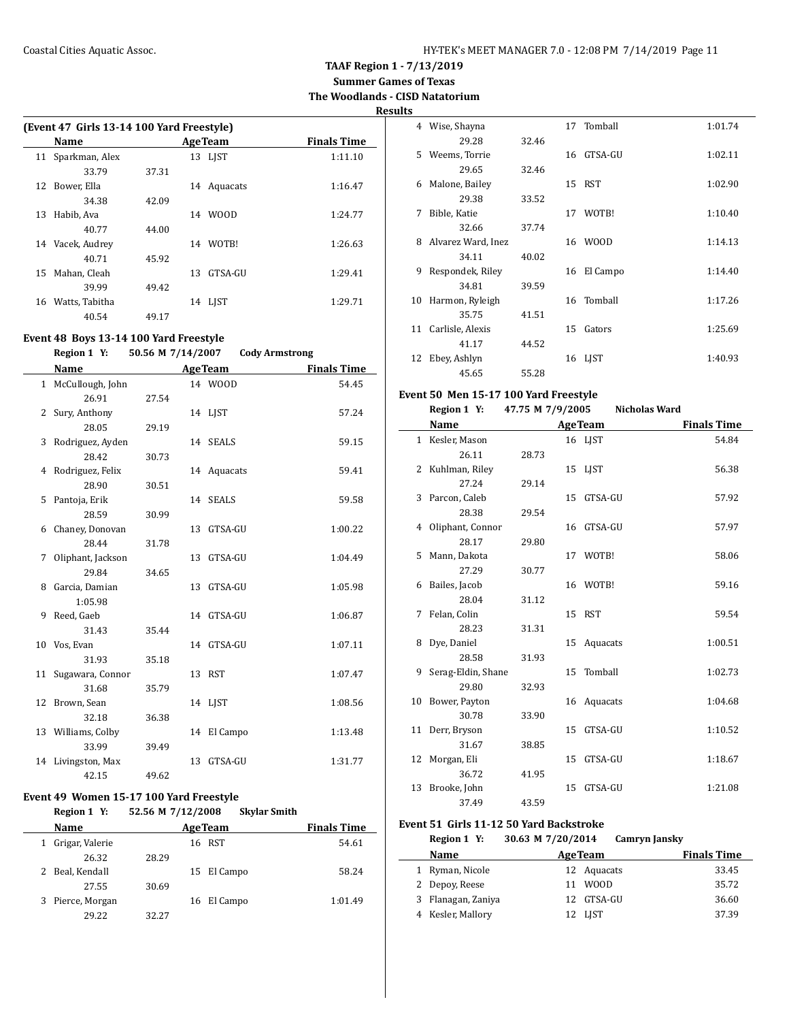**Summer Games of Texas The Woodlands - CISD Natatorium**

**Results**

|    | (Event 47 Girls 13-14 100 Yard Freestyle) |       |     |                |                    |  |  |  |  |
|----|-------------------------------------------|-------|-----|----------------|--------------------|--|--|--|--|
|    | Name                                      |       |     | <b>AgeTeam</b> | <b>Finals Time</b> |  |  |  |  |
| 11 | Sparkman, Alex                            |       |     | 13 LIST        | 1:11.10            |  |  |  |  |
|    | 33.79                                     | 37.31 |     |                |                    |  |  |  |  |
| 12 | Bower, Ella                               |       | 14  | Aquacats       | 1:16.47            |  |  |  |  |
|    | 34.38                                     | 42.09 |     |                |                    |  |  |  |  |
| 13 | Habib, Ava                                |       | 14  | WOOD           | 1:24.77            |  |  |  |  |
|    | 40.77                                     | 44.00 |     |                |                    |  |  |  |  |
| 14 | Vacek, Audrey                             |       | 14  | WOTB!          | 1:26.63            |  |  |  |  |
|    | 40.71                                     | 45.92 |     |                |                    |  |  |  |  |
| 15 | Mahan, Cleah                              |       | 13. | GTSA-GU        | 1:29.41            |  |  |  |  |
|    | 39.99                                     | 49.42 |     |                |                    |  |  |  |  |
| 16 | Watts, Tabitha                            |       | 14  | LIST           | 1:29.71            |  |  |  |  |
|    | 40.54                                     | 49.17 |     |                |                    |  |  |  |  |

## **Event 48 Boys 13-14 100 Yard Freestyle**

#### **Region 1 Y: 50.56 M 7/14/2007 Cody Armstrong**

| Name         |                     |       |    | <b>AgeTeam</b> | <b>Finals Time</b> |  |
|--------------|---------------------|-------|----|----------------|--------------------|--|
| $\mathbf{1}$ | McCullough, John    |       |    | 14 WOOD        | 54.45              |  |
|              | 26.91               | 27.54 |    |                |                    |  |
| 2            | Sury, Anthony       |       |    | 14 LJST        | 57.24              |  |
|              | 28.05               | 29.19 |    |                |                    |  |
| 3            | Rodriguez, Ayden    |       |    | 14 SEALS       | 59.15              |  |
|              | 28.42               | 30.73 |    |                |                    |  |
|              | 4 Rodriguez, Felix  |       |    | 14 Aquacats    | 59.41              |  |
|              | 28.90               | 30.51 |    |                |                    |  |
| 5.           | Pantoja, Erik       |       |    | 14 SEALS       | 59.58              |  |
|              | 28.59               | 30.99 |    |                |                    |  |
|              | 6 Chaney, Donovan   |       |    | 13 GTSA-GU     | 1:00.22            |  |
|              | 28.44               | 31.78 |    |                |                    |  |
| 7            | Oliphant, Jackson   |       | 13 | GTSA-GU        | 1:04.49            |  |
|              | 29.84               | 34.65 |    |                |                    |  |
| 8            | Garcia, Damian      |       |    | 13 GTSA-GU     | 1:05.98            |  |
|              | 1:05.98             |       |    |                |                    |  |
| 9            | Reed, Gaeb          |       |    | 14 GTSA-GU     | 1:06.87            |  |
|              | 31.43               | 35.44 |    |                |                    |  |
|              | 10 Vos, Evan        |       |    | 14 GTSA-GU     | 1:07.11            |  |
|              | 31.93               | 35.18 |    |                |                    |  |
|              | 11 Sugawara, Connor |       |    | 13 RST         | 1:07.47            |  |
|              | 31.68               | 35.79 |    |                |                    |  |
|              | 12 Brown, Sean      |       |    | 14 LJST        | 1:08.56            |  |
|              | 32.18               | 36.38 |    |                |                    |  |
|              | 13 Williams, Colby  |       |    | 14 El Campo    | 1:13.48            |  |
|              | 33.99               | 39.49 |    |                |                    |  |
|              | 14 Livingston, Max  |       | 13 | GTSA-GU        | 1:31.77            |  |
|              | 42.15               | 49.62 |    |                |                    |  |

## **Event 49 Women 15-17 100 Yard Freestyle**

|   | Region 1 Y:      | 52.56 M 7/12/2008 |                | <b>Skylar Smith</b> |                    |
|---|------------------|-------------------|----------------|---------------------|--------------------|
|   | <b>Name</b>      |                   | <b>AgeTeam</b> |                     | <b>Finals Time</b> |
| 1 | Grigar, Valerie  |                   | 16 RST         |                     | 54.61              |
|   | 26.32            | 28.29             |                |                     |                    |
|   | 2 Beal, Kendall  |                   | 15 El Campo    |                     | 58.24              |
|   | 27.55            | 30.69             |                |                     |                    |
|   | 3 Pierce, Morgan |                   | 16 El Campo    |                     | 1:01.49            |
|   | 29.22            | 32.27             |                |                     |                    |

| 4  | Wise, Shayna       |       |    | 17 Tomball  | 1:01.74 |
|----|--------------------|-------|----|-------------|---------|
|    | 29.28              | 32.46 |    |             |         |
| 5. | Weems, Torrie      |       | 16 | GTSA-GU     | 1:02.11 |
|    | 29.65              | 32.46 |    |             |         |
| 6  | Malone, Bailey     |       |    | 15 RST      | 1:02.90 |
|    | 29.38              | 33.52 |    |             |         |
| 7  | Bible, Katie       |       | 17 | WOTB!       | 1:10.40 |
|    | 32.66              | 37.74 |    |             |         |
| 8  | Alvarez Ward, Inez |       | 16 | <b>WOOD</b> | 1:14.13 |
|    | 34.11              | 40.02 |    |             |         |
| 9  | Respondek, Riley   |       | 16 | El Campo    | 1:14.40 |
|    | 34.81              | 39.59 |    |             |         |
| 10 | Harmon, Ryleigh    |       |    | 16 Tomball  | 1:17.26 |
|    | 35.75              | 41.51 |    |             |         |
| 11 | Carlisle, Alexis   |       | 15 | Gators      | 1:25.69 |
|    | 41.17              | 44.52 |    |             |         |
| 12 | Ebey, Ashlyn       |       | 16 | LJST        | 1:40.93 |
|    | 45.65              | 55.28 |    |             |         |

#### **Event 50 Men 15-17 100 Yard Freestyle**

|    | Region 1 Y:        | 47.75 M 7/9/2005 |    | <b>Nicholas Ward</b> |                    |
|----|--------------------|------------------|----|----------------------|--------------------|
|    | <b>Name</b>        |                  |    | <b>AgeTeam</b>       | <b>Finals Time</b> |
|    | 1 Kesler, Mason    |                  |    | 16 LJST              | 54.84              |
|    | 26.11              | 28.73            |    |                      |                    |
|    | 2 Kuhlman, Riley   |                  |    | 15 LJST              | 56.38              |
|    | 27.24              | 29.14            |    |                      |                    |
|    | 3 Parcon, Caleb    |                  |    | 15 GTSA-GU           | 57.92              |
|    | 28.38              | 29.54            |    |                      |                    |
|    | 4 Oliphant, Connor |                  |    | 16 GTSA-GU           | 57.97              |
|    | 28.17              | 29.80            |    |                      |                    |
| 5  | Mann, Dakota       |                  |    | 17 WOTB!             | 58.06              |
|    | 27.29              | 30.77            |    |                      |                    |
|    | 6 Bailes, Jacob    |                  |    | 16 WOTB!             | 59.16              |
|    | 28.04              | 31.12            |    |                      |                    |
| 7  | Felan, Colin       |                  |    | 15 RST               | 59.54              |
|    | 28.23              | 31.31            |    |                      |                    |
| 8  | Dye, Daniel        |                  |    | 15 Aquacats          | 1:00.51            |
|    | 28.58              | 31.93            |    |                      |                    |
| 9  | Serag-Eldin, Shane |                  |    | 15 Tomball           | 1:02.73            |
|    | 29.80              | 32.93            |    |                      |                    |
|    | 10 Bower, Payton   |                  |    | 16 Aquacats          | 1:04.68            |
|    | 30.78              | 33.90            |    |                      |                    |
|    | 11 Derr, Bryson    |                  |    | 15 GTSA-GU           | 1:10.52            |
|    | 31.67              | 38.85            |    |                      |                    |
| 12 | Morgan, Eli        |                  | 15 | GTSA-GU              | 1:18.67            |
|    | 36.72              | 41.95            |    |                      |                    |
| 13 | Brooke, John       |                  |    | 15 GTSA-GU           | 1:21.08            |
|    | 37.49              | 43.59            |    |                      |                    |

#### **Event 51 Girls 11-12 50 Yard Backstroke**

#### **Region 1 Y: 30.63 M 7/20/2014 Camryn Jansky**

|   | <b>Name</b>       | <b>AgeTeam</b> | <b>Finals Time</b> |
|---|-------------------|----------------|--------------------|
|   | Ryman, Nicole     | 12 Aquacats    | 33.45              |
|   | 2 Depoy, Reese    | 11 WOOD        | 35.72              |
| 3 | Flanagan, Zaniya  | 12 GTSA-GU     | 36.60              |
|   | 4 Kesler, Mallory | 12 LJST        | 37.39              |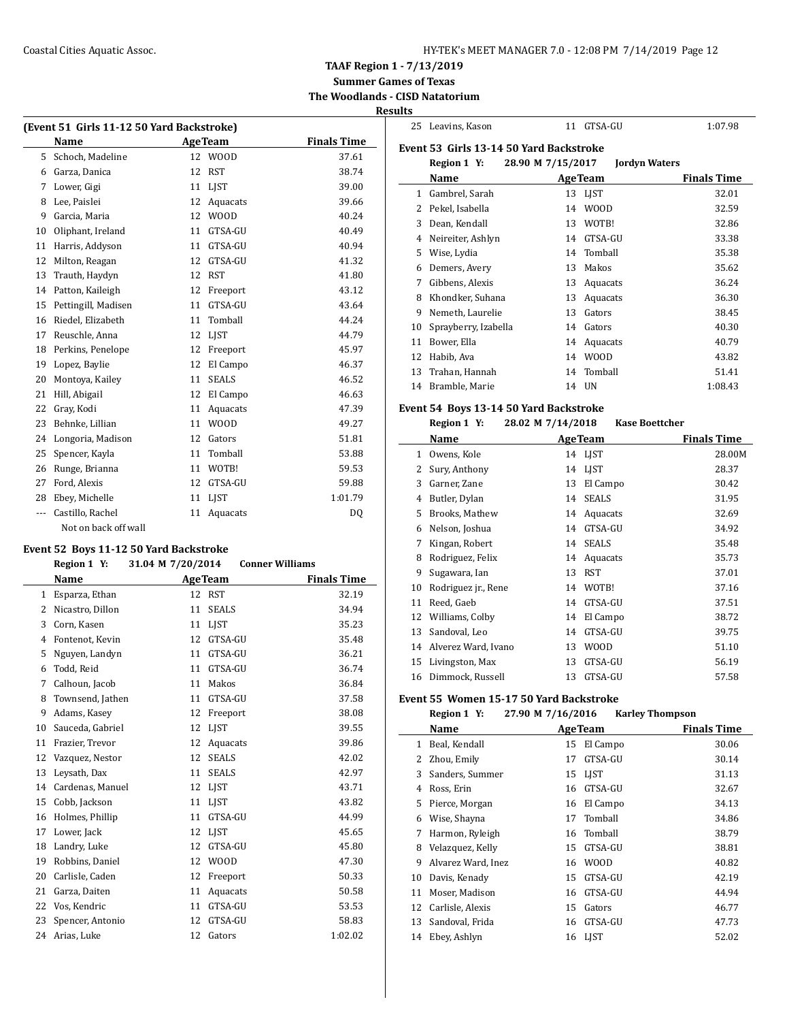**TAAF Region 1 - 7/13/2019**

**Summer Games of Texas The Woodlands - CISD Natatorium**

## **Results**

 $\sim$ 

| (Event 51 Girls 11-12 50 Yard Backstroke) |                      |    |                |                    |  |
|-------------------------------------------|----------------------|----|----------------|--------------------|--|
|                                           | Name                 |    | <b>AgeTeam</b> | <b>Finals Time</b> |  |
| 5                                         | Schoch, Madeline     | 12 | <b>WOOD</b>    | 37.61              |  |
| 6                                         | Garza, Danica        | 12 | <b>RST</b>     | 38.74              |  |
| 7                                         | Lower, Gigi          | 11 | <b>LIST</b>    | 39.00              |  |
| 8                                         | Lee, Paislei         | 12 | Aquacats       | 39.66              |  |
| 9                                         | Garcia, Maria        | 12 | <b>WOOD</b>    | 40.24              |  |
| 10                                        | Oliphant, Ireland    | 11 | GTSA-GU        | 40.49              |  |
| 11                                        | Harris, Addyson      | 11 | GTSA-GU        | 40.94              |  |
| 12                                        | Milton, Reagan       | 12 | GTSA-GU        | 41.32              |  |
| 13                                        | Trauth, Haydyn       | 12 | <b>RST</b>     | 41.80              |  |
| 14                                        | Patton, Kaileigh     | 12 | Freeport       | 43.12              |  |
| 15                                        | Pettingill, Madisen  | 11 | GTSA-GU        | 43.64              |  |
| 16                                        | Riedel, Elizabeth    | 11 | Tomball        | 44.24              |  |
| 17                                        | Reuschle, Anna       | 12 | <b>LIST</b>    | 44.79              |  |
| 18                                        | Perkins, Penelope    | 12 | Freeport       | 45.97              |  |
| 19                                        | Lopez, Baylie        | 12 | El Campo       | 46.37              |  |
| 20                                        | Montoya, Kailey      | 11 | <b>SEALS</b>   | 46.52              |  |
| 21                                        | Hill, Abigail        | 12 | El Campo       | 46.63              |  |
| 22                                        | Gray, Kodi           | 11 | Aquacats       | 47.39              |  |
| 23                                        | Behnke, Lillian      | 11 | <b>WOOD</b>    | 49.27              |  |
| 24                                        | Longoria, Madison    | 12 | Gators         | 51.81              |  |
| 25                                        | Spencer, Kayla       | 11 | Tomball        | 53.88              |  |
| 26                                        | Runge, Brianna       | 11 | WOTB!          | 59.53              |  |
| 27                                        | Ford, Alexis         | 12 | GTSA-GU        | 59.88              |  |
| 28                                        | Ebey, Michelle       | 11 | <b>LIST</b>    | 1:01.79            |  |
| $---$                                     | Castillo, Rachel     | 11 | Aquacats       | DQ                 |  |
|                                           | Not on back off wall |    |                |                    |  |

## **Event 52 Boys 11-12 50 Yard Backstroke**

|    | Region 1 Y:      | 31.04 M 7/20/2014 |                | <b>Conner Williams</b> |
|----|------------------|-------------------|----------------|------------------------|
|    | <b>Name</b>      |                   | <b>AgeTeam</b> | <b>Finals Time</b>     |
| 1  | Esparza, Ethan   |                   | 12 RST         | 32.19                  |
| 2  | Nicastro, Dillon | 11                | <b>SEALS</b>   | 34.94                  |
| 3  | Corn, Kasen      | 11                | <b>LIST</b>    | 35.23                  |
| 4  | Fontenot, Kevin  | 12                | GTSA-GU        | 35.48                  |
| 5  | Nguyen, Landyn   | 11                | GTSA-GU        | 36.21                  |
| 6  | Todd, Reid       | 11                | GTSA-GU        | 36.74                  |
| 7  | Calhoun, Jacob   | 11                | Makos          | 36.84                  |
| 8  | Townsend, Jathen | 11                | GTSA-GU        | 37.58                  |
| 9  | Adams, Kasev     | 12                | Freeport       | 38.08                  |
| 10 | Sauceda, Gabriel | 12                | LIST           | 39.55                  |
| 11 | Frazier, Trevor  | 12                | Aquacats       | 39.86                  |
| 12 | Vazquez, Nestor  | 12                | <b>SEALS</b>   | 42.02                  |
| 13 | Leysath, Dax     | 11                | <b>SEALS</b>   | 42.97                  |
| 14 | Cardenas, Manuel | 12                | <b>LIST</b>    | 43.71                  |
| 15 | Cobb, Jackson    | 11                | <b>LIST</b>    | 43.82                  |
| 16 | Holmes, Phillip  | 11                | GTSA-GU        | 44.99                  |
| 17 | Lower, Jack      | 12                | <b>LIST</b>    | 45.65                  |
| 18 | Landry, Luke     | 12                | GTSA-GU        | 45.80                  |
| 19 | Robbins, Daniel  | 12                | <b>WOOD</b>    | 47.30                  |
| 20 | Carlisle, Caden  | 12                | Freeport       | 50.33                  |
| 21 | Garza, Daiten    | 11                | Aquacats       | 50.58                  |
| 22 | Vos, Kendric     | 11                | GTSA-GU        | 53.53                  |
| 23 | Spencer, Antonio | 12                | GTSA-GU        | 58.83                  |
| 24 | Arias, Luke      | 12                | Gators         | 1:02.02                |

|    | 25 Leavins, Kason                        | 11                | GTSA-GU              | 1:07.98            |
|----|------------------------------------------|-------------------|----------------------|--------------------|
|    | Event 53  Girls 13-14 50 Yard Backstroke |                   |                      |                    |
|    | Region 1 Y:                              | 28.90 M 7/15/2017 | <b>Jordyn Waters</b> |                    |
|    | Name                                     | <b>AgeTeam</b>    |                      | <b>Finals Time</b> |
| 1  | Gambrel, Sarah                           | 13                | LJST                 | 32.01              |
| 2  | Pekel, Isabella                          | 14                | <b>WOOD</b>          | 32.59              |
| 3  | Dean, Kendall                            | 13                | WOTB!                | 32.86              |
| 4  | Neireiter, Ashlyn                        | 14                | GTSA-GU              | 33.38              |
| 5  | Wise, Lydia                              | 14                | Tomball              | 35.38              |
| 6  | Demers, Avery                            | 13                | Makos                | 35.62              |
| 7  | Gibbens, Alexis                          | 13                | Aquacats             | 36.24              |
| 8  | Khondker, Suhana                         | 13                | Aquacats             | 36.30              |
| 9  | Nemeth, Laurelie                         | 13                | Gators               | 38.45              |
| 10 | Sprayberry, Izabella                     | 14                | Gators               | 40.30              |
| 11 | Bower, Ella                              | 14                | Aquacats             | 40.79              |
| 12 | Habib, Ava                               | 14                | <b>WOOD</b>          | 43.82              |
| 13 | Trahan, Hannah                           | 14                | Tomball              | 51.41              |
| 14 | Bramble, Marie                           | 14 UN             |                      | 1:08.43            |

#### **Event 54 Boys 13-14 50 Yard Backstroke Region 1 Y: 28.02 M 7/14/2018 Kase Boettcher**

|    | $-0.0 - 0.1 + 1.0 - 0.00$ |    |                |                    |  |  |
|----|---------------------------|----|----------------|--------------------|--|--|
|    | Name                      |    | <b>AgeTeam</b> | <b>Finals Time</b> |  |  |
| 1  | Owens, Kole               |    | 14 LJST        | 28.00M             |  |  |
| 2  | Sury, Anthony             |    | 14 LJST        | 28.37              |  |  |
| 3  | Garner, Zane              | 13 | El Campo       | 30.42              |  |  |
| 4  | Butler, Dylan             | 14 | <b>SEALS</b>   | 31.95              |  |  |
| 5  | Brooks, Mathew            |    | 14 Aquacats    | 32.69              |  |  |
| 6  | Nelson, Joshua            | 14 | GTSA-GU        | 34.92              |  |  |
| 7  | Kingan, Robert            | 14 | <b>SEALS</b>   | 35.48              |  |  |
| 8  | Rodriguez, Felix          |    | 14 Aquacats    | 35.73              |  |  |
| 9  | Sugawara, Ian             | 13 | <b>RST</b>     | 37.01              |  |  |
| 10 | Rodriguez jr., Rene       |    | 14 WOTB!       | 37.16              |  |  |
| 11 | Reed, Gaeb                | 14 | GTSA-GU        | 37.51              |  |  |
| 12 | Williams, Colby           | 14 | El Campo       | 38.72              |  |  |
| 13 | Sandoval, Leo             | 14 | GTSA-GU        | 39.75              |  |  |
| 14 | Alverez Ward, Ivano       | 13 | <b>WOOD</b>    | 51.10              |  |  |
| 15 | Livingston, Max           | 13 | GTSA-GU        | 56.19              |  |  |
| 16 | Dimmock, Russell          | 13 | GTSA-GU        | 57.58              |  |  |

## **Event 55 Women 15-17 50 Yard Backstroke**

| 27.90 M 7/16/2016<br><b>Karley Thompson</b><br>Region 1 Y: |
|------------------------------------------------------------|
|------------------------------------------------------------|

|    | Name               | <b>AgeTeam</b> |             | <b>Finals Time</b> |
|----|--------------------|----------------|-------------|--------------------|
| 1  | Beal, Kendall      | 15             | El Campo    | 30.06              |
| 2  | Zhou, Emily        | 17             | GTSA-GU     | 30.14              |
| 3  | Sanders, Summer    | 15             | <b>LIST</b> | 31.13              |
| 4  | Ross, Erin         | 16             | GTSA-GU     | 32.67              |
| 5  | Pierce, Morgan     | 16             | El Campo    | 34.13              |
| 6  | Wise, Shayna       | 17             | Tomball     | 34.86              |
| 7  | Harmon, Ryleigh    | 16             | Tomball     | 38.79              |
| 8  | Velazquez, Kelly   | 15             | GTSA-GU     | 38.81              |
| 9  | Alvarez Ward, Inez | 16             | <b>WOOD</b> | 40.82              |
| 10 | Davis, Kenady      | 15             | GTSA-GU     | 42.19              |
| 11 | Moser, Madison     | 16             | GTSA-GU     | 44.94              |
| 12 | Carlisle, Alexis   | 15             | Gators      | 46.77              |
| 13 | Sandoval, Frida    | 16             | GTSA-GU     | 47.73              |
| 14 | Ebey, Ashlyn       |                | 16 LIST     | 52.02              |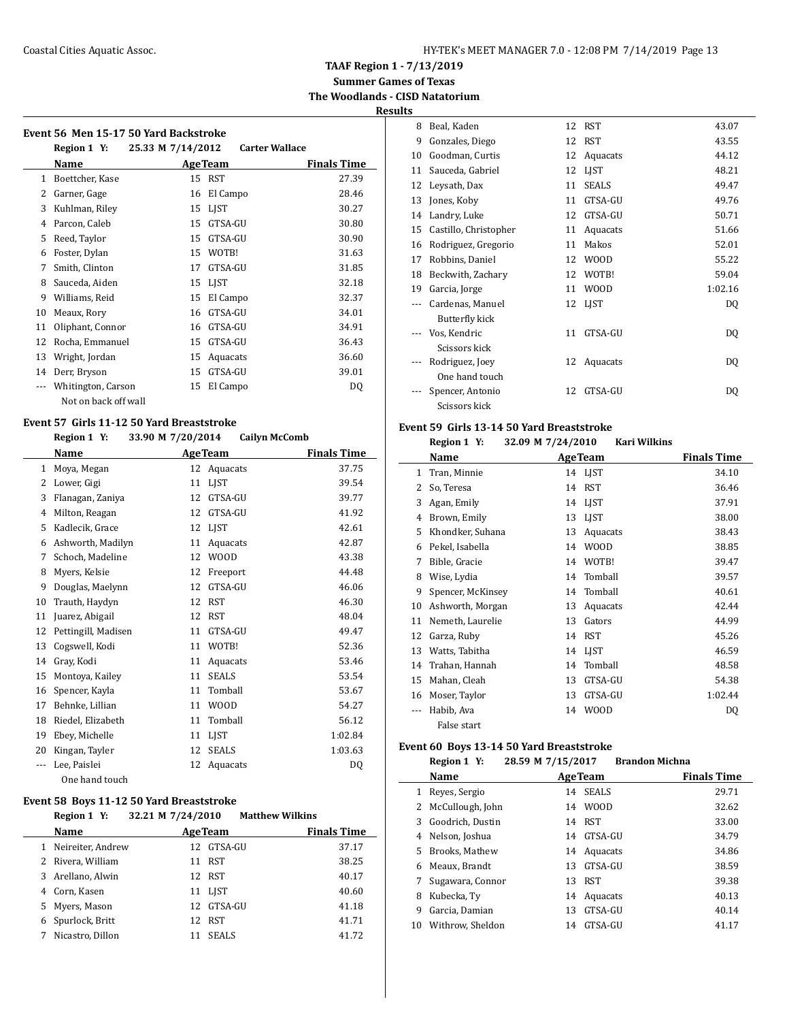**Summer Games of Texas The Woodlands - CISD Natatorium**

**Results**

|  | Event 56 Men 15-17 50 Yard Backstroke |
|--|---------------------------------------|

|              | went 56  Men 15-17 50 rard Backstroke |                   |                 |                       |                    |
|--------------|---------------------------------------|-------------------|-----------------|-----------------------|--------------------|
|              | Region 1 Y:                           | 25.33 M 7/14/2012 |                 | <b>Carter Wallace</b> |                    |
|              | Name                                  |                   | <b>Age Team</b> |                       | <b>Finals Time</b> |
| $\mathbf{1}$ | Boettcher, Kase                       | 15                | <b>RST</b>      |                       | 27.39              |
| 2            | Garner, Gage                          | 16                | El Campo        |                       | 28.46              |
| 3            | Kuhlman, Riley                        | 15                | <b>LIST</b>     |                       | 30.27              |
| 4            | Parcon, Caleb                         | 15                | GTSA-GU         |                       | 30.80              |
| 5            | Reed, Taylor                          | 15                | GTSA-GU         |                       | 30.90              |
| 6            | Foster, Dylan                         | 15                | WOTB!           |                       | 31.63              |
| 7            | Smith, Clinton                        | 17                | GTSA-GU         |                       | 31.85              |
| 8            | Sauceda, Aiden                        | 15                | <b>LIST</b>     |                       | 32.18              |
| 9            | Williams, Reid                        | 15                | El Campo        |                       | 32.37              |
| 10           | Meaux, Rory                           | 16                | GTSA-GU         |                       | 34.01              |
| 11           | Oliphant, Connor                      | 16                | GTSA-GU         |                       | 34.91              |
| 12           | Rocha, Emmanuel                       | 15                | GTSA-GU         |                       | 36.43              |
| 13           | Wright, Jordan                        | 15                | Aquacats        |                       | 36.60              |
| 14           | Derr, Bryson                          | 15                | GTSA-GU         |                       | 39.01              |
|              | Whitington, Carson                    | 15                | El Campo        |                       | DQ                 |
|              | Not on back off wall                  |                   |                 |                       |                    |

## **Event 57 Girls 11-12 50 Yard Breaststroke**

#### **Region 1 Y: 33.90 M 7/20/2014 Cailyn McComb**

|    | Name                |    | <b>AgeTeam</b> | <b>Finals Time</b> |
|----|---------------------|----|----------------|--------------------|
| 1  | Moya, Megan         | 12 | Aquacats       | 37.75              |
| 2  | Lower, Gigi         | 11 | <b>LIST</b>    | 39.54              |
| 3  | Flanagan, Zaniya    | 12 | GTSA-GU        | 39.77              |
| 4  | Milton, Reagan      | 12 | GTSA-GU        | 41.92              |
| 5  | Kadlecik, Grace     | 12 | <b>LIST</b>    | 42.61              |
| 6  | Ashworth, Madilyn   | 11 | Aquacats       | 42.87              |
| 7  | Schoch, Madeline    | 12 | W00D           | 43.38              |
| 8  | Myers, Kelsie       | 12 | Freeport       | 44.48              |
| 9  | Douglas, Maelynn    | 12 | GTSA-GU        | 46.06              |
| 10 | Trauth, Haydyn      | 12 | RST            | 46.30              |
| 11 | Juarez, Abigail     | 12 | <b>RST</b>     | 48.04              |
| 12 | Pettingill, Madisen | 11 | GTSA-GU        | 49.47              |
| 13 | Cogswell, Kodi      | 11 | WOTB!          | 52.36              |
| 14 | Gray, Kodi          | 11 | Aquacats       | 53.46              |
| 15 | Montoya, Kailey     | 11 | <b>SEALS</b>   | 53.54              |
| 16 | Spencer, Kayla      | 11 | Tomball        | 53.67              |
| 17 | Behnke, Lillian     | 11 | <b>WOOD</b>    | 54.27              |
| 18 | Riedel, Elizabeth   | 11 | Tomball        | 56.12              |
| 19 | Ebey, Michelle      | 11 | LIST           | 1:02.84            |
| 20 | Kingan, Tayler      | 12 | <b>SEALS</b>   | 1:03.63            |
|    | Lee, Paislei        | 12 | Aquacats       | DQ                 |
|    | One hand touch      |    |                |                    |

## **Event 58 Boys 11-12 50 Yard Breaststroke**

|   | Region 1 Y:       | 32.21 M 7/24/2010 |                | <b>Matthew Wilkins</b> |
|---|-------------------|-------------------|----------------|------------------------|
|   | Name              |                   | <b>AgeTeam</b> | <b>Finals Time</b>     |
| 1 | Neireiter, Andrew |                   | 12 GTSA-GU     | 37.17                  |
|   | 2 Rivera, William |                   | 11 RST         | 38.25                  |
|   | 3 Arellano, Alwin |                   | 12 RST         | 40.17                  |
| 4 | Corn, Kasen       |                   | 11 LIST        | 40.60                  |
|   | 5 Myers, Mason    |                   | 12 GTSA-GU     | 41.18                  |
|   | 6 Spurlock, Britt |                   | 12 RST         | 41.71                  |
| 7 | Nicastro, Dillon  |                   | <b>SEALS</b>   | 41.72                  |

| w  |                       |    |              |         |
|----|-----------------------|----|--------------|---------|
| 8  | Beal, Kaden           | 12 | <b>RST</b>   | 43.07   |
| 9  | Gonzales, Diego       | 12 | <b>RST</b>   | 43.55   |
| 10 | Goodman, Curtis       | 12 | Aquacats     | 44.12   |
| 11 | Sauceda, Gabriel      | 12 | <b>LIST</b>  | 48.21   |
| 12 | Leysath, Dax          | 11 | <b>SEALS</b> | 49.47   |
| 13 | Jones, Koby           | 11 | GTSA-GU      | 49.76   |
| 14 | Landry, Luke          | 12 | GTSA-GU      | 50.71   |
| 15 | Castillo, Christopher | 11 | Aquacats     | 51.66   |
| 16 | Rodriguez, Gregorio   | 11 | Makos        | 52.01   |
| 17 | Robbins, Daniel       | 12 | <b>WOOD</b>  | 55.22   |
| 18 | Beckwith, Zachary     | 12 | WOTB!        | 59.04   |
| 19 | Garcia, Jorge         | 11 | <b>WOOD</b>  | 1:02.16 |
|    | Cardenas, Manuel      | 12 | <b>LIST</b>  | DQ      |
|    | Butterfly kick        |    |              |         |
|    | Vos, Kendric          | 11 | GTSA-GU      | DQ      |
|    | Scissors kick         |    |              |         |
|    | Rodriguez, Joey       | 12 | Aquacats     | DQ      |
|    | One hand touch        |    |              |         |
|    | Spencer, Antonio      | 12 | GTSA-GU      | DQ      |
|    | Scissors kick         |    |              |         |

#### **Event 59 Girls 13-14 50 Yard Breaststroke Region 1 Y: 32.09 M 7/24/2010 Kari Wilkins**

|    | $n$ cgion $1$ , $n$<br>$J = 0.01$ in $1/2T/L010$ |    | Kail Whaliis   |                    |
|----|--------------------------------------------------|----|----------------|--------------------|
|    | Name                                             |    | <b>AgeTeam</b> | <b>Finals Time</b> |
| 1  | Tran, Minnie                                     | 14 | LIST           | 34.10              |
| 2  | So, Teresa                                       | 14 | <b>RST</b>     | 36.46              |
| 3  | Agan, Emily                                      | 14 | <b>LIST</b>    | 37.91              |
| 4  | Brown, Emily                                     | 13 | <b>LIST</b>    | 38.00              |
| 5  | Khondker, Suhana                                 | 13 | Aquacats       | 38.43              |
| 6  | Pekel, Isabella                                  | 14 | <b>WOOD</b>    | 38.85              |
| 7  | Bible, Gracie                                    | 14 | WOTB!          | 39.47              |
| 8  | Wise, Lydia                                      | 14 | Tomball        | 39.57              |
| 9  | Spencer, McKinsey                                | 14 | Tomball        | 40.61              |
| 10 | Ashworth, Morgan                                 | 13 | Aquacats       | 42.44              |
| 11 | Nemeth, Laurelie                                 | 13 | Gators         | 44.99              |
| 12 | Garza, Ruby                                      | 14 | <b>RST</b>     | 45.26              |
| 13 | Watts, Tabitha                                   | 14 | <b>LIST</b>    | 46.59              |
| 14 | Trahan, Hannah                                   | 14 | Tomball        | 48.58              |
| 15 | Mahan, Cleah                                     | 13 | GTSA-GU        | 54.38              |
| 16 | Moser, Taylor                                    | 13 | GTSA-GU        | 1:02.44            |
|    | Habib, Ava                                       | 14 | <b>WOOD</b>    | DQ                 |
|    | False start                                      |    |                |                    |

## **Event 60 Boys 13-14 50 Yard Breaststroke**

 $\overline{\phantom{0}}$ 

|    | Region 1 Y:           | 28.59 M 7/15/2017  | <b>Brandon Michna</b> |
|----|-----------------------|--------------------|-----------------------|
|    | Name                  | <b>AgeTeam</b>     | <b>Finals Time</b>    |
| 1  | Reves, Sergio         | <b>SEALS</b><br>14 | 29.71                 |
| 2  | McCullough, John      | 14 WOOD            | 32.62                 |
| 3  | Goodrich. Dustin      | <b>RST</b><br>14   | 33.00                 |
| 4  | Nelson, Joshua        | GTSA-GU<br>14      | 34.79                 |
| 5. | <b>Brooks. Mathew</b> | Aquacats<br>14     | 34.86                 |
| 6  | Meaux, Brandt         | GTSA-GU<br>13      | 38.59                 |
| 7  | Sugawara, Connor      | <b>RST</b><br>13   | 39.38                 |
| 8  | Kubecka, Tv           | Aquacats<br>14     | 40.13                 |
| 9  | Garcia, Damian        | GTSA-GU<br>13      | 40.14                 |
| 10 | Withrow, Sheldon      | GTSA-GU<br>14      | 41.17                 |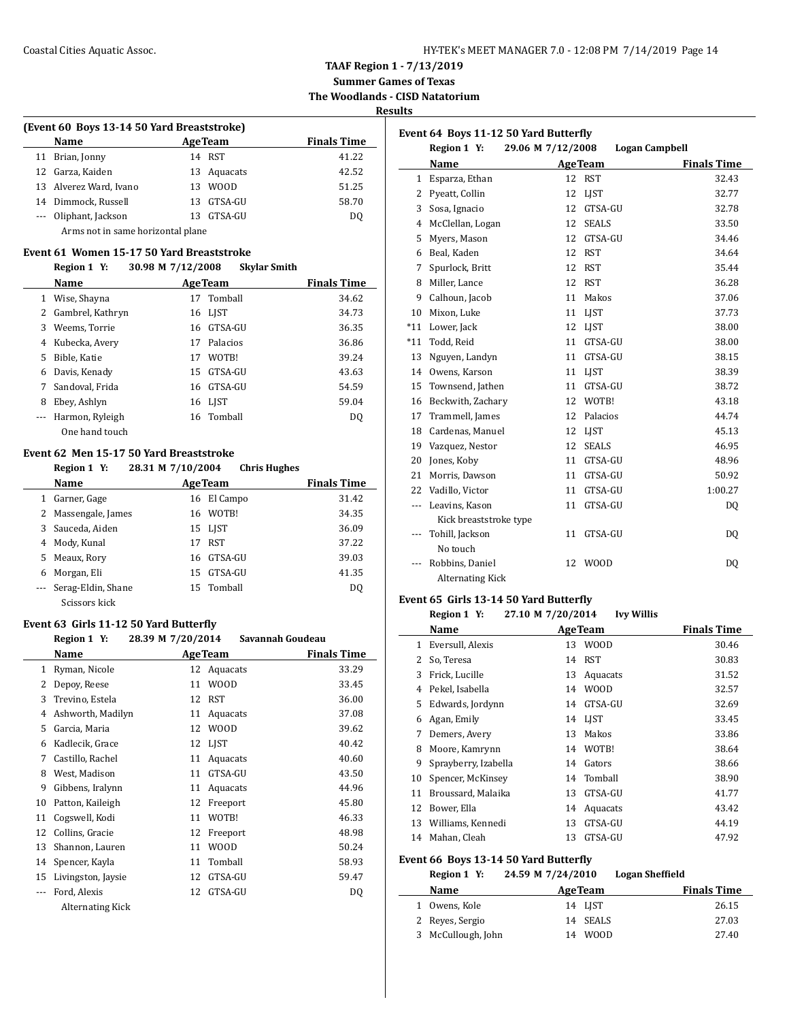**Summer Games of Texas The Woodlands - CISD Natatorium**

## **Results**

| (Event 60 Boys 13-14 50 Yard Breaststroke) |                                   |                    |             |       |  |  |
|--------------------------------------------|-----------------------------------|--------------------|-------------|-------|--|--|
|                                            | <b>Name</b>                       | <b>Finals Time</b> |             |       |  |  |
|                                            | 11 Brian, Jonny                   |                    | 14 RST      | 41.22 |  |  |
|                                            | 12 Garza, Kaiden                  |                    | 13 Aquacats | 42.52 |  |  |
|                                            | 13 Alverez Ward, Ivano            | 13.                | <b>WOOD</b> | 51.25 |  |  |
|                                            | 14 Dimmock, Russell               |                    | 13 GTSA-GU  | 58.70 |  |  |
|                                            | --- Oliphant, Jackson             | 13.                | GTSA-GU     | DO.   |  |  |
|                                            | Arms not in same horizontal plane |                    |             |       |  |  |

#### **Event 61 Women 15-17 50 Yard Breaststroke**

#### **Region 1 Y: 30.98 M 7/12/2008 Skylar Smith**

|    | Name             |    | <b>AgeTeam</b> | <b>Finals Time</b> |
|----|------------------|----|----------------|--------------------|
| 1  | Wise, Shayna     | 17 | Tomball        | 34.62              |
|    | Gambrel, Kathryn |    | 16 LIST        | 34.73              |
| 3  | Weems, Torrie    |    | 16 GTSA-GU     | 36.35              |
| 4  | Kubecka, Avery   | 17 | Palacios       | 36.86              |
| 5. | Bible, Katie     | 17 | WOTB!          | 39.24              |
| 6  | Davis, Kenady    |    | 15 GTSA-GU     | 43.63              |
| 7  | Sandoval, Frida  |    | 16 GTSA-GU     | 54.59              |
| 8  | Ebey, Ashlyn     |    | 16 LIST        | 59.04              |
|    | Harmon, Ryleigh  |    | 16 Tomball     | DO.                |
|    | One hand touch   |    |                |                    |

#### **Event 62 Men 15-17 50 Yard Breaststroke**

|   | Region 1 Y:         | 28.31 M 7/10/2004 | <b>Chris Hughes</b> |
|---|---------------------|-------------------|---------------------|
|   | Name                | <b>AgeTeam</b>    | <b>Finals Time</b>  |
| 1 | Garner, Gage        | El Campo<br>16    | 31.42               |
|   | 2 Massengale, James | 16 WOTB!          | 34.35               |
| 3 | Sauceda, Aiden      | 15 LIST           | 36.09               |
| 4 | Mody, Kunal         | <b>RST</b><br>17  | 37.22               |
| 5 | Meaux, Rory         | 16 GTSA-GU        | 39.03               |
| 6 | Morgan, Eli         | GTSA-GU<br>15     | 41.35               |
|   | Serag-Eldin, Shane  | 15 Tomball        | DQ                  |
|   | Scissors kick       |                   |                     |

## **Event 63 Girls 11-12 50 Yard Butterfly**

|       | Region 1 Y:        | 28.39 M 7/20/2014 | Savannah Goudeau |                    |
|-------|--------------------|-------------------|------------------|--------------------|
|       | Name               | <b>AgeTeam</b>    |                  | <b>Finals Time</b> |
| 1     | Ryman, Nicole      |                   | 12 Aquacats      | 33.29              |
| 2     | Depoy, Reese       | 11                | <b>WOOD</b>      | 33.45              |
| 3     | Trevino, Estela    | 12                | <b>RST</b>       | 36.00              |
| 4     | Ashworth, Madilyn  | 11                | Aquacats         | 37.08              |
| 5     | Garcia, Maria      | 12                | <b>WOOD</b>      | 39.62              |
| 6     | Kadlecik, Grace    | 12                | LIST             | 40.42              |
| 7     | Castillo, Rachel   | 11                | Aquacats         | 40.60              |
| 8     | West, Madison      | 11                | GTSA-GU          | 43.50              |
| 9     | Gibbens, Iralynn   | 11                | Aquacats         | 44.96              |
| 10    | Patton, Kaileigh   | 12                | Freeport         | 45.80              |
| 11    | Cogswell, Kodi     | 11                | WOTB!            | 46.33              |
| 12    | Collins, Gracie    | 12                | Freeport         | 48.98              |
| 13    | Shannon, Lauren    | 11                | <b>WOOD</b>      | 50.24              |
| 14    | Spencer, Kayla     | 11                | Tomball          | 58.93              |
| 15    | Livingston, Jaysie | 12                | GTSA-GU          | 59.47              |
| $---$ | Ford, Alexis       | 12                | GTSA-GU          | DQ                 |
|       | Alternating Kick   |                   |                  |                    |

| Event 64 Boys 11-12 50 Yard Butterfly |                         |                   |                       |                    |
|---------------------------------------|-------------------------|-------------------|-----------------------|--------------------|
|                                       | Region 1 Y:             | 29.06 M 7/12/2008 | <b>Logan Campbell</b> |                    |
|                                       | Name                    |                   | <b>AgeTeam</b>        | <b>Finals Time</b> |
| 1                                     | Esparza, Ethan          | 12                | <b>RST</b>            | 32.43              |
| 2                                     | Pyeatt, Collin          | 12                | <b>LIST</b>           | 32.77              |
| 3                                     | Sosa, Ignacio           | 12                | GTSA-GU               | 32.78              |
| 4                                     | McClellan, Logan        | 12                | <b>SEALS</b>          | 33.50              |
| 5                                     | Myers, Mason            | 12                | GTSA-GU               | 34.46              |
| 6                                     | Beal, Kaden             | 12                | <b>RST</b>            | 34.64              |
| 7                                     | Spurlock, Britt         | 12                | <b>RST</b>            | 35.44              |
| 8                                     | Miller, Lance           | 12                | <b>RST</b>            | 36.28              |
| 9                                     | Calhoun, Jacob          | 11                | Makos                 | 37.06              |
| 10                                    | Mixon, Luke             | 11                | <b>LIST</b>           | 37.73              |
| $*11$                                 | Lower, Jack             | 12                | <b>LIST</b>           | 38.00              |
| $*11$                                 | Todd, Reid              | 11                | GTSA-GU               | 38.00              |
| 13                                    | Nguyen, Landyn          | 11                | GTSA-GU               | 38.15              |
| 14                                    | Owens, Karson           | 11                | <b>LIST</b>           | 38.39              |
| 15                                    | Townsend, Jathen        | 11                | GTSA-GU               | 38.72              |
| 16                                    | Beckwith, Zachary       | 12                | WOTB!                 | 43.18              |
| 17                                    | Trammell, James         | 12                | Palacios              | 44.74              |
| 18                                    | Cardenas, Manuel        | 12                | <b>LIST</b>           | 45.13              |
| 19                                    | Vazquez, Nestor         | 12                | <b>SEALS</b>          | 46.95              |
| 20                                    | Jones, Koby             | 11                | GTSA-GU               | 48.96              |
| 21                                    | Morris, Dawson          | 11                | GTSA-GU               | 50.92              |
| 22                                    | Vadillo, Victor         | 11                | GTSA-GU               | 1:00.27            |
| $\overline{\phantom{a}}$              | Leavins, Kason          | 11                | GTSA-GU               | D <sub>0</sub>     |
|                                       | Kick breaststroke type  |                   |                       |                    |
|                                       | Tohill, Jackson         | 11                | GTSA-GU               | DQ                 |
|                                       | No touch                |                   |                       |                    |
|                                       | Robbins, Daniel         | 12                | <b>WOOD</b>           | DQ                 |
|                                       | <b>Alternating Kick</b> |                   |                       |                    |

#### **Event 65 Girls 13-14 50 Yard Butterfly**

## **Region 1 Y: 27.10 M 7/20/2014 Ivy Willis**

|              | Name                                  | <b>AgeTeam</b>    |                        | <b>Finals Time</b> |  |  |
|--------------|---------------------------------------|-------------------|------------------------|--------------------|--|--|
| $\mathbf{1}$ | Eversull, Alexis                      | 13                | WOOD                   | 30.46              |  |  |
| 2            | So, Teresa                            | 14                | <b>RST</b>             | 30.83              |  |  |
| 3            | Frick, Lucille                        | 13                | Aquacats               | 31.52              |  |  |
| 4            | Pekel, Isabella                       | 14                | <b>WOOD</b>            | 32.57              |  |  |
| 5            | Edwards, Jordynn                      | 14                | GTSA-GU                | 32.69              |  |  |
| 6            | Agan, Emily                           |                   | 14 LIST                | 33.45              |  |  |
| 7            | Demers, Avery                         | 13                | Makos                  | 33.86              |  |  |
| 8            | Moore, Kamrynn                        | 14                | WOTB!                  | 38.64              |  |  |
| 9            | Sprayberry, Izabella                  | 14                | Gators                 | 38.66              |  |  |
| 10           | Spencer, McKinsey                     | 14                | Tomball                | 38.90              |  |  |
| 11           | Broussard, Malaika                    | 13                | GTSA-GU                | 41.77              |  |  |
| 12           | Bower, Ella                           | 14                | Aquacats               | 43.42              |  |  |
| 13           | Williams, Kennedi                     | 13                | GTSA-GU                | 44.19              |  |  |
| 14           | Mahan, Cleah                          | 13                | GTSA-GU                | 47.92              |  |  |
|              | Event 66 Boys 13-14 50 Yard Butterfly |                   |                        |                    |  |  |
|              | Region 1 Y:                           | 24.59 M 7/24/2010 | <b>Logan Sheffield</b> |                    |  |  |
|              | Name                                  | <b>AgeTeam</b>    |                        | <b>Finals Time</b> |  |  |
| 1            | Owens, Kole                           |                   | 14 LIST                | 26.15              |  |  |

 Reyes, Sergio 14 SEALS 27.03 McCullough, John 14 WOOD 27.40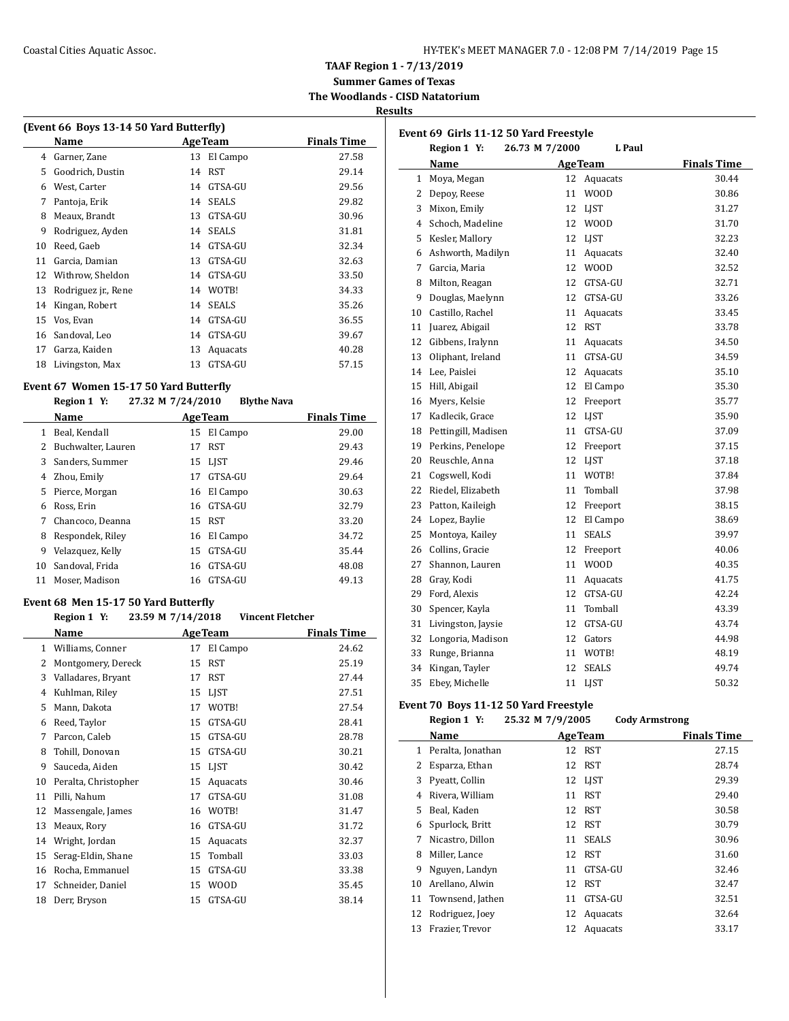**TAAF Region 1 - 7/13/2019**

**Summer Games of Texas The Woodlands - CISD Natatorium**

**Results**

| (Event 66 Boys 13-14 50 Yard Butterfly) |                     |    |                 |                    |  |
|-----------------------------------------|---------------------|----|-----------------|--------------------|--|
|                                         | Name                |    | <b>Age Team</b> | <b>Finals Time</b> |  |
| 4                                       | Garner, Zane        | 13 | El Campo        | 27.58              |  |
| 5                                       | Goodrich, Dustin    | 14 | RST             | 29.14              |  |
| 6                                       | West, Carter        | 14 | GTSA-GU         | 29.56              |  |
| 7                                       | Pantoja, Erik       | 14 | <b>SEALS</b>    | 29.82              |  |
| 8                                       | Meaux, Brandt       | 13 | GTSA-GU         | 30.96              |  |
| 9                                       | Rodriguez, Ayden    | 14 | <b>SEALS</b>    | 31.81              |  |
| 10                                      | Reed, Gaeb          | 14 | GTSA-GU         | 32.34              |  |
| 11                                      | Garcia, Damian      | 13 | GTSA-GU         | 32.63              |  |
| 12                                      | Withrow, Sheldon    | 14 | GTSA-GU         | 33.50              |  |
| 13                                      | Rodriguez jr., Rene | 14 | WOTB!           | 34.33              |  |
| 14                                      | Kingan, Robert      | 14 | <b>SEALS</b>    | 35.26              |  |
| 15                                      | Vos, Evan           | 14 | GTSA-GU         | 36.55              |  |
| 16                                      | Sandoval, Leo       | 14 | GTSA-GU         | 39.67              |  |
| 17                                      | Garza, Kaiden       | 13 | Aquacats        | 40.28              |  |
| 18                                      | Livingston, Max     | 13 | GTSA-GU         | 57.15              |  |
|                                         |                     |    |                 |                    |  |

## **Event 67 Women 15-17 50 Yard Butterfly**

#### **Region 1 Y: 27.32 M 7/24/2010 Blythe Nava**

|    | Name               |    | <b>AgeTeam</b> | <b>Finals Time</b> |
|----|--------------------|----|----------------|--------------------|
|    | Beal, Kendall      | 15 | El Campo       | 29.00              |
|    | Buchwalter, Lauren | 17 | <b>RST</b>     | 29.43              |
| 3  | Sanders, Summer    |    | 15 LIST        | 29.46              |
| 4  | Zhou, Emily        | 17 | GTSA-GU        | 29.64              |
| 5. | Pierce, Morgan     | 16 | El Campo       | 30.63              |
| 6  | Ross, Erin         |    | 16 GTSA-GU     | 32.79              |
|    | Chancoco, Deanna   |    | 15 RST         | 33.20              |
| 8  | Respondek, Riley   | 16 | El Campo       | 34.72              |
| 9  | Velazquez, Kelly   | 15 | GTSA-GU        | 35.44              |
| 10 | Sandoval, Frida    | 16 | GTSA-GU        | 48.08              |
| 11 | Moser, Madison     | 16 | GTSA-GU        | 49.13              |

### **Event 68 Men 15-17 50 Yard Butterfly**

## **Region 1 Y: 23.59 M 7/14/2018 Vincent Fletcher**

|    | Name                 |    | <b>AgeTeam</b> | <b>Finals Time</b> |
|----|----------------------|----|----------------|--------------------|
| 1  | Williams, Conner     | 17 | El Campo       | 24.62              |
| 2  | Montgomery, Dereck   | 15 | <b>RST</b>     | 25.19              |
| 3  | Valladares, Bryant   | 17 | RST            | 27.44              |
| 4  | Kuhlman, Riley       | 15 | <b>LIST</b>    | 27.51              |
| 5  | Mann, Dakota         | 17 | WOTB!          | 27.54              |
| 6  | Reed, Taylor         | 15 | GTSA-GU        | 28.41              |
| 7  | Parcon, Caleb        | 15 | GTSA-GU        | 28.78              |
| 8  | Tohill, Donovan      | 15 | GTSA-GU        | 30.21              |
| 9  | Sauceda, Aiden       | 15 | <b>LIST</b>    | 30.42              |
| 10 | Peralta, Christopher | 15 | Aquacats       | 30.46              |
| 11 | Pilli, Nahum         | 17 | GTSA-GU        | 31.08              |
| 12 | Massengale, James    | 16 | WOTB!          | 31.47              |
| 13 | Meaux, Rory          | 16 | GTSA-GU        | 31.72              |
| 14 | Wright, Jordan       | 15 | Aquacats       | 32.37              |
| 15 | Serag-Eldin, Shane   | 15 | Tomball        | 33.03              |
| 16 | Rocha, Emmanuel      | 15 | GTSA-GU        | 33.38              |
| 17 | Schneider, Daniel    | 15 | W00D           | 35.45              |
| 18 | Derr, Bryson         | 15 | GTSA-GU        | 38.14              |

|              | Event 69 Girls 11-12 50 Yard Freestyle |                          |                    |
|--------------|----------------------------------------|--------------------------|--------------------|
|              | Region 1 Y:                            | 26.73 M 7/2000<br>L Paul |                    |
|              | Name                                   | <b>AgeTeam</b>           | <b>Finals Time</b> |
| $\mathbf{1}$ | Moya, Megan                            | 12<br>Aquacats           | 30.44              |
| 2            | Depoy, Reese                           | 11<br>WOOD               | 30.86              |
| 3            | Mixon, Emily                           | 12<br>LJST               | 31.27              |
| 4            | Schoch, Madeline                       | 12<br><b>WOOD</b>        | 31.70              |
| 5            | Kesler, Mallory                        | 12<br>LIST               | 32.23              |
| 6            | Ashworth, Madilyn                      | 11<br>Aquacats           | 32.40              |
| 7            | Garcia, Maria                          | 12<br><b>WOOD</b>        | 32.52              |
| 8            | Milton, Reagan                         | 12<br>GTSA-GU            | 32.71              |
| 9            | Douglas, Maelynn                       | 12<br>GTSA-GU            | 33.26              |
| 10           | Castillo, Rachel                       | 11<br>Aquacats           | 33.45              |
| 11           | Juarez, Abigail                        | 12<br><b>RST</b>         | 33.78              |
| 12           | Gibbens, Iralynn                       | 11<br>Aquacats           | 34.50              |
| 13           | Oliphant, Ireland                      | 11<br>GTSA-GU            | 34.59              |
| 14           | Lee, Paislei                           | 12<br>Aquacats           | 35.10              |
| 15           | Hill, Abigail                          | 12<br>El Campo           | 35.30              |
| 16           | Myers, Kelsie                          | 12<br>Freeport           | 35.77              |
| 17           | Kadlecik, Grace                        | 12<br>LIST               | 35.90              |
| 18           | Pettingill, Madisen                    | 11<br>GTSA-GU            | 37.09              |
| 19           | Perkins, Penelope                      | 12<br>Freeport           | 37.15              |
| 20           | Reuschle, Anna                         | 12<br>LJST               | 37.18              |
| 21           | Cogswell, Kodi                         | 11<br>WOTB!              | 37.84              |
| 22           | Riedel, Elizabeth                      | 11<br>Tomball            | 37.98              |
| 23           | Patton, Kaileigh                       | 12<br>Freeport           | 38.15              |
| 24           | Lopez, Baylie                          | 12<br>El Campo           | 38.69              |
| 25           | Montoya, Kailey                        | 11<br><b>SEALS</b>       | 39.97              |
| 26           | Collins, Gracie                        | 12<br>Freeport           | 40.06              |
| 27           | Shannon, Lauren                        | <b>WOOD</b><br>11        | 40.35              |
| 28           | Gray, Kodi                             | 11<br>Aquacats           | 41.75              |
| 29           | Ford, Alexis                           | 12<br>GTSA-GU            | 42.24              |
| 30           | Spencer, Kayla                         | Tomball<br>11            | 43.39              |
| 31           | Livingston, Jaysie                     | 12<br>GTSA-GU            | 43.74              |
| 32           | Longoria, Madison                      | 12<br>Gators             | 44.98              |
| 33           | Runge, Brianna                         | 11<br>WOTB!              | 48.19              |
| 34           | Kingan, Tayler                         | 12<br><b>SEALS</b>       | 49.74              |
| 35           | Ebey, Michelle                         | 11<br>LJST               | 50.32              |

## **Event 70 Boys 11-12 50 Yard Freestyle**

|    | Region 1 Y:       | 25.32 M 7/9/2005 |                | <b>Cody Armstrong</b> |
|----|-------------------|------------------|----------------|-----------------------|
|    | Name              |                  | <b>AgeTeam</b> | <b>Finals Time</b>    |
| 1  | Peralta, Jonathan | 12               | RST            | 27.15                 |
| 2  | Esparza, Ethan    | 12               | RST            | 28.74                 |
| 3  | Pyeatt, Collin    | 12               | LJST           | 29.39                 |
| 4  | Rivera, William   | 11               | <b>RST</b>     | 29.40                 |
| 5. | Beal, Kaden       | 12               | <b>RST</b>     | 30.58                 |
| 6  | Spurlock, Britt   | 12               | <b>RST</b>     | 30.79                 |
| 7  | Nicastro, Dillon  | 11               | <b>SEALS</b>   | 30.96                 |
| 8  | Miller, Lance     | 12               | RST            | 31.60                 |
| 9  | Nguyen, Landyn    | 11               | GTSA-GU        | 32.46                 |
| 10 | Arellano, Alwin   | 12               | <b>RST</b>     | 32.47                 |
| 11 | Townsend, Jathen  | 11               | GTSA-GU        | 32.51                 |
| 12 | Rodriguez, Joey   | 12               | Aquacats       | 32.64                 |
| 13 | Frazier, Trevor   | 12               | Aquacats       | 33.17                 |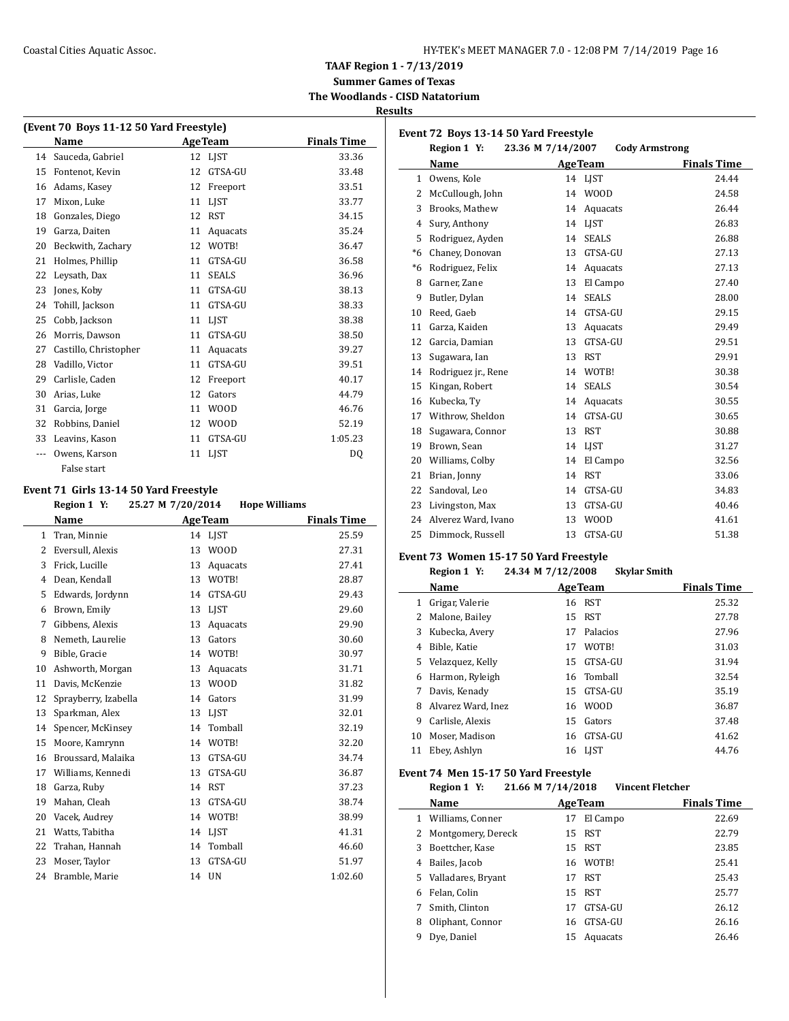#### Coastal Cities Aquatic Assoc. The Coastal Cities Aquatic Assoc. The HY-TEK's MEET MANAGER 7.0 - 12:08 PM 7/14/2019 Page 16

**TAAF Region 1 - 7/13/2019**

**Summer Games of Texas The Woodlands - CISD Natatorium**

**Results**

 $\overline{a}$ 

 $\overline{a}$ 

| (Event 70 Boys 11-12 50 Yard Freestyle) |                       |    |              |                    |  |
|-----------------------------------------|-----------------------|----|--------------|--------------------|--|
|                                         | Name                  |    | AgeTeam      | <b>Finals Time</b> |  |
| 14                                      | Sauceda, Gabriel      |    | 12 LIST      | 33.36              |  |
| 15                                      | Fontenot, Kevin       | 12 | GTSA-GU      | 33.48              |  |
| 16                                      | Adams, Kasey          | 12 | Freeport     | 33.51              |  |
| 17                                      | Mixon, Luke           | 11 | LIST         | 33.77              |  |
| 18                                      | Gonzales, Diego       | 12 | <b>RST</b>   | 34.15              |  |
| 19                                      | Garza, Daiten         | 11 | Aquacats     | 35.24              |  |
| 20                                      | Beckwith, Zachary     | 12 | WOTB!        | 36.47              |  |
| 21                                      | Holmes, Phillip       | 11 | GTSA-GU      | 36.58              |  |
| 22                                      | Leysath, Dax          | 11 | <b>SEALS</b> | 36.96              |  |
| 23                                      | Jones, Koby           | 11 | GTSA-GU      | 38.13              |  |
| 24                                      | Tohill, Jackson       | 11 | GTSA-GU      | 38.33              |  |
| 25                                      | Cobb, Jackson         | 11 | <b>LIST</b>  | 38.38              |  |
| 26                                      | Morris, Dawson        | 11 | GTSA-GU      | 38.50              |  |
| 27                                      | Castillo, Christopher | 11 | Aquacats     | 39.27              |  |
| 28                                      | Vadillo, Victor       | 11 | GTSA-GU      | 39.51              |  |
| 29                                      | Carlisle, Caden       | 12 | Freeport     | 40.17              |  |
| 30                                      | Arias, Luke           | 12 | Gators       | 44.79              |  |
| 31                                      | Garcia, Jorge         | 11 | <b>WOOD</b>  | 46.76              |  |
| 32                                      | Robbins, Daniel       | 12 | <b>WOOD</b>  | 52.19              |  |
| 33                                      | Leavins, Kason        | 11 | GTSA-GU      | 1:05.23            |  |
| ---                                     | Owens, Karson         | 11 | <b>LIST</b>  | D <sub>0</sub>     |  |
|                                         | False start           |    |              |                    |  |

#### **Event 71 Girls 13-14 50 Yard Freestyle**

**Region 1 Y: 25.27 M 7/20/2014 Hope Williams Name Age Team Finals Time**  Tran, Minnie 14 LJST 25.59 Eversull, Alexis 13 WOOD 27.31 Frick, Lucille 13 Aquacats 27.41 Dean, Kendall 13 WOTB! 28.87 Edwards, Jordynn 14 GTSA-GU 29.43 Brown, Emily 13 LJST 29.60 Gibbens, Alexis 13 Aquacats 29.90 Nemeth, Laurelie 13 Gators 30.60 Bible, Gracie 14 WOTB! 30.97 Ashworth, Morgan 13 Aquacats 31.71 Davis, McKenzie 13 WOOD 31.82 Sprayberry, Izabella 14 Gators 31.99 13 Sparkman, Alex 13 LJST 32.01 Spencer, McKinsey 14 Tomball 32.19 Moore, Kamrynn 14 WOTB! 32.20 Broussard, Malaika 13 GTSA-GU 34.74 Williams, Kennedi 13 GTSA-GU 36.87 Garza, Ruby 14 RST 37.23 19 Mahan, Cleah 13 GTSA-GU 38.74 Vacek, Audrey 14 WOTB! 38.99 21 Watts, Tabitha 14 LJST 41.31 Trahan, Hannah 14 Tomball 46.60 23 Moser, Taylor 13 GTSA-GU 51.97 Bramble, Marie 14 UN 1:02.60

|              | Event 72 Boys 13-14 50 Yard Freestyle |                   |                       |                    |
|--------------|---------------------------------------|-------------------|-----------------------|--------------------|
|              | Region 1 Y:                           | 23.36 M 7/14/2007 | <b>Cody Armstrong</b> |                    |
|              | Name                                  |                   | <b>AgeTeam</b>        | <b>Finals Time</b> |
| $\mathbf{1}$ | Owens, Kole                           |                   | 14 LJST               | 24.44              |
| 2            | McCullough, John                      | 14                | <b>WOOD</b>           | 24.58              |
| 3            | Brooks, Mathew                        | 14                | Aquacats              | 26.44              |
| 4            | Sury, Anthony                         | 14                | <b>LIST</b>           | 26.83              |
| 5            | Rodriguez, Ayden                      | 14                | <b>SEALS</b>          | 26.88              |
| $*6$         | Chaney, Donovan                       | 13                | GTSA-GU               | 27.13              |
| $*6$         | Rodriguez, Felix                      | 14                | Aquacats              | 27.13              |
| 8            | Garner, Zane                          | 13                | El Campo              | 27.40              |
| 9            | Butler, Dylan                         | 14                | <b>SEALS</b>          | 28.00              |
| 10           | Reed, Gaeb                            | 14                | GTSA-GU               | 29.15              |
| 11           | Garza, Kaiden                         | 13                | Aquacats              | 29.49              |
| 12           | Garcia, Damian                        | 13                | GTSA-GU               | 29.51              |
| 13           | Sugawara, Ian                         | 13                | <b>RST</b>            | 29.91              |
| 14           | Rodriguez jr., Rene                   | 14                | WOTB!                 | 30.38              |
| 15           | Kingan, Robert                        | 14                | <b>SEALS</b>          | 30.54              |
| 16           | Kubecka, Ty                           | 14                | Aquacats              | 30.55              |
| 17           | Withrow. Sheldon                      | 14                | GTSA-GU               | 30.65              |
| 18           | Sugawara, Connor                      | 13                | <b>RST</b>            | 30.88              |
| 19           | Brown, Sean                           | 14                | <b>LIST</b>           | 31.27              |
| 20           | Williams, Colby                       | 14                | El Campo              | 32.56              |
| 21           | Brian, Jonny                          | 14                | <b>RST</b>            | 33.06              |
| 22           | Sandoval, Leo                         | 14                | GTSA-GU               | 34.83              |
| 23           | Livingston, Max                       | 13                | GTSA-GU               | 40.46              |
| 24           | Alverez Ward, Ivano                   | 13                | <b>WOOD</b>           | 41.61              |
| 25           | Dimmock, Russell                      | 13                | GTSA-GU               | 51.38              |

#### **Event 73 Women 15-17 50 Yard Freestyle**

#### **Region 1 Y: 24.34 M 7/12/2008 Skylar Smith**

|    | Name               |    | <b>AgeTeam</b> | <b>Finals Time</b> |
|----|--------------------|----|----------------|--------------------|
| 1  | Grigar, Valerie    |    | 16 RST         | 25.32              |
|    | Malone, Bailey     | 15 | <b>RST</b>     | 27.78              |
| 3  | Kubecka, Avery     | 17 | Palacios       | 27.96              |
| 4  | Bible, Katie       | 17 | WOTB!          | 31.03              |
| 5. | Velazquez, Kelly   | 15 | GTSA-GU        | 31.94              |
| 6  | Harmon, Ryleigh    |    | 16 Tomball     | 32.54              |
| 7  | Davis, Kenady      | 15 | GTSA-GU        | 35.19              |
| 8  | Alvarez Ward, Inez |    | 16 WOOD        | 36.87              |
| 9  | Carlisle, Alexis   | 15 | Gators         | 37.48              |
| 10 | Moser. Madison     | 16 | GTSA-GU        | 41.62              |
| 11 | Ebey, Ashlyn       | 16 | <b>LIST</b>    | 44.76              |

#### **Event 74 Men 15-17 50 Yard Freestyle**

| Region 1 Y: | 21.66 M 7/14/2018 | <b>Vincent Fletcher</b> |
|-------------|-------------------|-------------------------|
|             |                   |                         |

| Name                    |    |          | <b>Finals Time</b>                                                                     |
|-------------------------|----|----------|----------------------------------------------------------------------------------------|
| Williams, Conner        | 17 | El Campo | 22.69                                                                                  |
| Montgomery, Dereck<br>2 |    |          | 22.79                                                                                  |
| Boettcher, Kase         |    |          | 23.85                                                                                  |
| Bailes, Jacob           |    |          | 25.41                                                                                  |
| 5 Valladares, Bryant    |    |          | 25.43                                                                                  |
| Felan, Colin            |    |          | 25.77                                                                                  |
| Smith, Clinton          | 17 | GTSA-GU  | 26.12                                                                                  |
| Oliphant, Connor        |    |          | 26.16                                                                                  |
| Dye, Daniel             |    | Aquacats | 26.46                                                                                  |
|                         |    |          | <b>AgeTeam</b><br>15 RST<br>15 RST<br>16 WOTB!<br>17 RST<br>15 RST<br>16 GTSA-GU<br>15 |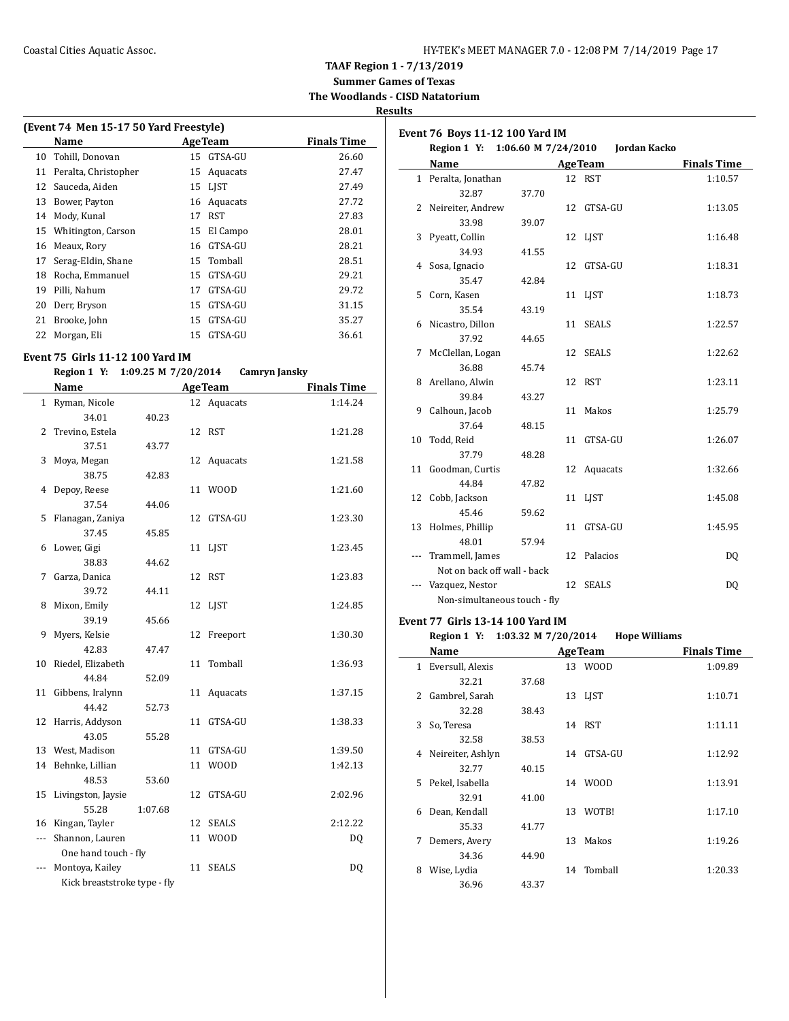**Summer Games of Texas The Woodlands - CISD Natatorium**

**Results**

| (Event 74 Men 15-17 50 Yard Freestyle) |                      |    |                 |             |  |
|----------------------------------------|----------------------|----|-----------------|-------------|--|
|                                        | Name                 |    | <b>Age Team</b> | Finals Time |  |
| 10                                     | Tohill, Donovan      |    | 15 GTSA-GU      | 26.60       |  |
| 11                                     | Peralta, Christopher | 15 | Aquacats        | 27.47       |  |
| 12                                     | Sauceda, Aiden       |    | 15 LJST         | 27.49       |  |
| 13                                     | Bower, Payton        | 16 | Aquacats        | 27.72       |  |
| 14                                     | Mody, Kunal          | 17 | RST             | 27.83       |  |
| 15                                     | Whitington, Carson   | 15 | El Campo        | 28.01       |  |
| 16                                     | Meaux, Rory          | 16 | GTSA-GU         | 28.21       |  |
| 17                                     | Serag-Eldin, Shane   | 15 | Tomball         | 28.51       |  |
| 18                                     | Rocha, Emmanuel      | 15 | GTSA-GU         | 29.21       |  |
| 19                                     | Pilli, Nahum         | 17 | GTSA-GU         | 29.72       |  |
| 20                                     | Derr, Bryson         | 15 | GTSA-GU         | 31.15       |  |
| 21                                     | Brooke, John         | 15 | GTSA-GU         | 35.27       |  |
| 22                                     | Morgan, Eli          | 15 | GTSA-GU         | 36.61       |  |

## **Event 75 Girls 11-12 100 Yard IM**

**Region 1 Y: 1:09.25 M 7/20/2014 Camryn Jansky**

|     | <b>Name</b>                  |         |    | <b>AgeTeam</b> | <b>Finals Time</b> |
|-----|------------------------------|---------|----|----------------|--------------------|
|     | 1 Ryman, Nicole              |         |    | 12 Aquacats    | 1:14.24            |
|     | 34.01                        | 40.23   |    |                |                    |
| 2   | Trevino, Estela              |         | 12 | <b>RST</b>     | 1:21.28            |
|     | 37.51                        | 43.77   |    |                |                    |
| 3   | Moya, Megan                  |         | 12 | Aquacats       | 1:21.58            |
|     | 38.75                        | 42.83   |    |                |                    |
| 4   | Depoy, Reese                 |         | 11 | <b>WOOD</b>    | 1:21.60            |
|     | 37.54                        | 44.06   |    |                |                    |
| 5.  | Flanagan, Zaniya             |         | 12 | GTSA-GU        | 1:23.30            |
|     | 37.45                        | 45.85   |    |                |                    |
| 6   | Lower, Gigi                  |         |    | 11 LJST        | 1:23.45            |
|     | 38.83                        | 44.62   |    |                |                    |
| 7   | Garza, Danica                |         | 12 | RST            | 1:23.83            |
|     | 39.72                        | 44.11   |    |                |                    |
| 8   | Mixon, Emily                 |         | 12 | LJST           | 1:24.85            |
|     | 39.19                        | 45.66   |    |                |                    |
| 9   | Myers, Kelsie                |         | 12 | Freeport       | 1:30.30            |
|     | 42.83                        | 47.47   |    |                |                    |
| 10  | Riedel, Elizabeth            |         | 11 | Tomball        | 1:36.93            |
|     | 44.84                        | 52.09   |    |                |                    |
|     | 11 Gibbens, Iralynn          |         | 11 | Aquacats       | 1:37.15            |
|     | 44.42                        | 52.73   |    |                |                    |
| 12  | Harris, Addyson              |         | 11 | GTSA-GU        | 1:38.33            |
|     | 43.05                        | 55.28   |    |                |                    |
|     | 13 West, Madison             |         | 11 | GTSA-GU        | 1:39.50            |
| 14  | Behnke, Lillian              |         | 11 | <b>WOOD</b>    | 1:42.13            |
|     | 48.53                        | 53.60   |    |                |                    |
|     | 15 Livingston, Jaysie        |         | 12 | GTSA-GU        | 2:02.96            |
|     | 55.28                        | 1:07.68 |    |                |                    |
| 16  | Kingan, Tayler               |         | 12 | <b>SEALS</b>   | 2:12.22            |
| --- | Shannon, Lauren              |         | 11 | <b>WOOD</b>    | D <sub>0</sub>     |
|     | One hand touch - fly         |         |    |                |                    |
| --- | Montoya, Kailey              |         | 11 | <b>SEALS</b>   | DQ                 |
|     | Kick breaststroke type - fly |         |    |                |                    |

| Event 76 Boys 11-12 100 Yard IM |                              |                     |    |                |                    |
|---------------------------------|------------------------------|---------------------|----|----------------|--------------------|
|                                 | Region 1 Y:                  | 1:06.60 M 7/24/2010 |    | Jordan Kacko   |                    |
|                                 | Name                         |                     |    | <b>AgeTeam</b> | <b>Finals Time</b> |
|                                 | 1 Peralta, Jonathan          |                     |    | 12 RST         | 1:10.57            |
|                                 | 32.87                        | 37.70               |    |                |                    |
| 2                               | Neireiter, Andrew            |                     |    | 12 GTSA-GU     | 1:13.05            |
|                                 | 33.98                        | 39.07               |    |                |                    |
| 3                               | Pyeatt, Collin               |                     |    | 12 LJST        | 1:16.48            |
|                                 | 34.93                        | 41.55               |    |                |                    |
| 4                               | Sosa, Ignacio                |                     |    | 12 GTSA-GU     | 1:18.31            |
|                                 | 35.47                        | 42.84               |    |                |                    |
| 5                               | Corn, Kasen                  |                     |    | 11 LIST        | 1:18.73            |
|                                 | 35.54                        | 43.19               |    |                |                    |
| 6                               | Nicastro, Dillon             |                     |    | 11 SEALS       | 1:22.57            |
|                                 | 37.92                        | 44.65               |    |                |                    |
| 7                               | McClellan, Logan             |                     |    | 12 SEALS       | 1:22.62            |
|                                 | 36.88                        | 45.74               |    |                |                    |
| 8                               | Arellano, Alwin              |                     |    | 12 RST         | 1:23.11            |
|                                 | 39.84                        | 43.27               |    |                |                    |
| 9                               | Calhoun, Jacob               |                     |    | 11 Makos       | 1:25.79            |
|                                 | 37.64                        | 48.15               |    |                |                    |
| 10                              | Todd, Reid                   |                     |    | 11 GTSA-GU     | 1:26.07            |
|                                 | 37.79                        | 48.28               |    |                |                    |
|                                 | 11 Goodman, Curtis           |                     |    | 12 Aquacats    | 1:32.66            |
|                                 | 44.84                        | 47.82               |    |                |                    |
|                                 | 12 Cobb, Jackson             |                     |    | 11 LJST        | 1:45.08            |
|                                 | 45.46                        | 59.62               |    |                |                    |
| 13                              | Holmes, Phillip              |                     |    | 11 GTSA-GU     | 1:45.95            |
|                                 | 48.01                        | 57.94               |    |                |                    |
|                                 | Trammell, James              |                     |    | 12 Palacios    | DQ                 |
|                                 | Not on back off wall - back  |                     |    |                |                    |
| ---                             | Vazquez, Nestor              |                     | 12 | <b>SEALS</b>   | DQ                 |
|                                 | Non-simultaneous touch - fly |                     |    |                |                    |

#### **Event 77 Girls 13-14 100 Yard IM**

 $\sim$ 

**Region 1 Y: 1:03.32 M 7/20/2014 Hope Williams**

|    | Name              |       |    | <b>AgeTeam</b> | <b>Finals Time</b> |
|----|-------------------|-------|----|----------------|--------------------|
| 1  | Eversull, Alexis  |       |    | 13 WOOD        | 1:09.89            |
|    | 32.21             | 37.68 |    |                |                    |
| 2  | Gambrel, Sarah    |       | 13 | LJST           | 1:10.71            |
|    | 32.28             | 38.43 |    |                |                    |
| 3  | So, Teresa        |       | 14 | RST            | 1:11.11            |
|    | 32.58             | 38.53 |    |                |                    |
| 4  | Neireiter, Ashlyn |       |    | 14 GTSA-GU     | 1:12.92            |
|    | 32.77             | 40.15 |    |                |                    |
| 5. | Pekel, Isabella   |       |    | 14 WOOD        | 1:13.91            |
|    | 32.91             | 41.00 |    |                |                    |
| 6  | Dean, Kendall     |       | 13 | WOTB!          | 1:17.10            |
|    | 35.33             | 41.77 |    |                |                    |
| 7  | Demers, Avery     |       | 13 | Makos          | 1:19.26            |
|    | 34.36             | 44.90 |    |                |                    |
| 8  | Wise, Lydia       |       | 14 | Tomball        | 1:20.33            |
|    | 36.96             | 43.37 |    |                |                    |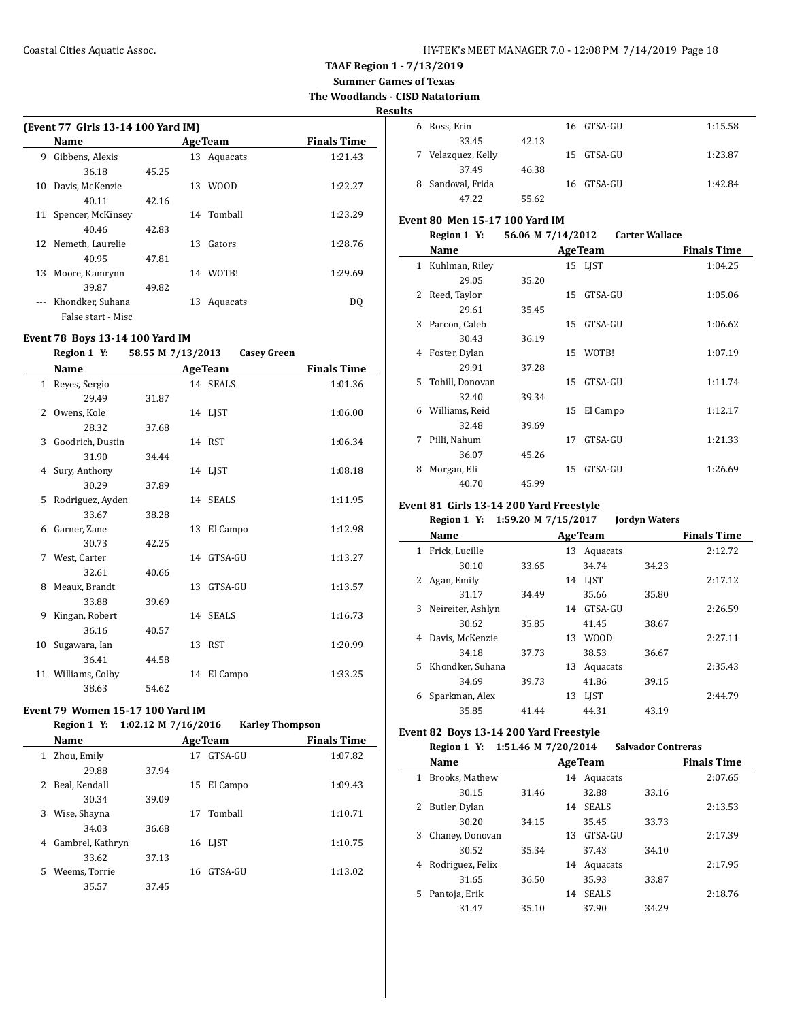**Summer Games of Texas**

**The Woodlands - CISD Natatorium**

#### **Results**

|    | (Event 77 Girls 13-14 100 Yard IM) |       |     |                |                    |  |  |  |
|----|------------------------------------|-------|-----|----------------|--------------------|--|--|--|
|    | Name                               |       |     | <b>AgeTeam</b> | <b>Finals Time</b> |  |  |  |
| 9  | Gibbens, Alexis                    |       | 13  | Aquacats       | 1:21.43            |  |  |  |
|    | 36.18                              | 45.25 |     |                |                    |  |  |  |
| 10 | Davis, McKenzie                    |       | 13. | <b>WOOD</b>    | 1:22.27            |  |  |  |
|    | 40.11                              | 42.16 |     |                |                    |  |  |  |
| 11 | Spencer, McKinsey                  |       |     | 14 Tomball     | 1:23.29            |  |  |  |
|    | 40.46                              | 42.83 |     |                |                    |  |  |  |
|    | 12 Nemeth, Laurelie                |       | 13. | Gators         | 1:28.76            |  |  |  |
|    | 40.95                              | 47.81 |     |                |                    |  |  |  |
| 13 | Moore, Kamrynn                     |       | 14  | WOTB!          | 1:29.69            |  |  |  |
|    | 39.87                              | 49.82 |     |                |                    |  |  |  |
|    | Khondker, Suhana                   |       | 13  | Aquacats       | DO                 |  |  |  |
|    | False start - Misc                 |       |     |                |                    |  |  |  |

## **Event 78 Boys 13-14 100 Yard IM**

#### **Region 1 Y: 58.55 M 7/13/2013 Casey Green**

|               | Name               |       | <b>AgeTeam</b> | <b>Finals Time</b> |
|---------------|--------------------|-------|----------------|--------------------|
|               | 1 Reyes, Sergio    |       | 14 SEALS       | 1:01.36            |
|               | 29.49              | 31.87 |                |                    |
| $\mathcal{L}$ | Owens, Kole        |       | 14 LJST        | 1:06.00            |
|               | 28.32              | 37.68 |                |                    |
| 3             | Goodrich, Dustin   |       | 14 RST         | 1:06.34            |
|               | 31.90              | 34.44 |                |                    |
|               | 4 Sury, Anthony    |       | 14 LJST        | 1:08.18            |
|               | 30.29              | 37.89 |                |                    |
| 5             | Rodriguez, Ayden   |       | 14 SEALS       | 1:11.95            |
|               | 33.67              | 38.28 |                |                    |
| 6             | Garner, Zane       |       | 13 El Campo    | 1:12.98            |
|               | 30.73              | 42.25 |                |                    |
| 7             | West, Carter       |       | 14 GTSA-GU     | 1:13.27            |
|               | 32.61              | 40.66 |                |                    |
| 8             | Meaux, Brandt      |       | 13 GTSA-GU     | 1:13.57            |
|               | 33.88              | 39.69 |                |                    |
| 9             | Kingan, Robert     |       | 14 SEALS       | 1:16.73            |
|               | 36.16              | 40.57 |                |                    |
| 10            | Sugawara, Ian      |       | 13 RST         | 1:20.99            |
|               | 36.41              | 44.58 |                |                    |
|               | 11 Williams, Colby |       | 14 El Campo    | 1:33.25            |
|               | 38.63              | 54.62 |                |                    |

## **Event 79 Women 15-17 100 Yard IM**

#### **Region 1 Y: 1:02.12 M 7/16/2016 Karley Thompson**

|    | <b>Name</b>      |       |    | <b>AgeTeam</b> | <b>Finals Time</b> |
|----|------------------|-------|----|----------------|--------------------|
| 1  | Zhou, Emily      |       | 17 | GTSA-GU        | 1:07.82            |
|    | 29.88            | 37.94 |    |                |                    |
| 2  | Beal, Kendall    |       | 15 | El Campo       | 1:09.43            |
|    | 30.34            | 39.09 |    |                |                    |
| 3  | Wise, Shayna     |       | 17 | Tomball        | 1:10.71            |
|    | 34.03            | 36.68 |    |                |                    |
| 4  | Gambrel, Kathryn |       |    | 16 LJST        | 1:10.75            |
|    | 33.62            | 37.13 |    |                |                    |
| 5. | Weems, Torrie    |       | 16 | GTSA-GU        | 1:13.02            |
|    | 35.57            | 37.45 |    |                |                    |
|    |                  |       |    |                |                    |

| แร |                  |       |            |         |
|----|------------------|-------|------------|---------|
| 6  | Ross, Erin       |       | 16 GTSA-GU | 1:15.58 |
|    | 33.45            | 42.13 |            |         |
| 7  | Velazquez, Kelly |       | 15 GTSA-GU | 1:23.87 |
|    | 37.49            | 46.38 |            |         |
| 8  | Sandoval, Frida  |       | 16 GTSA-GU | 1:42.84 |
|    | 47.22            | 55.62 |            |         |

## **Event 80 Men 15-17 100 Yard IM**<br>**Region 1** Y<sub>1</sub> E6.06 M 7/14

|                | Region 1 Y:     | 56.06 M 7/14/2012 |                | <b>Carter Wallace</b> |                    |
|----------------|-----------------|-------------------|----------------|-----------------------|--------------------|
|                | Name            |                   | <b>AgeTeam</b> |                       | <b>Finals Time</b> |
| $\mathbf{1}$   | Kuhlman, Riley  |                   | 15 LIST        |                       | 1:04.25            |
|                | 29.05           | 35.20             |                |                       |                    |
| $\overline{2}$ | Reed, Taylor    |                   | GTSA-GU<br>15  |                       | 1:05.06            |
|                | 29.61           | 35.45             |                |                       |                    |
| 3              | Parcon, Caleb   |                   | GTSA-GU<br>15  |                       | 1:06.62            |
|                | 30.43           | 36.19             |                |                       |                    |
| 4              | Foster, Dylan   |                   | WOTB!<br>15    |                       | 1:07.19            |
|                | 29.91           | 37.28             |                |                       |                    |
| 5.             | Tohill, Donovan |                   | GTSA-GU<br>15  |                       | 1:11.74            |
|                | 32.40           | 39.34             |                |                       |                    |
| 6              | Williams, Reid  |                   | 15<br>El Campo |                       | 1:12.17            |
|                | 32.48           | 39.69             |                |                       |                    |
| 7              | Pilli, Nahum    |                   | GTSA-GU<br>17  |                       | 1:21.33            |
|                | 36.07           | 45.26             |                |                       |                    |
| 8              | Morgan, Eli     |                   | GTSA-GU<br>15  |                       | 1:26.69            |
|                | 40.70           | 45.99             |                |                       |                    |

## **Event 81 Girls 13-14 200 Yard Freestyle**

## **Region 1 Y: 1:59.20 M 7/15/2017 Jordyn Waters**

| Name                   |                | <b>AgeTeam</b> | <b>Finals Time</b> |       |         |
|------------------------|----------------|----------------|--------------------|-------|---------|
| Frick, Lucille<br>1    |                | 13             | Aquacats           |       | 2:12.72 |
|                        | 30.10<br>33.65 |                | 34.74              | 34.23 |         |
| Agan, Emily<br>2       |                | 14             | LIST               |       | 2:17.12 |
|                        | 31.17<br>34.49 |                | 35.66              | 35.80 |         |
| Neireiter, Ashlyn<br>3 |                | 14             | GTSA-GU            |       | 2:26.59 |
|                        | 35.85<br>30.62 |                | 41.45              | 38.67 |         |
| Davis, McKenzie<br>4   |                | 13             | <b>WOOD</b>        |       | 2:27.11 |
|                        | 37.73<br>34.18 |                | 38.53              | 36.67 |         |
| 5 Khondker, Suhana     |                | 13             | Aquacats           |       | 2:35.43 |
|                        | 39.73<br>34.69 |                | 41.86              | 39.15 |         |
| Sparkman, Alex<br>6    |                | 13             | <b>LIST</b>        |       | 2:44.79 |
|                        | 35.85<br>41.44 |                | 44.31              | 43.19 |         |
|                        |                |                |                    |       |         |

## **Event 82 Boys 13-14 200 Yard Freestyle**

## **Region 1 Y: 1:51.46 M 7/20/2014 Salvador Contreras**

|    | Name             |       |    | <b>AgeTeam</b> |       | <b>Finals Time</b> |
|----|------------------|-------|----|----------------|-------|--------------------|
| 1  | Brooks, Mathew   |       |    | 14 Aquacats    |       | 2:07.65            |
|    | 30.15            | 31.46 |    | 32.88          | 33.16 |                    |
|    | 2 Butler, Dylan  |       | 14 | <b>SEALS</b>   |       | 2:13.53            |
|    | 30.20            | 34.15 |    | 35.45          | 33.73 |                    |
| 3  | Chaney, Donovan  |       | 13 | GTSA-GU        |       | 2:17.39            |
|    | 30.52            | 35.34 |    | 37.43          | 34.10 |                    |
| 4  | Rodriguez, Felix |       | 14 | Aquacats       |       | 2:17.95            |
|    | 31.65            | 36.50 |    | 35.93          | 33.87 |                    |
| 5. | Pantoja, Erik    |       | 14 | <b>SEALS</b>   |       | 2:18.76            |
|    | 31.47            | 35.10 |    | 37.90          | 34.29 |                    |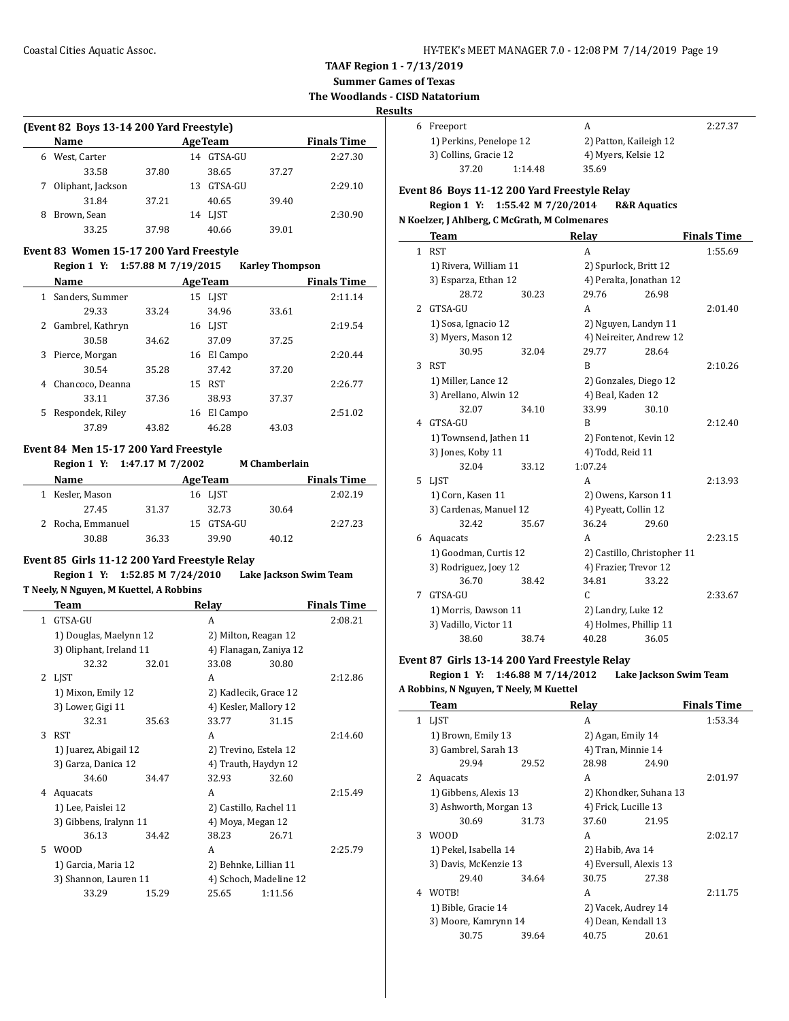**Summer Games of Texas**

**The Woodlands - CISD Natatorium**

#### **Results**

 $\overline{\phantom{a}}$ 

|   | (Event 82 Boys 13-14 200 Yard Freestyle) |       |     |                |       |                    |  |  |  |  |
|---|------------------------------------------|-------|-----|----------------|-------|--------------------|--|--|--|--|
|   | Name                                     |       |     | <b>AgeTeam</b> |       | <b>Finals Time</b> |  |  |  |  |
| 6 | West, Carter                             |       | 14  | GTSA-GU        |       | 2:27.30            |  |  |  |  |
|   | 33.58                                    | 37.80 |     | 38.65          | 37.27 |                    |  |  |  |  |
| 7 | Oliphant, Jackson                        |       | 13. | GTSA-GU        |       | 2:29.10            |  |  |  |  |
|   | 31.84                                    | 37.21 |     | 40.65          | 39.40 |                    |  |  |  |  |
| 8 | Brown, Sean                              |       | 14  | LIST           |       | 2:30.90            |  |  |  |  |
|   | 33.25                                    | 37.98 |     | 40.66          | 39.01 |                    |  |  |  |  |

#### **Event 83 Women 15-17 200 Yard Freestyle**

#### **Region 1 Y: 1:57.88 M 7/19/2015 Karley Thompson**

|   | Name             |       |    | <b>AgeTeam</b> |       | <b>Finals Time</b> |
|---|------------------|-------|----|----------------|-------|--------------------|
| 1 | Sanders, Summer  |       |    | 15 LIST        |       | 2:11.14            |
|   | 29.33            | 33.24 |    | 34.96          | 33.61 |                    |
| 2 | Gambrel, Kathryn |       |    | 16 LIST        |       | 2:19.54            |
|   | 30.58            | 34.62 |    | 37.09          | 37.25 |                    |
| 3 | Pierce, Morgan   |       | 16 | El Campo       |       | 2:20.44            |
|   | 30.54            | 35.28 |    | 37.42          | 37.20 |                    |
| 4 | Chancoco, Deanna |       | 15 | <b>RST</b>     |       | 2:26.77            |
|   | 33.11            | 37.36 |    | 38.93          | 37.37 |                    |
| 5 | Respondek, Riley |       | 16 | El Campo       |       | 2:51.02            |
|   | 37.89            | 43.82 |    | 46.28          | 43.03 |                    |

#### **Event 84 Men 15-17 200 Yard Freestyle**

**Region 1 Y: 1:47.17 M 7/2002 M Chamberlain**

| <b>Name</b>       |       | <b>AgeTeam</b> |       | <b>Finals Time</b> |
|-------------------|-------|----------------|-------|--------------------|
| 1 Kesler, Mason   |       | 16 LIST        |       | 2:02.19            |
| 27.45             | 31.37 | 32.73          | 30.64 |                    |
| 2 Rocha, Emmanuel |       | 15 GTSA-GU     |       | 2:27.23            |
| 30.88             | 36.33 | 39.90          | 40.12 |                    |

## **Event 85 Girls 11-12 200 Yard Freestyle Relay**

## **Region 1 Y: 1:52.85 M 7/24/2010 Lake Jackson Swim Team**

## **T Neely, N Nguyen, M Kuettel, A Robbins**

|    | <b>Team</b>             |       | Relay                  |         | <b>Finals Time</b> |
|----|-------------------------|-------|------------------------|---------|--------------------|
| 1  | GTSA-GU                 |       | A                      |         | 2:08.21            |
|    | 1) Douglas, Maelynn 12  |       | 2) Milton, Reagan 12   |         |                    |
|    | 3) Oliphant, Ireland 11 |       | 4) Flanagan, Zaniya 12 |         |                    |
|    | 32.32                   | 32.01 | 33.08                  | 30.80   |                    |
| 2  | LJST                    |       | A                      |         | 2:12.86            |
|    | 1) Mixon, Emily 12      |       | 2) Kadlecik, Grace 12  |         |                    |
|    | 3) Lower, Gigi 11       |       | 4) Kesler, Mallory 12  |         |                    |
|    | 32.31                   | 35.63 | 33.77                  | 31.15   |                    |
| 3  | <b>RST</b>              |       | A                      |         | 2:14.60            |
|    | 1) Juarez, Abigail 12   |       | 2) Trevino, Estela 12  |         |                    |
|    | 3) Garza, Danica 12     |       | 4) Trauth, Haydyn 12   |         |                    |
|    | 34.60                   | 34.47 | 32.93                  | 32.60   |                    |
| 4  | Aquacats                |       | A                      |         | 2:15.49            |
|    | 1) Lee, Paislei 12      |       | 2) Castillo, Rachel 11 |         |                    |
|    | 3) Gibbens, Iralynn 11  |       | 4) Moya, Megan 12      |         |                    |
|    | 36.13                   | 34.42 | 38.23                  | 26.71   |                    |
| 5. | <b>WOOD</b>             |       | A                      |         | 2:25.79            |
|    | 1) Garcia, Maria 12     |       | 2) Behnke, Lillian 11  |         |                    |
|    | 3) Shannon, Lauren 11   |       | 4) Schoch, Madeline 12 |         |                    |
|    | 33.29                   | 15.29 | 25.65                  | 1:11.56 |                    |
|    |                         |       |                        |         |                    |

| 6 Freeport              |         | А                      | 2:27.37 |
|-------------------------|---------|------------------------|---------|
| 1) Perkins, Penelope 12 |         | 2) Patton, Kaileigh 12 |         |
| 3) Collins, Gracie 12   |         | 4) Myers, Kelsie 12    |         |
| 37.20                   | 1:14.48 | 35.69                  |         |

## **Event 86 Boys 11-12 200 Yard Freestyle Relay Region 1 Y: 1:55.42 M 7/20/2014 R&R Aquatics**

#### **N Koelzer, J Ahlberg, C McGrath, M Colmenares**

|               | <b>Team</b>                               |       | Relay                       |                       | <b>Finals Time</b> |
|---------------|-------------------------------------------|-------|-----------------------------|-----------------------|--------------------|
| $\mathbf{1}$  | <b>RST</b>                                |       | A                           |                       | 1:55.69            |
|               | 1) Rivera, William 11                     |       | 2) Spurlock, Britt 12       |                       |                    |
|               | 3) Esparza, Ethan 12                      |       | 4) Peralta, Jonathan 12     |                       |                    |
|               | 28.72                                     | 30.23 | 29.76                       | 26.98                 |                    |
| $\mathcal{L}$ | GTSA-GU                                   |       | A                           |                       | 2:01.40            |
|               | 1) Sosa, Ignacio 12<br>3) Myers, Mason 12 |       | 2) Nguyen, Landyn 11        |                       |                    |
|               |                                           |       | 4) Neireiter, Andrew 12     |                       |                    |
|               | 30.95                                     | 32.04 | 29.77                       | 28.64                 |                    |
| 3             | <b>RST</b>                                |       | B                           |                       | 2:10.26            |
|               | 1) Miller, Lance 12                       |       |                             | 2) Gonzales, Diego 12 |                    |
|               | 3) Arellano, Alwin 12                     |       |                             | 4) Beal, Kaden 12     |                    |
|               | 32.07                                     | 34.10 | 33.99                       | 30.10                 |                    |
| 4             | GTSA-GU                                   |       | R                           |                       | 2:12.40            |
|               | 1) Townsend, Jathen 11                    |       |                             | 2) Fontenot, Kevin 12 |                    |
|               | 3) Jones, Koby 11                         |       | 4) Todd, Reid 11            |                       |                    |
|               | 32.04                                     | 33.12 | 1:07.24                     |                       |                    |
|               | 5 LIST                                    |       | A                           |                       | 2:13.93            |
|               | 1) Corn, Kasen 11                         |       |                             | 2) Owens, Karson 11   |                    |
|               | 3) Cardenas, Manuel 12                    |       |                             | 4) Pyeatt, Collin 12  |                    |
|               | 32.42                                     | 35.67 | 36.24                       | 29.60                 |                    |
| 6             | Aquacats                                  |       | A                           |                       | 2:23.15            |
|               | 1) Goodman, Curtis 12                     |       | 2) Castillo, Christopher 11 |                       |                    |
|               | 3) Rodriguez, Joey 12                     |       | 4) Frazier, Trevor 12       |                       |                    |
|               | 36.70                                     | 38.42 | 34.81                       | 33.22                 |                    |
| 7             | GTSA-GU                                   |       | C                           |                       | 2:33.67            |
|               | 1) Morris, Dawson 11                      |       | 2) Landry, Luke 12          |                       |                    |
|               | 3) Vadillo, Victor 11                     |       | 4) Holmes, Phillip 11       |                       |                    |
|               | 38.60                                     | 38.74 | 40.28                       | 36.05                 |                    |

#### **Event 87 Girls 13-14 200 Yard Freestyle Relay**

**Region 1 Y: 1:46.88 M 7/14/2012 Lake Jackson Swim Team**

## **A Robbins, N Nguyen, T Neely, M Kuettel**

 $\overline{a}$ 

|              | Team                   |       | Relay                  |       | <b>Finals Time</b> |
|--------------|------------------------|-------|------------------------|-------|--------------------|
| 1            | <b>LIST</b>            |       | A                      |       | 1:53.34            |
|              | 1) Brown, Emily 13     |       | 2) Agan, Emily 14      |       |                    |
|              | 3) Gambrel, Sarah 13   |       | 4) Tran, Minnie 14     |       |                    |
|              | 29.94                  | 29.52 | 28.98                  | 24.90 |                    |
| $\mathbf{2}$ | Aquacats               |       | A                      |       | 2:01.97            |
|              | 1) Gibbens, Alexis 13  |       | 2) Khondker, Suhana 13 |       |                    |
|              | 3) Ashworth, Morgan 13 |       | 4) Frick, Lucille 13   |       |                    |
|              | 30.69                  | 31.73 | 37.60                  | 21.95 |                    |
| 3            | <b>WOOD</b>            |       | A                      |       | 2:02.17            |
|              | 1) Pekel, Isabella 14  |       | 2) Habib, Ava 14       |       |                    |
|              | 3) Davis, McKenzie 13  |       | 4) Eversull, Alexis 13 |       |                    |
|              | 29.40                  | 34.64 | 30.75                  | 27.38 |                    |
| 4            | WOTB!                  |       | A                      |       | 2:11.75            |
|              | 1) Bible, Gracie 14    |       | 2) Vacek, Audrey 14    |       |                    |
|              | 3) Moore, Kamrynn 14   |       | 4) Dean, Kendall 13    |       |                    |
|              | 30.75                  | 39.64 | 40.75                  | 20.61 |                    |